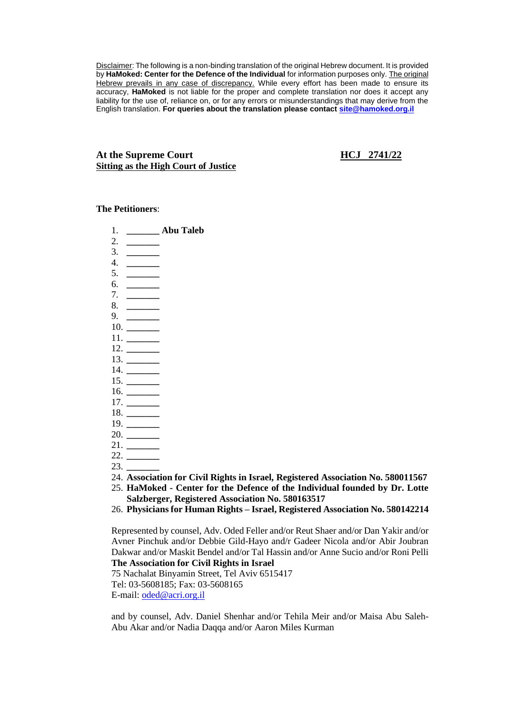Disclaimer: The following is a non-binding translation of the original Hebrew document. It is provided by **HaMoked: Center for the Defence of the Individual** for information purposes only. The original Hebrew prevails in any case of discrepancy. While every effort has been made to ensure its accuracy, **HaMoked** is not liable for the proper and complete translation nor does it accept any liability for the use of, reliance on, or for any errors or misunderstandings that may derive from the English translation. **For queries about the translation please contact [site@hamoked.org.il](mailto:site@hamoked.org.il)**

#### **At the Supreme Court HCJ 2741/22 Sitting as the High Court of Justice**

#### **The Petitioners**:

- 1. **\_\_\_\_\_\_\_ Abu Taleb**
- 2. **\_\_\_\_\_\_\_**  3. **\_\_\_\_\_\_\_**
- 4. **\_\_\_\_\_\_\_**
- 5. **\_\_\_\_\_\_\_**
- 6. **\_\_\_\_\_\_\_**
- 7. **\_\_\_\_\_\_\_**
- 8. **\_\_\_\_\_\_\_**
- 9. **\_\_\_\_\_\_\_** 10. **\_\_\_\_\_\_\_**
- 11. **\_\_\_\_\_\_\_**
- 12. **\_\_\_\_\_\_\_**
- 13. **\_\_\_\_\_\_\_**
- 14. **\_\_\_\_\_\_\_**
- 15. **\_\_\_\_\_\_\_**
- 16. **\_\_\_\_\_\_\_**
- 17. **\_\_\_\_\_\_\_**
- 18. **\_\_\_\_\_\_\_**
- 19. **\_\_\_\_\_\_\_**
- 20. **\_\_\_\_\_\_\_**
- 21. **\_\_\_\_\_\_\_**
- 22. **\_\_\_\_\_\_\_**
- 23. **\_\_\_\_\_\_\_**
- 24. **Association for Civil Rights in Israel, Registered Association No. 580011567**
- 25. **HaMoked - Center for the Defence of the Individual founded by Dr. Lotte Salzberger, Registered Association No. 580163517**
- 26. **Physicians for Human Rights – Israel, Registered Association No. 580142214**

Represented by counsel, Adv. Oded Feller and/or Reut Shaer and/or Dan Yakir and/or Avner Pinchuk and/or Debbie Gild-Hayo and/r Gadeer Nicola and/or Abir Joubran Dakwar and/or Maskit Bendel and/or Tal Hassin and/or Anne Sucio and/or Roni Pelli **The Association for Civil Rights in Israel**

75 Nachalat Binyamin Street, Tel Aviv 6515417

Tel: 03-5608185; Fax: 03-5608165

E-mail: [oded@acri.org.il](mailto:oded@acri.org.il)

and by counsel, Adv. Daniel Shenhar and/or Tehila Meir and/or Maisa Abu Saleh-Abu Akar and/or Nadia Daqqa and/or Aaron Miles Kurman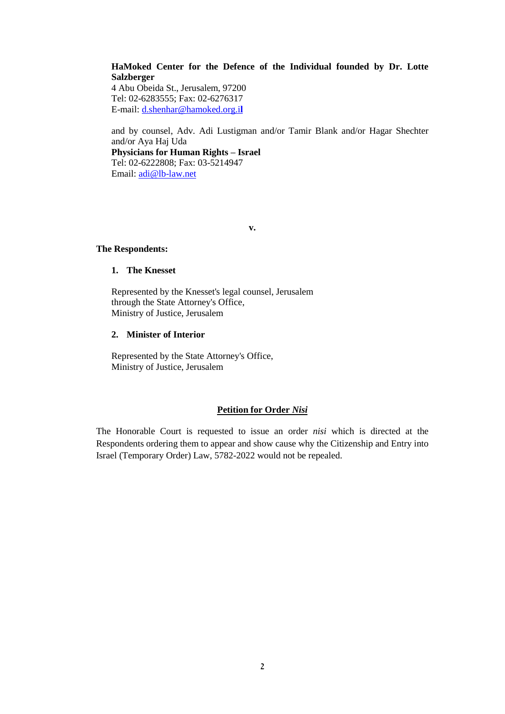#### **HaMoked Center for the Defence of the Individual founded by Dr. Lotte Salzberger**

4 Abu Obeida St., Jerusalem, 97200 Tel: 02-6283555; Fax: 02-6276317 E-mail: [d.shenhar@hamoked.org.i](mailto:d.shenhar@hamoked.org.il)**l**

and by counsel, Adv. Adi Lustigman and/or Tamir Blank and/or Hagar Shechter and/or Aya Haj Uda

**Physicians for Human Rights – Israel** Tel: 02-6222808; Fax: 03-5214947 Email: [adi@lb-law.net](mailto:adi@lb-law.net)

**v.**

#### **The Respondents:**

#### **1. The Knesset**

Represented by the Knesset's legal counsel, Jerusalem through the State Attorney's Office, Ministry of Justice, Jerusalem

#### **2. Minister of Interior**

Represented by the State Attorney's Office, Ministry of Justice, Jerusalem

#### **Petition for Order** *Nisi*

The Honorable Court is requested to issue an order *nisi* which is directed at the Respondents ordering them to appear and show cause why the Citizenship and Entry into Israel (Temporary Order) Law, 5782-2022 would not be repealed.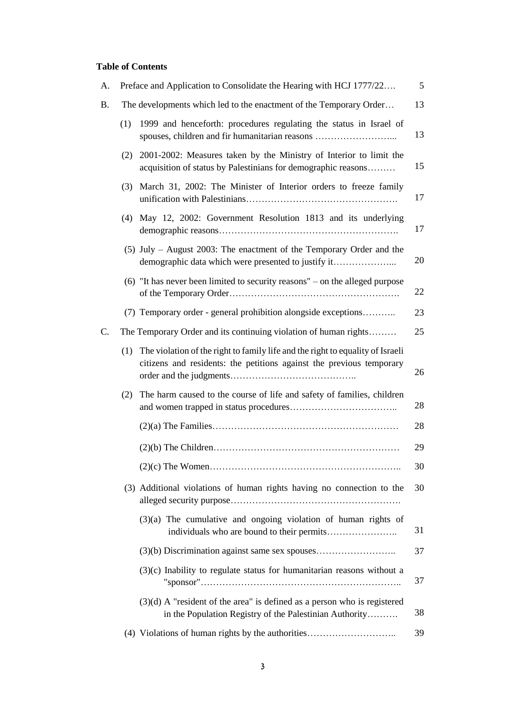# **Table of Contents**

| А.        |                                                                    | Preface and Application to Consolidate the Hearing with HCJ 1777/22                                                                                        | 5  |
|-----------|--------------------------------------------------------------------|------------------------------------------------------------------------------------------------------------------------------------------------------------|----|
| <b>B.</b> | The developments which led to the enactment of the Temporary Order |                                                                                                                                                            |    |
|           | (1)                                                                | 1999 and henceforth: procedures regulating the status in Israel of<br>spouses, children and fir humanitarian reasons                                       | 13 |
|           | (2)                                                                | 2001-2002: Measures taken by the Ministry of Interior to limit the<br>acquisition of status by Palestinians for demographic reasons                        | 15 |
|           | (3)                                                                | March 31, 2002: The Minister of Interior orders to freeze family                                                                                           | 17 |
|           | (4)                                                                | May 12, 2002: Government Resolution 1813 and its underlying                                                                                                | 17 |
|           |                                                                    | $(5)$ July – August 2003: The enactment of the Temporary Order and the<br>demographic data which were presented to justify it                              | 20 |
|           |                                                                    | $(6)$ "It has never been limited to security reasons" – on the alleged purpose                                                                             | 22 |
|           |                                                                    | (7) Temporary order - general prohibition alongside exceptions                                                                                             | 23 |
| C.        |                                                                    | The Temporary Order and its continuing violation of human rights                                                                                           | 25 |
|           |                                                                    | (1) The violation of the right to family life and the right to equality of Israeli<br>citizens and residents: the petitions against the previous temporary | 26 |
|           | (2)                                                                | The harm caused to the course of life and safety of families, children                                                                                     | 28 |
|           |                                                                    |                                                                                                                                                            | 28 |
|           |                                                                    |                                                                                                                                                            | 29 |
|           |                                                                    |                                                                                                                                                            | 30 |
|           |                                                                    | (3) Additional violations of human rights having no connection to the                                                                                      | 30 |
|           |                                                                    | $(3)(a)$ The cumulative and ongoing violation of human rights of                                                                                           | 31 |
|           |                                                                    |                                                                                                                                                            | 37 |
|           |                                                                    | $(3)(c)$ Inability to regulate status for humanitarian reasons without a                                                                                   | 37 |
|           |                                                                    | $(3)(d)$ A "resident of the area" is defined as a person who is registered<br>in the Population Registry of the Palestinian Authority                      | 38 |
|           |                                                                    | (4) Violations of human rights by the authorities                                                                                                          | 39 |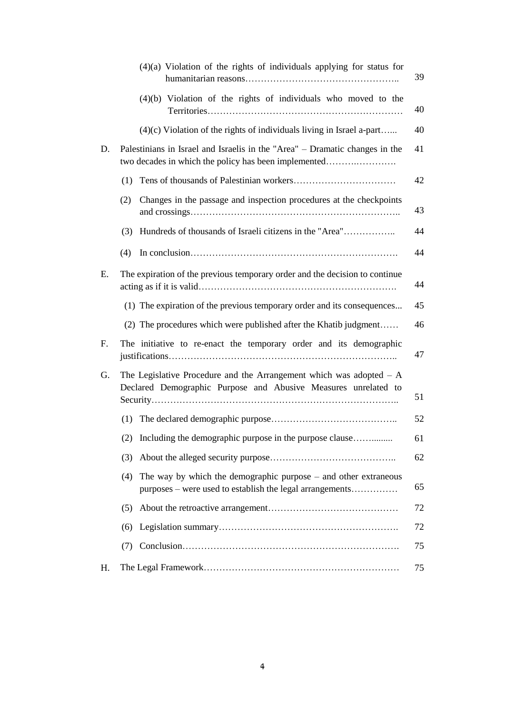|    | $(4)(a)$ Violation of the rights of individuals applying for status for                                                                 | 39 |
|----|-----------------------------------------------------------------------------------------------------------------------------------------|----|
|    | $(4)(b)$ Violation of the rights of individuals who moved to the                                                                        | 40 |
|    | $(4)(c)$ Violation of the rights of individuals living in Israel a-part                                                                 | 40 |
| D. | Palestinians in Israel and Israelis in the "Area" – Dramatic changes in the<br>two decades in which the policy has been implemented     | 41 |
|    | (1)                                                                                                                                     | 42 |
|    | Changes in the passage and inspection procedures at the checkpoints<br>(2)                                                              | 43 |
|    | Hundreds of thousands of Israeli citizens in the "Area"<br>(3)                                                                          | 44 |
|    | (4)                                                                                                                                     | 44 |
| Ε. | The expiration of the previous temporary order and the decision to continue                                                             | 44 |
|    | (1) The expiration of the previous temporary order and its consequences                                                                 | 45 |
|    | (2) The procedures which were published after the Khatib judgment                                                                       | 46 |
| F. | The initiative to re-enact the temporary order and its demographic                                                                      | 47 |
| G. | The Legislative Procedure and the Arrangement which was adopted $- A$<br>Declared Demographic Purpose and Abusive Measures unrelated to | 51 |
|    |                                                                                                                                         | 52 |
|    | (2) Including the demographic purpose in the purpose clause                                                                             | 61 |
|    | (3)                                                                                                                                     | 62 |
|    | The way by which the demographic purpose $-$ and other extraneous<br>(4)<br>purposes – were used to establish the legal arrangements    | 65 |
|    | (5)                                                                                                                                     | 72 |
|    | (6)                                                                                                                                     | 72 |
|    | (7)                                                                                                                                     | 75 |
| Н. |                                                                                                                                         | 75 |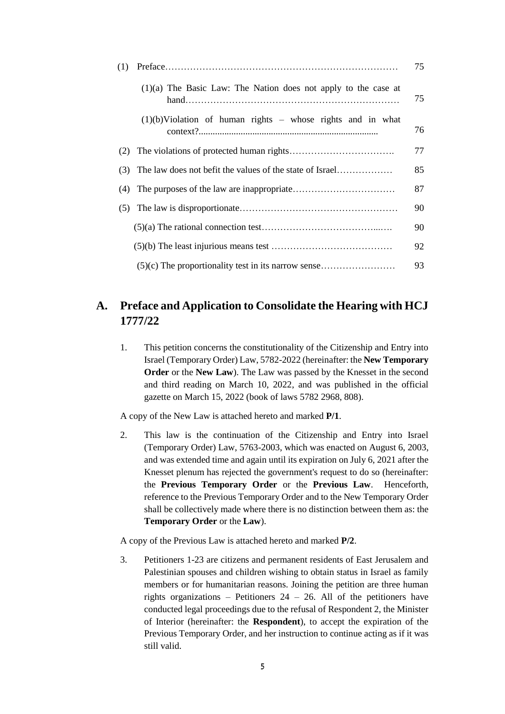| (1) |                                                                  |    |  |
|-----|------------------------------------------------------------------|----|--|
|     | $(1)(a)$ The Basic Law: The Nation does not apply to the case at | 75 |  |
|     | $(1)(b)$ Violation of human rights – whose rights and in what    | 76 |  |
| (2) |                                                                  | 77 |  |
| (3) |                                                                  | 85 |  |
| (4) |                                                                  | 87 |  |
| (5) |                                                                  | 90 |  |
|     |                                                                  | 90 |  |
|     |                                                                  | 92 |  |
|     |                                                                  | 93 |  |

# **A. Preface and Application to Consolidate the Hearing with HCJ 1777/22**

1. This petition concerns the constitutionality of the Citizenship and Entry into Israel (Temporary Order) Law, 5782-2022 (hereinafter: the **New Temporary Order** or the **New Law**). The Law was passed by the Knesset in the second and third reading on March 10, 2022, and was published in the official gazette on March 15, 2022 (book of laws 5782 2968, 808).

A copy of the New Law is attached hereto and marked **P/1**.

2. This law is the continuation of the Citizenship and Entry into Israel (Temporary Order) Law, 5763-2003, which was enacted on August 6, 2003, and was extended time and again until its expiration on July 6, 2021 after the Knesset plenum has rejected the government's request to do so (hereinafter: the **Previous Temporary Order** or the **Previous Law**. Henceforth, reference to the Previous Temporary Order and to the New Temporary Order shall be collectively made where there is no distinction between them as: the **Temporary Order** or the **Law**).

A copy of the Previous Law is attached hereto and marked **P/2**.

3. Petitioners 1-23 are citizens and permanent residents of East Jerusalem and Palestinian spouses and children wishing to obtain status in Israel as family members or for humanitarian reasons. Joining the petition are three human rights organizations – Petitioners  $24 - 26$ . All of the petitioners have conducted legal proceedings due to the refusal of Respondent 2, the Minister of Interior (hereinafter: the **Respondent**), to accept the expiration of the Previous Temporary Order, and her instruction to continue acting as if it was still valid.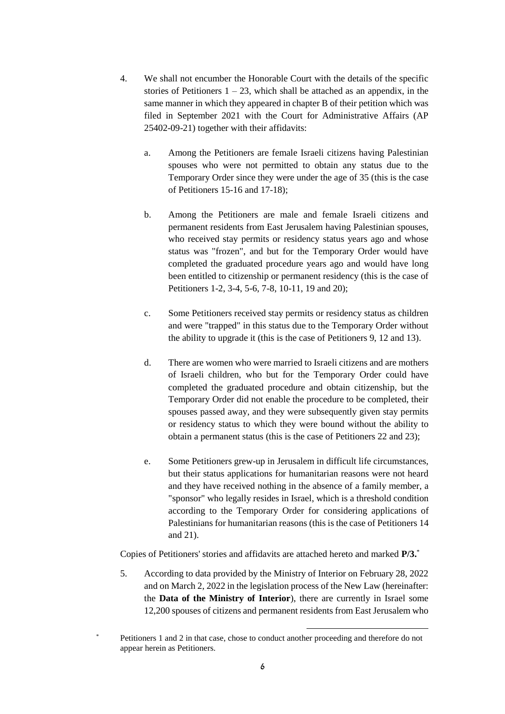- 4. We shall not encumber the Honorable Court with the details of the specific stories of Petitioners  $1 - 23$ , which shall be attached as an appendix, in the same manner in which they appeared in chapter B of their petition which was filed in September 2021 with the Court for Administrative Affairs (AP 25402-09-21) together with their affidavits:
	- a. Among the Petitioners are female Israeli citizens having Palestinian spouses who were not permitted to obtain any status due to the Temporary Order since they were under the age of 35 (this is the case of Petitioners 15-16 and 17-18);
	- b. Among the Petitioners are male and female Israeli citizens and permanent residents from East Jerusalem having Palestinian spouses, who received stay permits or residency status years ago and whose status was "frozen", and but for the Temporary Order would have completed the graduated procedure years ago and would have long been entitled to citizenship or permanent residency (this is the case of Petitioners 1-2, 3-4, 5-6, 7-8, 10-11, 19 and 20);
	- c. Some Petitioners received stay permits or residency status as children and were "trapped" in this status due to the Temporary Order without the ability to upgrade it (this is the case of Petitioners 9, 12 and 13).
	- d. There are women who were married to Israeli citizens and are mothers of Israeli children, who but for the Temporary Order could have completed the graduated procedure and obtain citizenship, but the Temporary Order did not enable the procedure to be completed, their spouses passed away, and they were subsequently given stay permits or residency status to which they were bound without the ability to obtain a permanent status (this is the case of Petitioners 22 and 23);
	- e. Some Petitioners grew-up in Jerusalem in difficult life circumstances, but their status applications for humanitarian reasons were not heard and they have received nothing in the absence of a family member, a "sponsor" who legally resides in Israel, which is a threshold condition according to the Temporary Order for considering applications of Palestinians for humanitarian reasons (this is the case of Petitioners 14 and 21).

Copies of Petitioners' stories and affidavits are attached hereto and marked **P/3.** \*

5. According to data provided by the Ministry of Interior on February 28, 2022 and on March 2, 2022 in the legislation process of the New Law (hereinafter: the **Data of the Ministry of Interior**), there are currently in Israel some 12,200 spouses of citizens and permanent residents from East Jerusalem who

1

Petitioners 1 and 2 in that case, chose to conduct another proceeding and therefore do not appear herein as Petitioners.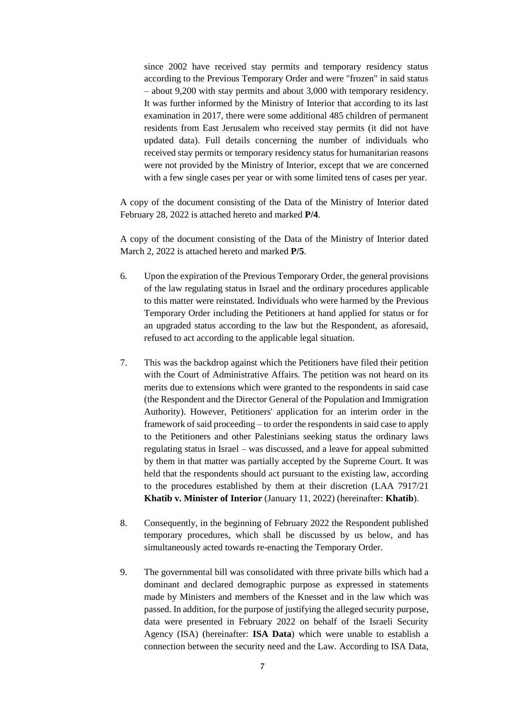since 2002 have received stay permits and temporary residency status according to the Previous Temporary Order and were "frozen" in said status – about 9,200 with stay permits and about 3,000 with temporary residency. It was further informed by the Ministry of Interior that according to its last examination in 2017, there were some additional 485 children of permanent residents from East Jerusalem who received stay permits (it did not have updated data). Full details concerning the number of individuals who received stay permits or temporary residency status for humanitarian reasons were not provided by the Ministry of Interior, except that we are concerned with a few single cases per year or with some limited tens of cases per year.

A copy of the document consisting of the Data of the Ministry of Interior dated February 28, 2022 is attached hereto and marked **P/4**.

A copy of the document consisting of the Data of the Ministry of Interior dated March 2, 2022 is attached hereto and marked **P/5**.

- 6. Upon the expiration of the Previous Temporary Order, the general provisions of the law regulating status in Israel and the ordinary procedures applicable to this matter were reinstated. Individuals who were harmed by the Previous Temporary Order including the Petitioners at hand applied for status or for an upgraded status according to the law but the Respondent, as aforesaid, refused to act according to the applicable legal situation.
- 7. This was the backdrop against which the Petitioners have filed their petition with the Court of Administrative Affairs. The petition was not heard on its merits due to extensions which were granted to the respondents in said case (the Respondent and the Director General of the Population and Immigration Authority). However, Petitioners' application for an interim order in the framework of said proceeding – to order the respondents in said case to apply to the Petitioners and other Palestinians seeking status the ordinary laws regulating status in Israel – was discussed, and a leave for appeal submitted by them in that matter was partially accepted by the Supreme Court. It was held that the respondents should act pursuant to the existing law, according to the procedures established by them at their discretion (LAA 7917/21 **Khatib v. Minister of Interior** (January 11, 2022) (hereinafter: **Khatib**).
- 8. Consequently, in the beginning of February 2022 the Respondent published temporary procedures, which shall be discussed by us below, and has simultaneously acted towards re-enacting the Temporary Order.
- 9. The governmental bill was consolidated with three private bills which had a dominant and declared demographic purpose as expressed in statements made by Ministers and members of the Knesset and in the law which was passed. In addition, for the purpose of justifying the alleged security purpose, data were presented in February 2022 on behalf of the Israeli Security Agency (ISA) (hereinafter: **ISA Data**) which were unable to establish a connection between the security need and the Law. According to ISA Data,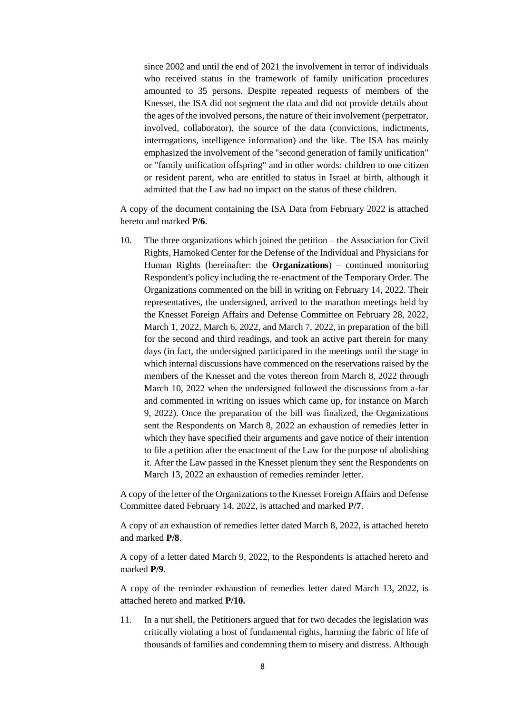since 2002 and until the end of 2021 the involvement in terror of individuals who received status in the framework of family unification procedures amounted to 35 persons. Despite repeated requests of members of the Knesset, the ISA did not segment the data and did not provide details about the ages of the involved persons, the nature of their involvement (perpetrator, involved, collaborator), the source of the data (convictions, indictments, interrogations, intelligence information) and the like. The ISA has mainly emphasized the involvement of the "second generation of family unification" or "family unification offspring" and in other words: children to one citizen or resident parent, who are entitled to status in Israel at birth, although it admitted that the Law had no impact on the status of these children.

A copy of the document containing the ISA Data from February 2022 is attached hereto and marked **P/6**.

10. The three organizations which joined the petition – the Association for Civil Rights, Hamoked Center for the Defense of the Individual and Physicians for Human Rights (hereinafter: the **Organizations**) – continued monitoring Respondent's policy including the re-enactment of the Temporary Order. The Organizations commented on the bill in writing on February 14, 2022. Their representatives, the undersigned, arrived to the marathon meetings held by the Knesset Foreign Affairs and Defense Committee on February 28, 2022, March 1, 2022, March 6, 2022, and March 7, 2022, in preparation of the bill for the second and third readings, and took an active part therein for many days (in fact, the undersigned participated in the meetings until the stage in which internal discussions have commenced on the reservations raised by the members of the Knesset and the votes thereon from March 8, 2022 through March 10, 2022 when the undersigned followed the discussions from a-far and commented in writing on issues which came up, for instance on March 9, 2022). Once the preparation of the bill was finalized, the Organizations sent the Respondents on March 8, 2022 an exhaustion of remedies letter in which they have specified their arguments and gave notice of their intention to file a petition after the enactment of the Law for the purpose of abolishing it. After the Law passed in the Knesset plenum they sent the Respondents on March 13, 2022 an exhaustion of remedies reminder letter.

A copy of the letter of the Organizations to the Knesset Foreign Affairs and Defense Committee dated February 14, 2022, is attached and marked **P/7**.

A copy of an exhaustion of remedies letter dated March 8, 2022, is attached hereto and marked **P/8**.

A copy of a letter dated March 9, 2022, to the Respondents is attached hereto and marked **P/9**.

A copy of the reminder exhaustion of remedies letter dated March 13, 2022, is attached hereto and marked **P/10.**

11. In a nut shell, the Petitioners argued that for two decades the legislation was critically violating a host of fundamental rights, harming the fabric of life of thousands of families and condemning them to misery and distress. Although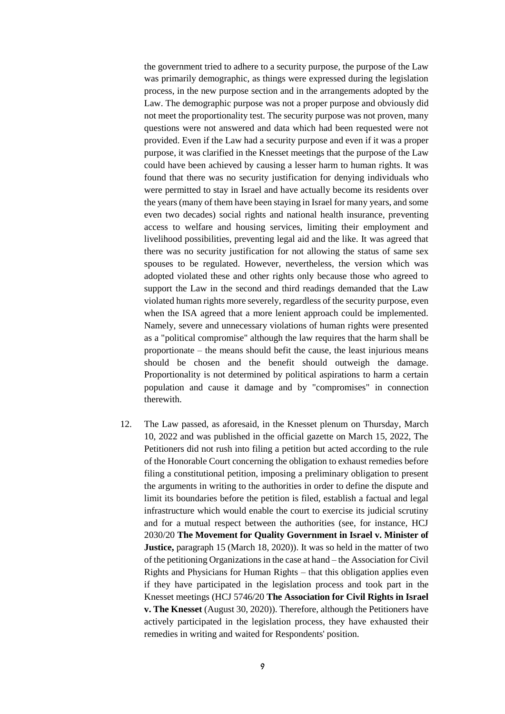the government tried to adhere to a security purpose, the purpose of the Law was primarily demographic, as things were expressed during the legislation process, in the new purpose section and in the arrangements adopted by the Law. The demographic purpose was not a proper purpose and obviously did not meet the proportionality test. The security purpose was not proven, many questions were not answered and data which had been requested were not provided. Even if the Law had a security purpose and even if it was a proper purpose, it was clarified in the Knesset meetings that the purpose of the Law could have been achieved by causing a lesser harm to human rights. It was found that there was no security justification for denying individuals who were permitted to stay in Israel and have actually become its residents over the years (many of them have been staying in Israel for many years, and some even two decades) social rights and national health insurance, preventing access to welfare and housing services, limiting their employment and livelihood possibilities, preventing legal aid and the like. It was agreed that there was no security justification for not allowing the status of same sex spouses to be regulated. However, nevertheless, the version which was adopted violated these and other rights only because those who agreed to support the Law in the second and third readings demanded that the Law violated human rights more severely, regardless of the security purpose, even when the ISA agreed that a more lenient approach could be implemented. Namely, severe and unnecessary violations of human rights were presented as a "political compromise" although the law requires that the harm shall be proportionate – the means should befit the cause, the least injurious means should be chosen and the benefit should outweigh the damage. Proportionality is not determined by political aspirations to harm a certain population and cause it damage and by "compromises" in connection therewith.

12. The Law passed, as aforesaid, in the Knesset plenum on Thursday, March 10, 2022 and was published in the official gazette on March 15, 2022, The Petitioners did not rush into filing a petition but acted according to the rule of the Honorable Court concerning the obligation to exhaust remedies before filing a constitutional petition, imposing a preliminary obligation to present the arguments in writing to the authorities in order to define the dispute and limit its boundaries before the petition is filed, establish a factual and legal infrastructure which would enable the court to exercise its judicial scrutiny and for a mutual respect between the authorities (see, for instance, HCJ 2030/20 **The Movement for Quality Government in Israel v. Minister of Justice,** paragraph 15 (March 18, 2020)). It was so held in the matter of two of the petitioning Organizations in the case at hand – the Association for Civil Rights and Physicians for Human Rights – that this obligation applies even if they have participated in the legislation process and took part in the Knesset meetings (HCJ 5746/20 **The Association for Civil Rights in Israel v. The Knesset** (August 30, 2020)). Therefore, although the Petitioners have actively participated in the legislation process, they have exhausted their remedies in writing and waited for Respondents' position.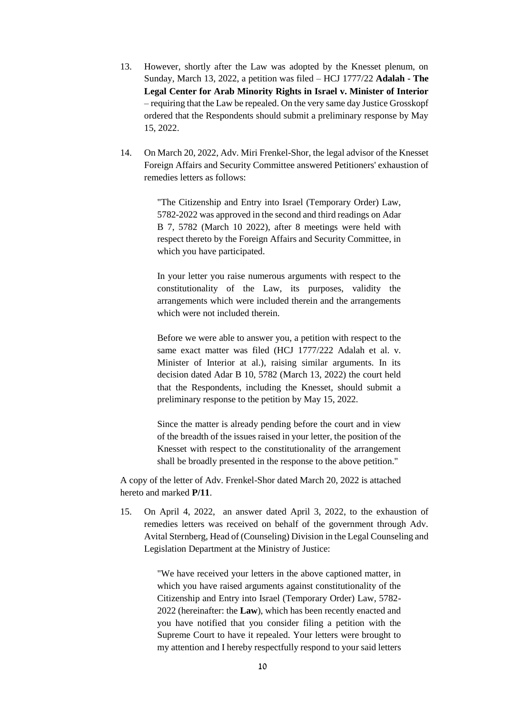- 13. However, shortly after the Law was adopted by the Knesset plenum, on Sunday, March 13, 2022, a petition was filed – HCJ 1777/22 **Adalah - The Legal Center for Arab Minority Rights in Israel v. Minister of Interior** – requiring that the Law be repealed. On the very same day Justice Grosskopf ordered that the Respondents should submit a preliminary response by May 15, 2022.
- 14. On March 20, 2022, Adv. Miri Frenkel-Shor, the legal advisor of the Knesset Foreign Affairs and Security Committee answered Petitioners' exhaustion of remedies letters as follows:

"The Citizenship and Entry into Israel (Temporary Order) Law, 5782-2022 was approved in the second and third readings on Adar B 7, 5782 (March 10 2022), after 8 meetings were held with respect thereto by the Foreign Affairs and Security Committee, in which you have participated.

In your letter you raise numerous arguments with respect to the constitutionality of the Law, its purposes, validity the arrangements which were included therein and the arrangements which were not included therein.

Before we were able to answer you, a petition with respect to the same exact matter was filed (HCJ 1777/222 Adalah et al. v. Minister of Interior at al.), raising similar arguments. In its decision dated Adar B 10, 5782 (March 13, 2022) the court held that the Respondents, including the Knesset, should submit a preliminary response to the petition by May 15, 2022.

Since the matter is already pending before the court and in view of the breadth of the issues raised in your letter, the position of the Knesset with respect to the constitutionality of the arrangement shall be broadly presented in the response to the above petition."

A copy of the letter of Adv. Frenkel-Shor dated March 20, 2022 is attached hereto and marked **P/11**.

15. On April 4, 2022, an answer dated April 3, 2022, to the exhaustion of remedies letters was received on behalf of the government through Adv. Avital Sternberg, Head of (Counseling) Division in the Legal Counseling and Legislation Department at the Ministry of Justice:

> "We have received your letters in the above captioned matter, in which you have raised arguments against constitutionality of the Citizenship and Entry into Israel (Temporary Order) Law, 5782- 2022 (hereinafter: the **Law**), which has been recently enacted and you have notified that you consider filing a petition with the Supreme Court to have it repealed. Your letters were brought to my attention and I hereby respectfully respond to your said letters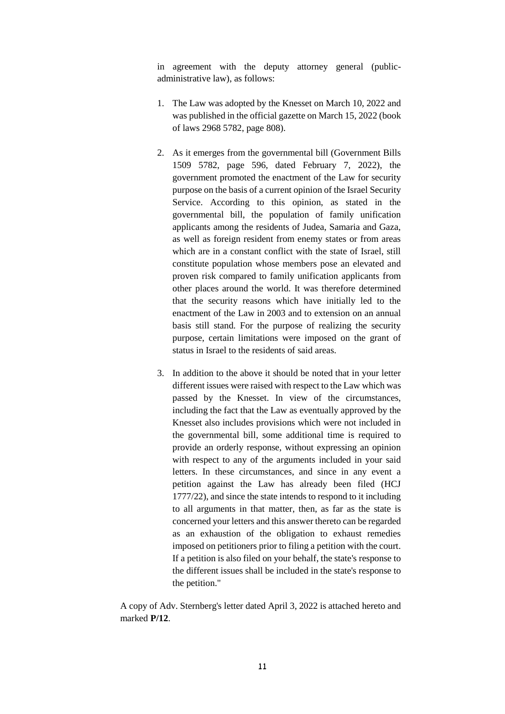in agreement with the deputy attorney general (publicadministrative law), as follows:

- 1. The Law was adopted by the Knesset on March 10, 2022 and was published in the official gazette on March 15, 2022 (book of laws 2968 5782, page 808).
- 2. As it emerges from the governmental bill (Government Bills 1509 5782, page 596, dated February 7, 2022), the government promoted the enactment of the Law for security purpose on the basis of a current opinion of the Israel Security Service. According to this opinion, as stated in the governmental bill, the population of family unification applicants among the residents of Judea, Samaria and Gaza, as well as foreign resident from enemy states or from areas which are in a constant conflict with the state of Israel, still constitute population whose members pose an elevated and proven risk compared to family unification applicants from other places around the world. It was therefore determined that the security reasons which have initially led to the enactment of the Law in 2003 and to extension on an annual basis still stand. For the purpose of realizing the security purpose, certain limitations were imposed on the grant of status in Israel to the residents of said areas.
- 3. In addition to the above it should be noted that in your letter different issues were raised with respect to the Law which was passed by the Knesset. In view of the circumstances, including the fact that the Law as eventually approved by the Knesset also includes provisions which were not included in the governmental bill, some additional time is required to provide an orderly response, without expressing an opinion with respect to any of the arguments included in your said letters. In these circumstances, and since in any event a petition against the Law has already been filed (HCJ 1777/22), and since the state intends to respond to it including to all arguments in that matter, then, as far as the state is concerned your letters and this answer thereto can be regarded as an exhaustion of the obligation to exhaust remedies imposed on petitioners prior to filing a petition with the court. If a petition is also filed on your behalf, the state's response to the different issues shall be included in the state's response to the petition."

A copy of Adv. Sternberg's letter dated April 3, 2022 is attached hereto and marked **P/12**.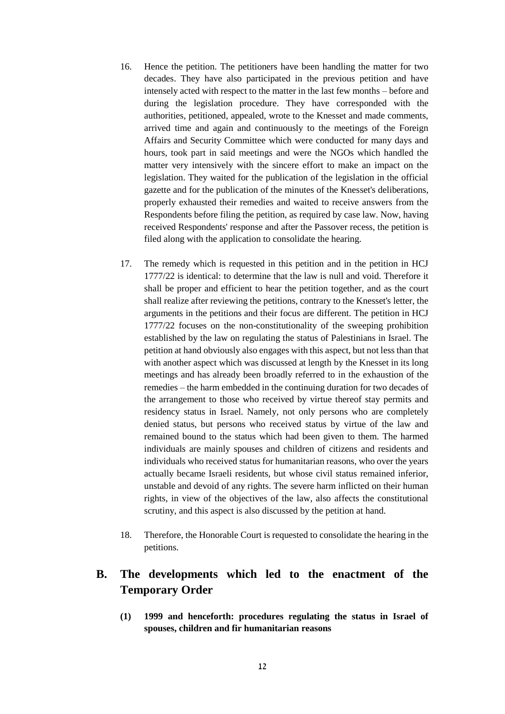- 16. Hence the petition. The petitioners have been handling the matter for two decades. They have also participated in the previous petition and have intensely acted with respect to the matter in the last few months – before and during the legislation procedure. They have corresponded with the authorities, petitioned, appealed, wrote to the Knesset and made comments, arrived time and again and continuously to the meetings of the Foreign Affairs and Security Committee which were conducted for many days and hours, took part in said meetings and were the NGOs which handled the matter very intensively with the sincere effort to make an impact on the legislation. They waited for the publication of the legislation in the official gazette and for the publication of the minutes of the Knesset's deliberations, properly exhausted their remedies and waited to receive answers from the Respondents before filing the petition, as required by case law. Now, having received Respondents' response and after the Passover recess, the petition is filed along with the application to consolidate the hearing.
- 17. The remedy which is requested in this petition and in the petition in HCJ 1777/22 is identical: to determine that the law is null and void. Therefore it shall be proper and efficient to hear the petition together, and as the court shall realize after reviewing the petitions, contrary to the Knesset's letter, the arguments in the petitions and their focus are different. The petition in HCJ 1777/22 focuses on the non-constitutionality of the sweeping prohibition established by the law on regulating the status of Palestinians in Israel. The petition at hand obviously also engages with this aspect, but not less than that with another aspect which was discussed at length by the Knesset in its long meetings and has already been broadly referred to in the exhaustion of the remedies – the harm embedded in the continuing duration for two decades of the arrangement to those who received by virtue thereof stay permits and residency status in Israel. Namely, not only persons who are completely denied status, but persons who received status by virtue of the law and remained bound to the status which had been given to them. The harmed individuals are mainly spouses and children of citizens and residents and individuals who received status for humanitarian reasons, who over the years actually became Israeli residents, but whose civil status remained inferior, unstable and devoid of any rights. The severe harm inflicted on their human rights, in view of the objectives of the law, also affects the constitutional scrutiny, and this aspect is also discussed by the petition at hand.
- 18. Therefore, the Honorable Court is requested to consolidate the hearing in the petitions.

# **B. The developments which led to the enactment of the Temporary Order**

**(1) 1999 and henceforth: procedures regulating the status in Israel of spouses, children and fir humanitarian reasons**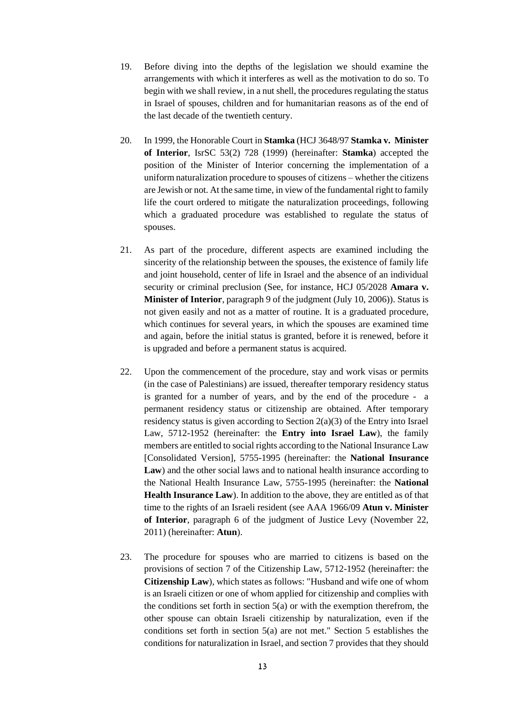- 19. Before diving into the depths of the legislation we should examine the arrangements with which it interferes as well as the motivation to do so. To begin with we shall review, in a nut shell, the procedures regulating the status in Israel of spouses, children and for humanitarian reasons as of the end of the last decade of the twentieth century.
- 20. In 1999, the Honorable Court in **Stamka** (HCJ 3648/97 **Stamka v. Minister of Interior**, IsrSC 53(2) 728 (1999) (hereinafter: **Stamka**) accepted the position of the Minister of Interior concerning the implementation of a uniform naturalization procedure to spouses of citizens – whether the citizens are Jewish or not. At the same time, in view of the fundamental right to family life the court ordered to mitigate the naturalization proceedings, following which a graduated procedure was established to regulate the status of spouses.
- 21. As part of the procedure, different aspects are examined including the sincerity of the relationship between the spouses, the existence of family life and joint household, center of life in Israel and the absence of an individual security or criminal preclusion (See, for instance, HCJ 05/2028 **Amara v. Minister of Interior**, paragraph 9 of the judgment (July 10, 2006)). Status is not given easily and not as a matter of routine. It is a graduated procedure, which continues for several years, in which the spouses are examined time and again, before the initial status is granted, before it is renewed, before it is upgraded and before a permanent status is acquired.
- 22. Upon the commencement of the procedure, stay and work visas or permits (in the case of Palestinians) are issued, thereafter temporary residency status is granted for a number of years, and by the end of the procedure - a permanent residency status or citizenship are obtained. After temporary residency status is given according to Section 2(a)(3) of the Entry into Israel Law, 5712-1952 (hereinafter: the **Entry into Israel Law**), the family members are entitled to social rights according to the National Insurance Law [Consolidated Version], 5755-1995 (hereinafter: the **National Insurance Law**) and the other social laws and to national health insurance according to the National Health Insurance Law, 5755-1995 (hereinafter: the **National Health Insurance Law**). In addition to the above, they are entitled as of that time to the rights of an Israeli resident (see AAA 1966/09 **Atun v. Minister of Interior**, paragraph 6 of the judgment of Justice Levy (November 22, 2011) (hereinafter: **Atun**).
- 23. The procedure for spouses who are married to citizens is based on the provisions of section 7 of the Citizenship Law, 5712-1952 (hereinafter: the **Citizenship Law**), which states as follows: "Husband and wife one of whom is an Israeli citizen or one of whom applied for citizenship and complies with the conditions set forth in section  $5(a)$  or with the exemption therefrom, the other spouse can obtain Israeli citizenship by naturalization, even if the conditions set forth in section 5(a) are not met." Section 5 establishes the conditions for naturalization in Israel, and section 7 provides that they should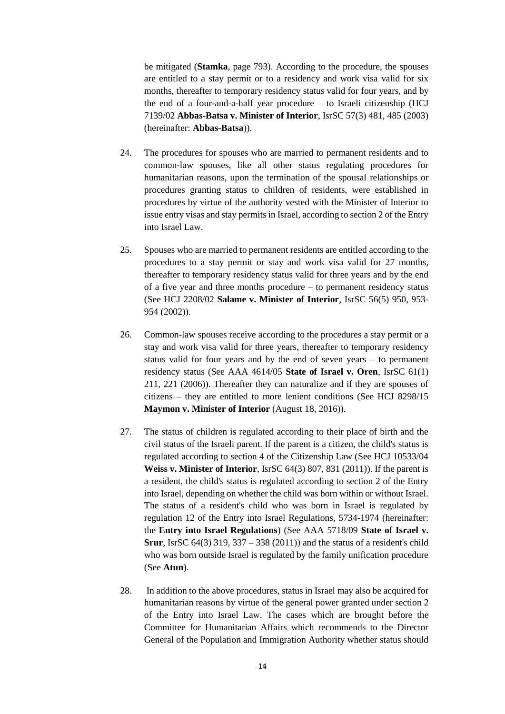be mitigated (**Stamka**, page 793). According to the procedure, the spouses are entitled to a stay permit or to a residency and work visa valid for six months, thereafter to temporary residency status valid for four years, and by the end of a four-and-a-half year procedure – to Israeli citizenship (HCJ 7139/02 **Abbas-Batsa v. Minister of Interior**, IsrSC 57(3) 481, 485 (2003) (hereinafter: **Abbas-Batsa**)).

- 24. The procedures for spouses who are married to permanent residents and to common-law spouses, like all other status regulating procedures for humanitarian reasons, upon the termination of the spousal relationships or procedures granting status to children of residents, were established in procedures by virtue of the authority vested with the Minister of Interior to issue entry visas and stay permits in Israel, according to section 2 of the Entry into Israel Law.
- 25. Spouses who are married to permanent residents are entitled according to the procedures to a stay permit or stay and work visa valid for 27 months, thereafter to temporary residency status valid for three years and by the end of a five year and three months procedure – to permanent residency status (See HCJ 2208/02 **Salame v. Minister of Interior**, IsrSC 56(5) 950, 953- 954 (2002)).
- 26. Common-law spouses receive according to the procedures a stay permit or a stay and work visa valid for three years, thereafter to temporary residency status valid for four years and by the end of seven years – to permanent residency status (See AAA 4614/05 **State of Israel v. Oren**, IsrSC 61(1) 211, 221 (2006)). Thereafter they can naturalize and if they are spouses of citizens – they are entitled to more lenient conditions (See HCJ 8298/15 **Maymon v. Minister of Interior** (August 18, 2016)).
- 27. The status of children is regulated according to their place of birth and the civil status of the Israeli parent. If the parent is a citizen, the child's status is regulated according to section 4 of the Citizenship Law (See HCJ 10533/04 **Weiss v. Minister of Interior**, IsrSC 64(3) 807, 831 (2011)). If the parent is a resident, the child's status is regulated according to section 2 of the Entry into Israel, depending on whether the child was born within or without Israel. The status of a resident's child who was born in Israel is regulated by regulation 12 of the Entry into Israel Regulations, 5734-1974 (hereinafter: the **Entry into Israel Regulations**) (See AAA 5718/09 **State of Israel v. Srur**, IsrSC 64(3) 319, 337 – 338 (2011)) and the status of a resident's child who was born outside Israel is regulated by the family unification procedure (See **Atun**).
- 28. In addition to the above procedures, status in Israel may also be acquired for humanitarian reasons by virtue of the general power granted under section 2 of the Entry into Israel Law. The cases which are brought before the Committee for Humanitarian Affairs which recommends to the Director General of the Population and Immigration Authority whether status should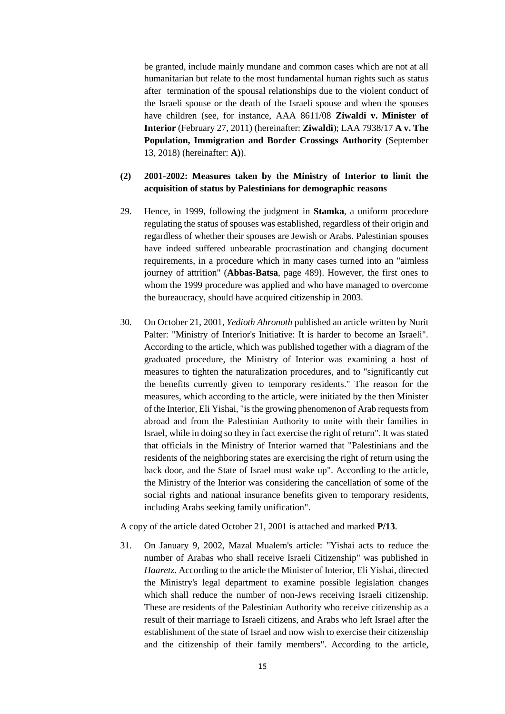be granted, include mainly mundane and common cases which are not at all humanitarian but relate to the most fundamental human rights such as status after termination of the spousal relationships due to the violent conduct of the Israeli spouse or the death of the Israeli spouse and when the spouses have children (see, for instance, AAA 8611/08 **Ziwaldi v. Minister of Interior** (February 27, 2011) (hereinafter: **Ziwaldi**); LAA 7938/17 **A v. The Population, Immigration and Border Crossings Authority** (September 13, 2018) (hereinafter: **A)**).

### **(2) 2001-2002: Measures taken by the Ministry of Interior to limit the acquisition of status by Palestinians for demographic reasons**

- 29. Hence, in 1999, following the judgment in **Stamka**, a uniform procedure regulating the status of spouses was established, regardless of their origin and regardless of whether their spouses are Jewish or Arabs. Palestinian spouses have indeed suffered unbearable procrastination and changing document requirements, in a procedure which in many cases turned into an "aimless journey of attrition" (**Abbas-Batsa**, page 489). However, the first ones to whom the 1999 procedure was applied and who have managed to overcome the bureaucracy, should have acquired citizenship in 2003.
- 30. On October 21, 2001, *Yedioth Ahronoth* published an article written by Nurit Palter: "Ministry of Interior's Initiative: It is harder to become an Israeli". According to the article, which was published together with a diagram of the graduated procedure, the Ministry of Interior was examining a host of measures to tighten the naturalization procedures, and to "significantly cut the benefits currently given to temporary residents." The reason for the measures, which according to the article, were initiated by the then Minister of the Interior, Eli Yishai, "is the growing phenomenon of Arab requests from abroad and from the Palestinian Authority to unite with their families in Israel, while in doing so they in fact exercise the right of return". It was stated that officials in the Ministry of Interior warned that "Palestinians and the residents of the neighboring states are exercising the right of return using the back door, and the State of Israel must wake up". According to the article, the Ministry of the Interior was considering the cancellation of some of the social rights and national insurance benefits given to temporary residents, including Arabs seeking family unification".

A copy of the article dated October 21, 2001 is attached and marked **P/13**.

31. On January 9, 2002, Mazal Mualem's article: "Yishai acts to reduce the number of Arabas who shall receive Israeli Citizenship" was published in *Haaretz*. According to the article the Minister of Interior, Eli Yishai, directed the Ministry's legal department to examine possible legislation changes which shall reduce the number of non-Jews receiving Israeli citizenship. These are residents of the Palestinian Authority who receive citizenship as a result of their marriage to Israeli citizens, and Arabs who left Israel after the establishment of the state of Israel and now wish to exercise their citizenship and the citizenship of their family members". According to the article,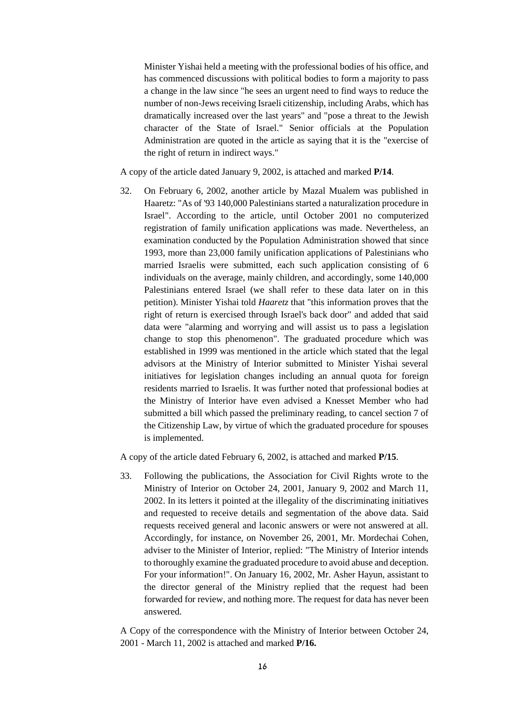Minister Yishai held a meeting with the professional bodies of his office, and has commenced discussions with political bodies to form a majority to pass a change in the law since "he sees an urgent need to find ways to reduce the number of non-Jews receiving Israeli citizenship, including Arabs, which has dramatically increased over the last years" and "pose a threat to the Jewish character of the State of Israel." Senior officials at the Population Administration are quoted in the article as saying that it is the "exercise of the right of return in indirect ways."

A copy of the article dated January 9, 2002, is attached and marked **P/14**.

32. On February 6, 2002, another article by Mazal Mualem was published in Haaretz: "As of '93 140,000 Palestinians started a naturalization procedure in Israel". According to the article, until October 2001 no computerized registration of family unification applications was made. Nevertheless, an examination conducted by the Population Administration showed that since 1993, more than 23,000 family unification applications of Palestinians who married Israelis were submitted, each such application consisting of 6 individuals on the average, mainly children, and accordingly, some 140,000 Palestinians entered Israel (we shall refer to these data later on in this petition). Minister Yishai told *Haaretz* that "this information proves that the right of return is exercised through Israel's back door" and added that said data were "alarming and worrying and will assist us to pass a legislation change to stop this phenomenon". The graduated procedure which was established in 1999 was mentioned in the article which stated that the legal advisors at the Ministry of Interior submitted to Minister Yishai several initiatives for legislation changes including an annual quota for foreign residents married to Israelis. It was further noted that professional bodies at the Ministry of Interior have even advised a Knesset Member who had submitted a bill which passed the preliminary reading, to cancel section 7 of the Citizenship Law, by virtue of which the graduated procedure for spouses is implemented.

A copy of the article dated February 6, 2002, is attached and marked **P/15**.

33. Following the publications, the Association for Civil Rights wrote to the Ministry of Interior on October 24, 2001, January 9, 2002 and March 11, 2002. In its letters it pointed at the illegality of the discriminating initiatives and requested to receive details and segmentation of the above data. Said requests received general and laconic answers or were not answered at all. Accordingly, for instance, on November 26, 2001, Mr. Mordechai Cohen, adviser to the Minister of Interior, replied: "The Ministry of Interior intends to thoroughly examine the graduated procedure to avoid abuse and deception. For your information!". On January 16, 2002, Mr. Asher Hayun, assistant to the director general of the Ministry replied that the request had been forwarded for review, and nothing more. The request for data has never been answered.

A Copy of the correspondence with the Ministry of Interior between October 24, 2001 - March 11, 2002 is attached and marked **P/16.**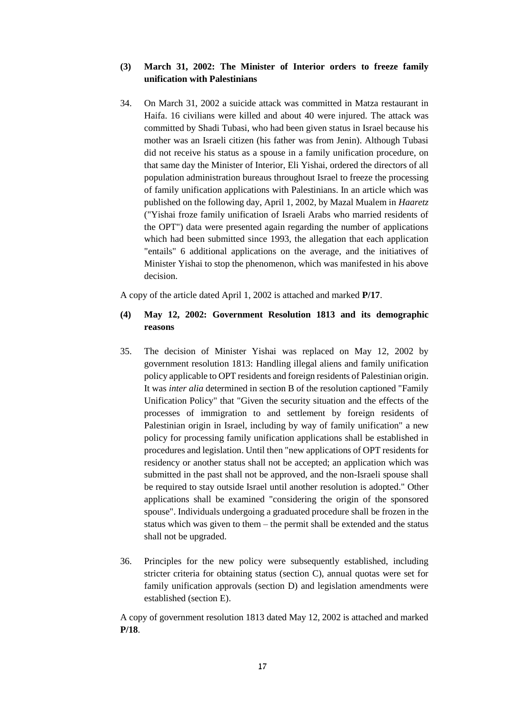## **(3) March 31, 2002: The Minister of Interior orders to freeze family unification with Palestinians**

34. On March 31, 2002 a suicide attack was committed in Matza restaurant in Haifa. 16 civilians were killed and about 40 were injured. The attack was committed by Shadi Tubasi, who had been given status in Israel because his mother was an Israeli citizen (his father was from Jenin). Although Tubasi did not receive his status as a spouse in a family unification procedure, on that same day the Minister of Interior, Eli Yishai, ordered the directors of all population administration bureaus throughout Israel to freeze the processing of family unification applications with Palestinians. In an article which was published on the following day, April 1, 2002, by Mazal Mualem in *Haaretz*  ("Yishai froze family unification of Israeli Arabs who married residents of the OPT") data were presented again regarding the number of applications which had been submitted since 1993, the allegation that each application "entails" 6 additional applications on the average, and the initiatives of Minister Yishai to stop the phenomenon, which was manifested in his above decision.

A copy of the article dated April 1, 2002 is attached and marked **P/17**.

# **(4) May 12, 2002: Government Resolution 1813 and its demographic reasons**

- 35. The decision of Minister Yishai was replaced on May 12, 2002 by government resolution 1813: Handling illegal aliens and family unification policy applicable to OPT residents and foreign residents of Palestinian origin. It was *inter alia* determined in section B of the resolution captioned "Family Unification Policy" that "Given the security situation and the effects of the processes of immigration to and settlement by foreign residents of Palestinian origin in Israel, including by way of family unification" a new policy for processing family unification applications shall be established in procedures and legislation. Until then "new applications of OPT residents for residency or another status shall not be accepted; an application which was submitted in the past shall not be approved, and the non-Israeli spouse shall be required to stay outside Israel until another resolution is adopted." Other applications shall be examined "considering the origin of the sponsored spouse". Individuals undergoing a graduated procedure shall be frozen in the status which was given to them – the permit shall be extended and the status shall not be upgraded.
- 36. Principles for the new policy were subsequently established, including stricter criteria for obtaining status (section C), annual quotas were set for family unification approvals (section D) and legislation amendments were established (section E).

A copy of government resolution 1813 dated May 12, 2002 is attached and marked **P/18**.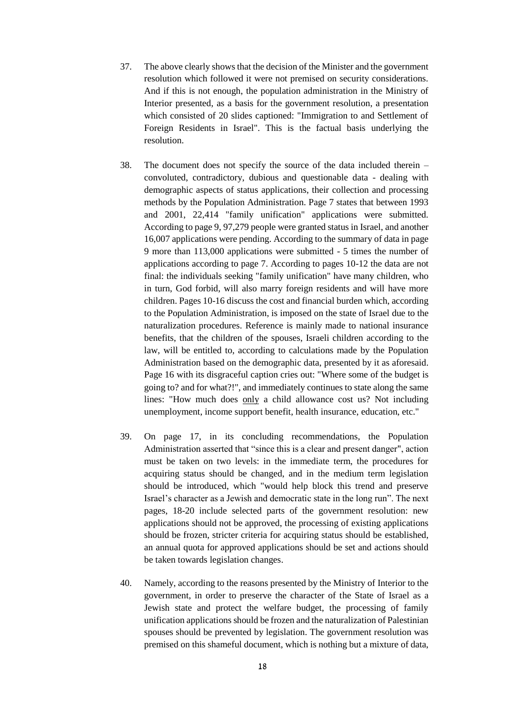- 37. The above clearly shows that the decision of the Minister and the government resolution which followed it were not premised on security considerations. And if this is not enough, the population administration in the Ministry of Interior presented, as a basis for the government resolution, a presentation which consisted of 20 slides captioned: "Immigration to and Settlement of Foreign Residents in Israel". This is the factual basis underlying the resolution.
- 38. The document does not specify the source of the data included therein convoluted, contradictory, dubious and questionable data - dealing with demographic aspects of status applications, their collection and processing methods by the Population Administration. Page 7 states that between 1993 and 2001, 22,414 "family unification" applications were submitted. According to page 9, 97,279 people were granted status in Israel, and another 16,007 applications were pending. According to the summary of data in page 9 more than 113,000 applications were submitted - 5 times the number of applications according to page 7. According to pages 10-12 the data are not final: the individuals seeking "family unification" have many children, who in turn, God forbid, will also marry foreign residents and will have more children. Pages 10-16 discuss the cost and financial burden which, according to the Population Administration, is imposed on the state of Israel due to the naturalization procedures. Reference is mainly made to national insurance benefits, that the children of the spouses, Israeli children according to the law, will be entitled to, according to calculations made by the Population Administration based on the demographic data, presented by it as aforesaid. Page 16 with its disgraceful caption cries out: "Where some of the budget is going to? and for what?!", and immediately continues to state along the same lines: "How much does only a child allowance cost us? Not including unemployment, income support benefit, health insurance, education, etc."
- 39. On page 17, in its concluding recommendations, the Population Administration asserted that "since this is a clear and present danger", action must be taken on two levels: in the immediate term, the procedures for acquiring status should be changed, and in the medium term legislation should be introduced, which "would help block this trend and preserve Israel's character as a Jewish and democratic state in the long run". The next pages, 18-20 include selected parts of the government resolution: new applications should not be approved, the processing of existing applications should be frozen, stricter criteria for acquiring status should be established, an annual quota for approved applications should be set and actions should be taken towards legislation changes.
- 40. Namely, according to the reasons presented by the Ministry of Interior to the government, in order to preserve the character of the State of Israel as a Jewish state and protect the welfare budget, the processing of family unification applications should be frozen and the naturalization of Palestinian spouses should be prevented by legislation. The government resolution was premised on this shameful document, which is nothing but a mixture of data,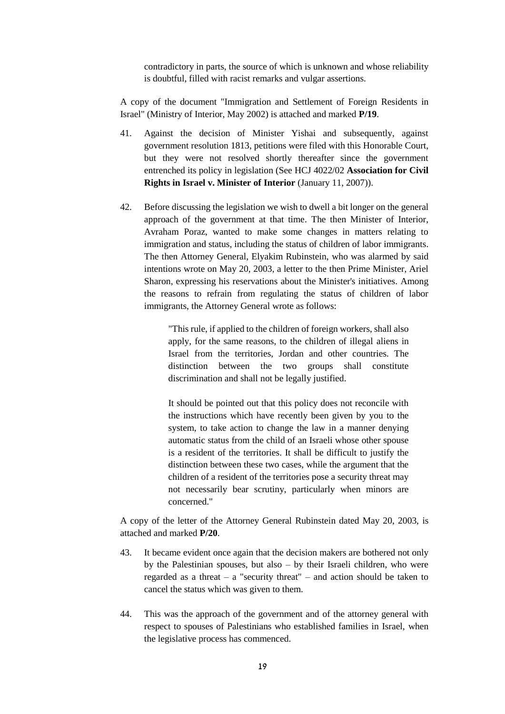contradictory in parts, the source of which is unknown and whose reliability is doubtful, filled with racist remarks and vulgar assertions.

A copy of the document "Immigration and Settlement of Foreign Residents in Israel" (Ministry of Interior, May 2002) is attached and marked **P/19**.

- 41. Against the decision of Minister Yishai and subsequently, against government resolution 1813, petitions were filed with this Honorable Court, but they were not resolved shortly thereafter since the government entrenched its policy in legislation (See HCJ 4022/02 **Association for Civil Rights in Israel v. Minister of Interior** (January 11, 2007)).
- 42. Before discussing the legislation we wish to dwell a bit longer on the general approach of the government at that time. The then Minister of Interior, Avraham Poraz, wanted to make some changes in matters relating to immigration and status, including the status of children of labor immigrants. The then Attorney General, Elyakim Rubinstein, who was alarmed by said intentions wrote on May 20, 2003, a letter to the then Prime Minister, Ariel Sharon, expressing his reservations about the Minister's initiatives. Among the reasons to refrain from regulating the status of children of labor immigrants, the Attorney General wrote as follows:

"This rule, if applied to the children of foreign workers, shall also apply, for the same reasons, to the children of illegal aliens in Israel from the territories, Jordan and other countries. The distinction between the two groups shall constitute discrimination and shall not be legally justified.

It should be pointed out that this policy does not reconcile with the instructions which have recently been given by you to the system, to take action to change the law in a manner denying automatic status from the child of an Israeli whose other spouse is a resident of the territories. It shall be difficult to justify the distinction between these two cases, while the argument that the children of a resident of the territories pose a security threat may not necessarily bear scrutiny, particularly when minors are concerned."

A copy of the letter of the Attorney General Rubinstein dated May 20, 2003, is attached and marked **P/20**.

- 43. It became evident once again that the decision makers are bothered not only by the Palestinian spouses, but also – by their Israeli children, who were regarded as a threat – a "security threat" – and action should be taken to cancel the status which was given to them.
- 44. This was the approach of the government and of the attorney general with respect to spouses of Palestinians who established families in Israel, when the legislative process has commenced.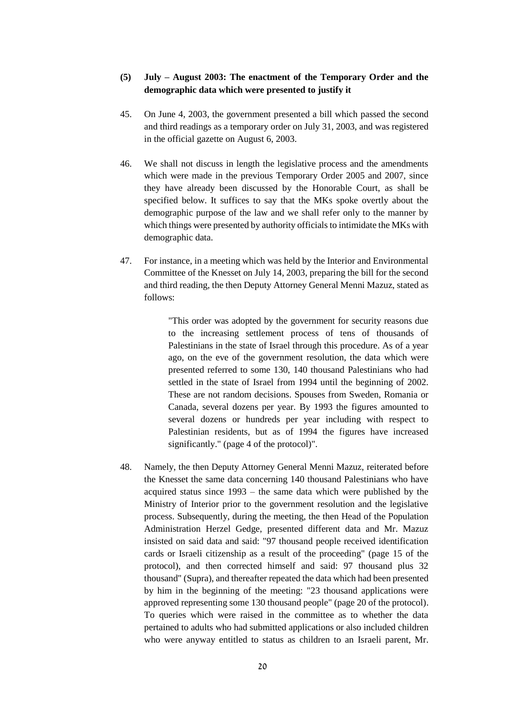# **(5) July – August 2003: The enactment of the Temporary Order and the demographic data which were presented to justify it**

- 45. On June 4, 2003, the government presented a bill which passed the second and third readings as a temporary order on July 31, 2003, and was registered in the official gazette on August 6, 2003.
- 46. We shall not discuss in length the legislative process and the amendments which were made in the previous Temporary Order 2005 and 2007, since they have already been discussed by the Honorable Court, as shall be specified below. It suffices to say that the MKs spoke overtly about the demographic purpose of the law and we shall refer only to the manner by which things were presented by authority officials to intimidate the MKs with demographic data.
- 47. For instance, in a meeting which was held by the Interior and Environmental Committee of the Knesset on July 14, 2003, preparing the bill for the second and third reading, the then Deputy Attorney General Menni Mazuz, stated as follows:

"This order was adopted by the government for security reasons due to the increasing settlement process of tens of thousands of Palestinians in the state of Israel through this procedure. As of a year ago, on the eve of the government resolution, the data which were presented referred to some 130, 140 thousand Palestinians who had settled in the state of Israel from 1994 until the beginning of 2002. These are not random decisions. Spouses from Sweden, Romania or Canada, several dozens per year. By 1993 the figures amounted to several dozens or hundreds per year including with respect to Palestinian residents, but as of 1994 the figures have increased significantly." (page 4 of the protocol)".

48. Namely, the then Deputy Attorney General Menni Mazuz, reiterated before the Knesset the same data concerning 140 thousand Palestinians who have acquired status since 1993 – the same data which were published by the Ministry of Interior prior to the government resolution and the legislative process. Subsequently, during the meeting, the then Head of the Population Administration Herzel Gedge, presented different data and Mr. Mazuz insisted on said data and said: "97 thousand people received identification cards or Israeli citizenship as a result of the proceeding" (page 15 of the protocol), and then corrected himself and said: 97 thousand plus 32 thousand" (Supra), and thereafter repeated the data which had been presented by him in the beginning of the meeting: "23 thousand applications were approved representing some 130 thousand people" (page 20 of the protocol). To queries which were raised in the committee as to whether the data pertained to adults who had submitted applications or also included children who were anyway entitled to status as children to an Israeli parent, Mr.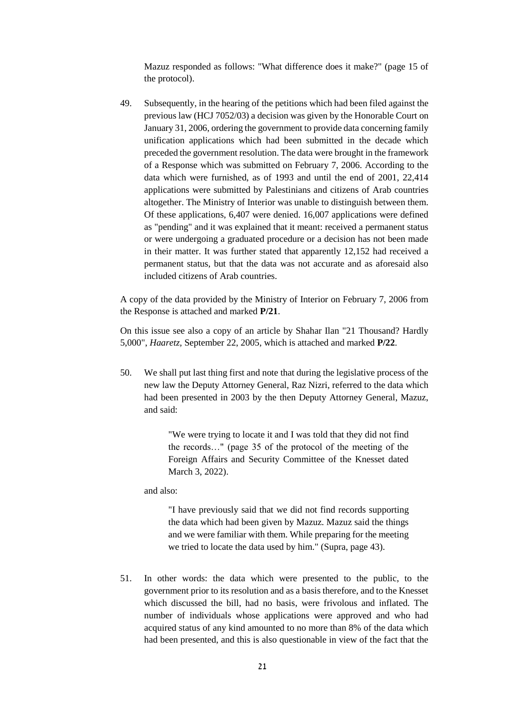Mazuz responded as follows: "What difference does it make?" (page 15 of the protocol).

49. Subsequently, in the hearing of the petitions which had been filed against the previous law (HCJ 7052/03) a decision was given by the Honorable Court on January 31, 2006, ordering the government to provide data concerning family unification applications which had been submitted in the decade which preceded the government resolution. The data were brought in the framework of a Response which was submitted on February 7, 2006. According to the data which were furnished, as of 1993 and until the end of 2001, 22,414 applications were submitted by Palestinians and citizens of Arab countries altogether. The Ministry of Interior was unable to distinguish between them. Of these applications, 6,407 were denied. 16,007 applications were defined as "pending" and it was explained that it meant: received a permanent status or were undergoing a graduated procedure or a decision has not been made in their matter. It was further stated that apparently 12,152 had received a permanent status, but that the data was not accurate and as aforesaid also included citizens of Arab countries.

A copy of the data provided by the Ministry of Interior on February 7, 2006 from the Response is attached and marked **P/21**.

On this issue see also a copy of an article by Shahar Ilan "21 Thousand? Hardly 5,000", *Haaretz,* September 22, 2005, which is attached and marked **P/22**.

50. We shall put last thing first and note that during the legislative process of the new law the Deputy Attorney General, Raz Nizri, referred to the data which had been presented in 2003 by the then Deputy Attorney General, Mazuz, and said:

> "We were trying to locate it and I was told that they did not find the records…" (page 35 of the protocol of the meeting of the Foreign Affairs and Security Committee of the Knesset dated March 3, 2022).

and also:

"I have previously said that we did not find records supporting the data which had been given by Mazuz. Mazuz said the things and we were familiar with them. While preparing for the meeting we tried to locate the data used by him." (Supra, page 43).

51. In other words: the data which were presented to the public, to the government prior to its resolution and as a basis therefore, and to the Knesset which discussed the bill, had no basis, were frivolous and inflated. The number of individuals whose applications were approved and who had acquired status of any kind amounted to no more than 8% of the data which had been presented, and this is also questionable in view of the fact that the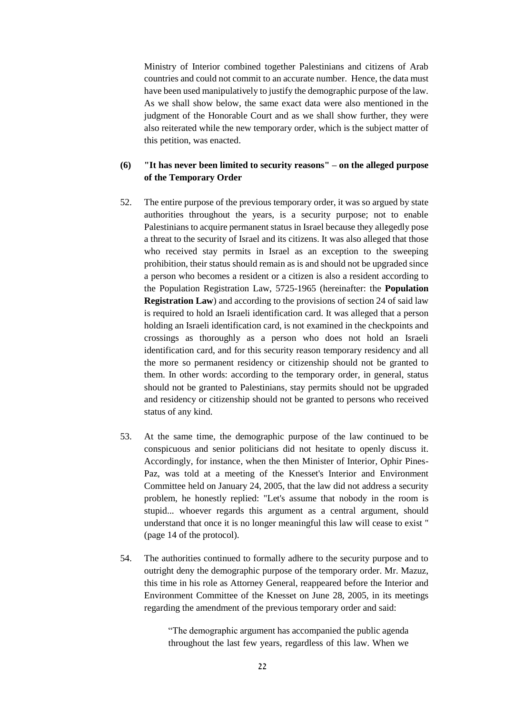Ministry of Interior combined together Palestinians and citizens of Arab countries and could not commit to an accurate number. Hence, the data must have been used manipulatively to justify the demographic purpose of the law. As we shall show below, the same exact data were also mentioned in the judgment of the Honorable Court and as we shall show further, they were also reiterated while the new temporary order, which is the subject matter of this petition, was enacted.

# **(6) "It has never been limited to security reasons" – on the alleged purpose of the Temporary Order**

- 52. The entire purpose of the previous temporary order, it was so argued by state authorities throughout the years, is a security purpose; not to enable Palestinians to acquire permanent status in Israel because they allegedly pose a threat to the security of Israel and its citizens. It was also alleged that those who received stay permits in Israel as an exception to the sweeping prohibition, their status should remain as is and should not be upgraded since a person who becomes a resident or a citizen is also a resident according to the Population Registration Law, 5725-1965 (hereinafter: the **Population Registration Law**) and according to the provisions of section 24 of said law is required to hold an Israeli identification card. It was alleged that a person holding an Israeli identification card, is not examined in the checkpoints and crossings as thoroughly as a person who does not hold an Israeli identification card, and for this security reason temporary residency and all the more so permanent residency or citizenship should not be granted to them. In other words: according to the temporary order, in general, status should not be granted to Palestinians, stay permits should not be upgraded and residency or citizenship should not be granted to persons who received status of any kind.
- 53. At the same time, the demographic purpose of the law continued to be conspicuous and senior politicians did not hesitate to openly discuss it. Accordingly, for instance, when the then Minister of Interior, Ophir Pines-Paz, was told at a meeting of the Knesset's Interior and Environment Committee held on January 24, 2005, that the law did not address a security problem, he honestly replied: "Let's assume that nobody in the room is stupid... whoever regards this argument as a central argument, should understand that once it is no longer meaningful this law will cease to exist " (page 14 of the protocol).
- 54. The authorities continued to formally adhere to the security purpose and to outright deny the demographic purpose of the temporary order. Mr. Mazuz, this time in his role as Attorney General, reappeared before the Interior and Environment Committee of the Knesset on June 28, 2005, in its meetings regarding the amendment of the previous temporary order and said:

"The demographic argument has accompanied the public agenda throughout the last few years, regardless of this law. When we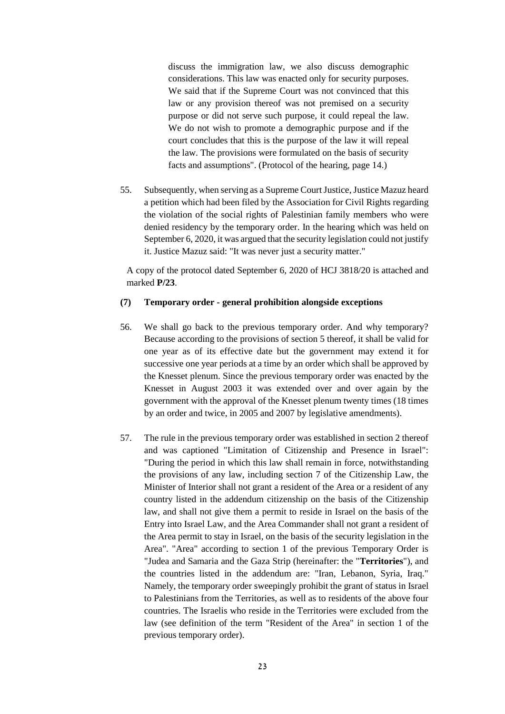discuss the immigration law, we also discuss demographic considerations. This law was enacted only for security purposes. We said that if the Supreme Court was not convinced that this law or any provision thereof was not premised on a security purpose or did not serve such purpose, it could repeal the law. We do not wish to promote a demographic purpose and if the court concludes that this is the purpose of the law it will repeal the law. The provisions were formulated on the basis of security facts and assumptions". (Protocol of the hearing, page 14.)

55. Subsequently, when serving as a Supreme Court Justice, Justice Mazuz heard a petition which had been filed by the Association for Civil Rights regarding the violation of the social rights of Palestinian family members who were denied residency by the temporary order. In the hearing which was held on September 6, 2020, it was argued that the security legislation could not justify it. Justice Mazuz said: "It was never just a security matter."

A copy of the protocol dated September 6, 2020 of HCJ 3818/20 is attached and marked **P/23**.

#### **(7) Temporary order - general prohibition alongside exceptions**

- 56. We shall go back to the previous temporary order. And why temporary? Because according to the provisions of section 5 thereof, it shall be valid for one year as of its effective date but the government may extend it for successive one year periods at a time by an order which shall be approved by the Knesset plenum. Since the previous temporary order was enacted by the Knesset in August 2003 it was extended over and over again by the government with the approval of the Knesset plenum twenty times (18 times by an order and twice, in 2005 and 2007 by legislative amendments).
- 57. The rule in the previous temporary order was established in section 2 thereof and was captioned "Limitation of Citizenship and Presence in Israel": "During the period in which this law shall remain in force, notwithstanding the provisions of any law, including section 7 of the Citizenship Law, the Minister of Interior shall not grant a resident of the Area or a resident of any country listed in the addendum citizenship on the basis of the Citizenship law, and shall not give them a permit to reside in Israel on the basis of the Entry into Israel Law, and the Area Commander shall not grant a resident of the Area permit to stay in Israel, on the basis of the security legislation in the Area". "Area" according to section 1 of the previous Temporary Order is "Judea and Samaria and the Gaza Strip (hereinafter: the "**Territories**"), and the countries listed in the addendum are: "Iran, Lebanon, Syria, Iraq." Namely, the temporary order sweepingly prohibit the grant of status in Israel to Palestinians from the Territories, as well as to residents of the above four countries. The Israelis who reside in the Territories were excluded from the law (see definition of the term "Resident of the Area" in section 1 of the previous temporary order).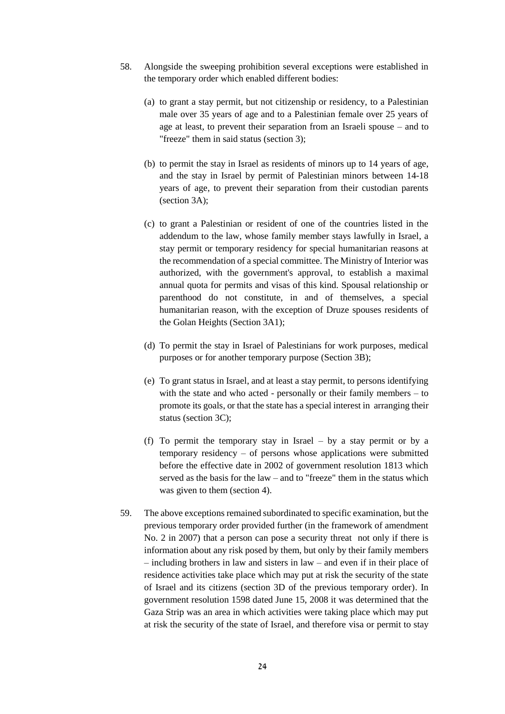- 58. Alongside the sweeping prohibition several exceptions were established in the temporary order which enabled different bodies:
	- (a) to grant a stay permit, but not citizenship or residency, to a Palestinian male over 35 years of age and to a Palestinian female over 25 years of age at least, to prevent their separation from an Israeli spouse – and to "freeze" them in said status (section 3);
	- (b) to permit the stay in Israel as residents of minors up to 14 years of age, and the stay in Israel by permit of Palestinian minors between 14-18 years of age, to prevent their separation from their custodian parents (section 3A);
	- (c) to grant a Palestinian or resident of one of the countries listed in the addendum to the law, whose family member stays lawfully in Israel, a stay permit or temporary residency for special humanitarian reasons at the recommendation of a special committee. The Ministry of Interior was authorized, with the government's approval, to establish a maximal annual quota for permits and visas of this kind. Spousal relationship or parenthood do not constitute, in and of themselves, a special humanitarian reason, with the exception of Druze spouses residents of the Golan Heights (Section 3A1);
	- (d) To permit the stay in Israel of Palestinians for work purposes, medical purposes or for another temporary purpose (Section 3B);
	- (e) To grant status in Israel, and at least a stay permit, to persons identifying with the state and who acted - personally or their family members – to promote its goals, or that the state has a special interest in arranging their status (section 3C);
	- (f) To permit the temporary stay in Israel by a stay permit or by a temporary residency – of persons whose applications were submitted before the effective date in 2002 of government resolution 1813 which served as the basis for the law – and to "freeze" them in the status which was given to them (section 4).
- 59. The above exceptions remained subordinated to specific examination, but the previous temporary order provided further (in the framework of amendment No. 2 in 2007) that a person can pose a security threat not only if there is information about any risk posed by them, but only by their family members – including brothers in law and sisters in law – and even if in their place of residence activities take place which may put at risk the security of the state of Israel and its citizens (section 3D of the previous temporary order). In government resolution 1598 dated June 15, 2008 it was determined that the Gaza Strip was an area in which activities were taking place which may put at risk the security of the state of Israel, and therefore visa or permit to stay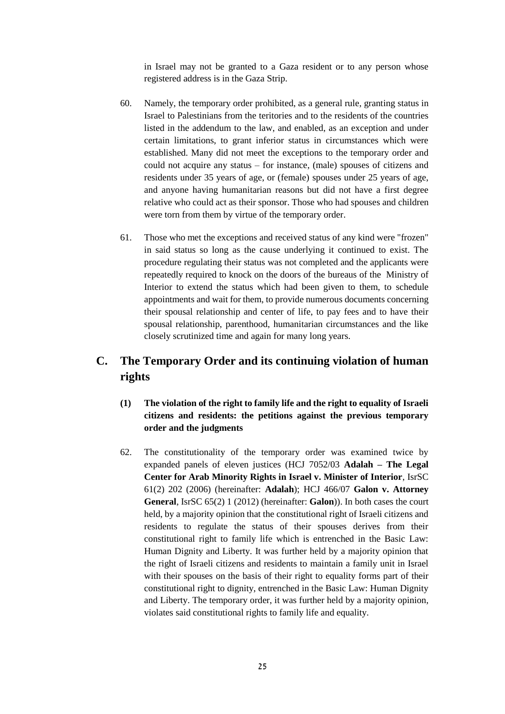in Israel may not be granted to a Gaza resident or to any person whose registered address is in the Gaza Strip.

- 60. Namely, the temporary order prohibited, as a general rule, granting status in Israel to Palestinians from the teritories and to the residents of the countries listed in the addendum to the law, and enabled, as an exception and under certain limitations, to grant inferior status in circumstances which were established. Many did not meet the exceptions to the temporary order and could not acquire any status – for instance, (male) spouses of citizens and residents under 35 years of age, or (female) spouses under 25 years of age, and anyone having humanitarian reasons but did not have a first degree relative who could act as their sponsor. Those who had spouses and children were torn from them by virtue of the temporary order.
- 61. Those who met the exceptions and received status of any kind were "frozen" in said status so long as the cause underlying it continued to exist. The procedure regulating their status was not completed and the applicants were repeatedly required to knock on the doors of the bureaus of the Ministry of Interior to extend the status which had been given to them, to schedule appointments and wait for them, to provide numerous documents concerning their spousal relationship and center of life, to pay fees and to have their spousal relationship, parenthood, humanitarian circumstances and the like closely scrutinized time and again for many long years.

# **C. The Temporary Order and its continuing violation of human rights**

- **(1) The violation of the right to family life and the right to equality of Israeli citizens and residents: the petitions against the previous temporary order and the judgments**
- 62. The constitutionality of the temporary order was examined twice by expanded panels of eleven justices (HCJ 7052/03 **Adalah – The Legal Center for Arab Minority Rights in Israel v. Minister of Interior**, IsrSC 61(2) 202 (2006) (hereinafter: **Adalah**); HCJ 466/07 **Galon v. Attorney General**, IsrSC 65(2) 1 (2012) (hereinafter: **Galon**)). In both cases the court held, by a majority opinion that the constitutional right of Israeli citizens and residents to regulate the status of their spouses derives from their constitutional right to family life which is entrenched in the Basic Law: Human Dignity and Liberty. It was further held by a majority opinion that the right of Israeli citizens and residents to maintain a family unit in Israel with their spouses on the basis of their right to equality forms part of their constitutional right to dignity, entrenched in the Basic Law: Human Dignity and Liberty. The temporary order, it was further held by a majority opinion, violates said constitutional rights to family life and equality.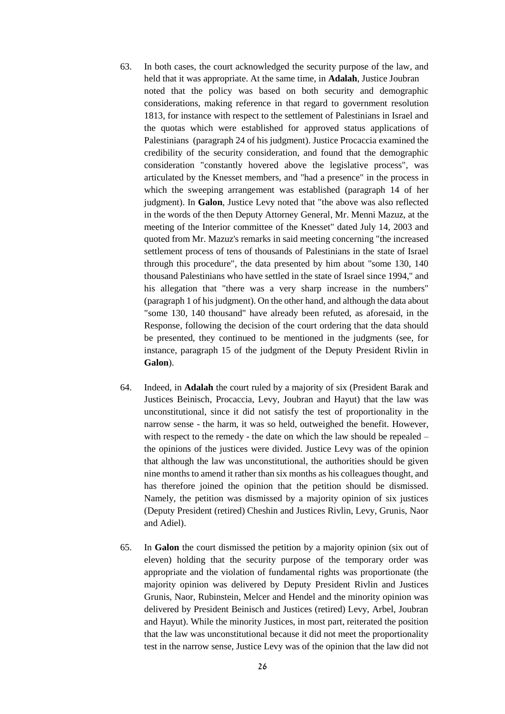- 63. In both cases, the court acknowledged the security purpose of the law, and held that it was appropriate. At the same time, in **Adalah**, Justice Joubran noted that the policy was based on both security and demographic considerations, making reference in that regard to government resolution 1813, for instance with respect to the settlement of Palestinians in Israel and the quotas which were established for approved status applications of Palestinians (paragraph 24 of his judgment). Justice Procaccia examined the credibility of the security consideration, and found that the demographic consideration "constantly hovered above the legislative process", was articulated by the Knesset members, and "had a presence" in the process in which the sweeping arrangement was established (paragraph 14 of her judgment). In **Galon**, Justice Levy noted that "the above was also reflected in the words of the then Deputy Attorney General, Mr. Menni Mazuz, at the meeting of the Interior committee of the Knesset" dated July 14, 2003 and quoted from Mr. Mazuz's remarks in said meeting concerning "the increased settlement process of tens of thousands of Palestinians in the state of Israel through this procedure", the data presented by him about "some 130, 140 thousand Palestinians who have settled in the state of Israel since 1994," and his allegation that "there was a very sharp increase in the numbers" (paragraph 1 of his judgment). On the other hand, and although the data about "some 130, 140 thousand" have already been refuted, as aforesaid, in the Response, following the decision of the court ordering that the data should be presented, they continued to be mentioned in the judgments (see, for instance, paragraph 15 of the judgment of the Deputy President Rivlin in **Galon**).
- 64. Indeed, in **Adalah** the court ruled by a majority of six (President Barak and Justices Beinisch, Procaccia, Levy, Joubran and Hayut) that the law was unconstitutional, since it did not satisfy the test of proportionality in the narrow sense - the harm, it was so held, outweighed the benefit. However, with respect to the remedy - the date on which the law should be repealed – the opinions of the justices were divided. Justice Levy was of the opinion that although the law was unconstitutional, the authorities should be given nine months to amend it rather than six months as his colleagues thought, and has therefore joined the opinion that the petition should be dismissed. Namely, the petition was dismissed by a majority opinion of six justices (Deputy President (retired) Cheshin and Justices Rivlin, Levy, Grunis, Naor and Adiel).
- 65. In **Galon** the court dismissed the petition by a majority opinion (six out of eleven) holding that the security purpose of the temporary order was appropriate and the violation of fundamental rights was proportionate (the majority opinion was delivered by Deputy President Rivlin and Justices Grunis, Naor, Rubinstein, Melcer and Hendel and the minority opinion was delivered by President Beinisch and Justices (retired) Levy, Arbel, Joubran and Hayut). While the minority Justices, in most part, reiterated the position that the law was unconstitutional because it did not meet the proportionality test in the narrow sense, Justice Levy was of the opinion that the law did not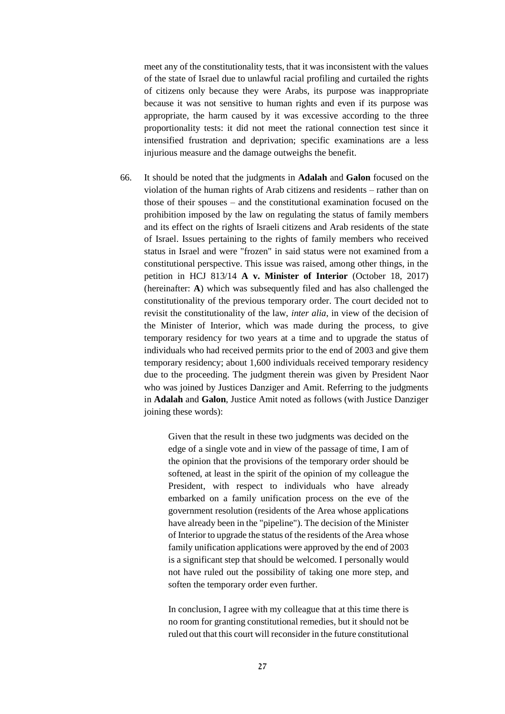meet any of the constitutionality tests, that it was inconsistent with the values of the state of Israel due to unlawful racial profiling and curtailed the rights of citizens only because they were Arabs, its purpose was inappropriate because it was not sensitive to human rights and even if its purpose was appropriate, the harm caused by it was excessive according to the three proportionality tests: it did not meet the rational connection test since it intensified frustration and deprivation; specific examinations are a less injurious measure and the damage outweighs the benefit.

66. It should be noted that the judgments in **Adalah** and **Galon** focused on the violation of the human rights of Arab citizens and residents – rather than on those of their spouses – and the constitutional examination focused on the prohibition imposed by the law on regulating the status of family members and its effect on the rights of Israeli citizens and Arab residents of the state of Israel. Issues pertaining to the rights of family members who received status in Israel and were "frozen" in said status were not examined from a constitutional perspective. This issue was raised, among other things, in the petition in HCJ 813/14 **A v. Minister of Interior** (October 18, 2017) (hereinafter: **A**) which was subsequently filed and has also challenged the constitutionality of the previous temporary order. The court decided not to revisit the constitutionality of the law, *inter alia*, in view of the decision of the Minister of Interior, which was made during the process, to give temporary residency for two years at a time and to upgrade the status of individuals who had received permits prior to the end of 2003 and give them temporary residency; about 1,600 individuals received temporary residency due to the proceeding. The judgment therein was given by President Naor who was joined by Justices Danziger and Amit. Referring to the judgments in **Adalah** and **Galon**, Justice Amit noted as follows (with Justice Danziger joining these words):

> Given that the result in these two judgments was decided on the edge of a single vote and in view of the passage of time, I am of the opinion that the provisions of the temporary order should be softened, at least in the spirit of the opinion of my colleague the President, with respect to individuals who have already embarked on a family unification process on the eve of the government resolution (residents of the Area whose applications have already been in the "pipeline"). The decision of the Minister of Interior to upgrade the status of the residents of the Area whose family unification applications were approved by the end of 2003 is a significant step that should be welcomed. I personally would not have ruled out the possibility of taking one more step, and soften the temporary order even further.

> In conclusion, I agree with my colleague that at this time there is no room for granting constitutional remedies, but it should not be ruled out that this court will reconsider in the future constitutional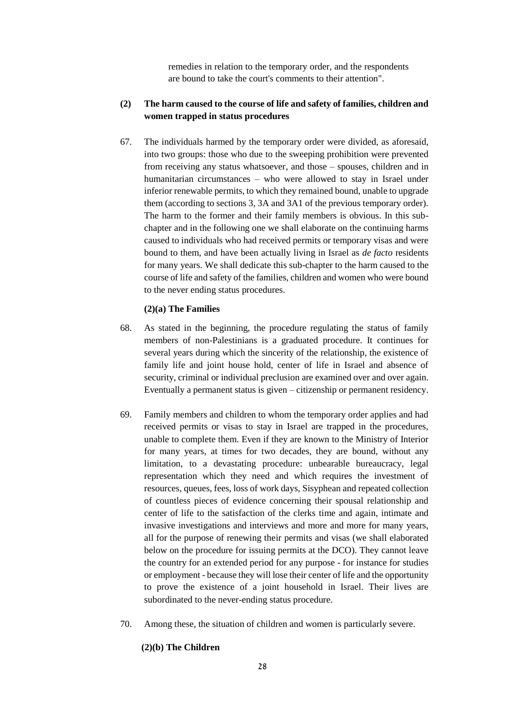remedies in relation to the temporary order, and the respondents are bound to take the court's comments to their attention".

## **(2) The harm caused to the course of life and safety of families, children and women trapped in status procedures**

67. The individuals harmed by the temporary order were divided, as aforesaid, into two groups: those who due to the sweeping prohibition were prevented from receiving any status whatsoever, and those – spouses, children and in humanitarian circumstances – who were allowed to stay in Israel under inferior renewable permits, to which they remained bound, unable to upgrade them (according to sections 3, 3A and 3A1 of the previous temporary order). The harm to the former and their family members is obvious. In this subchapter and in the following one we shall elaborate on the continuing harms caused to individuals who had received permits or temporary visas and were bound to them, and have been actually living in Israel as *de facto* residents for many years. We shall dedicate this sub-chapter to the harm caused to the course of life and safety of the families, children and women who were bound to the never ending status procedures.

### **(2)(a) The Families**

- 68. As stated in the beginning, the procedure regulating the status of family members of non-Palestinians is a graduated procedure. It continues for several years during which the sincerity of the relationship, the existence of family life and joint house hold, center of life in Israel and absence of security, criminal or individual preclusion are examined over and over again. Eventually a permanent status is given – citizenship or permanent residency.
- 69. Family members and children to whom the temporary order applies and had received permits or visas to stay in Israel are trapped in the procedures, unable to complete them. Even if they are known to the Ministry of Interior for many years, at times for two decades, they are bound, without any limitation, to a devastating procedure: unbearable bureaucracy, legal representation which they need and which requires the investment of resources, queues, fees, loss of work days, Sisyphean and repeated collection of countless pieces of evidence concerning their spousal relationship and center of life to the satisfaction of the clerks time and again, intimate and invasive investigations and interviews and more and more for many years, all for the purpose of renewing their permits and visas (we shall elaborated below on the procedure for issuing permits at the DCO). They cannot leave the country for an extended period for any purpose - for instance for studies or employment - because they will lose their center of life and the opportunity to prove the existence of a joint household in Israel. Their lives are subordinated to the never-ending status procedure.
- 70. Among these, the situation of children and women is particularly severe.

# **(2)(b) The Children**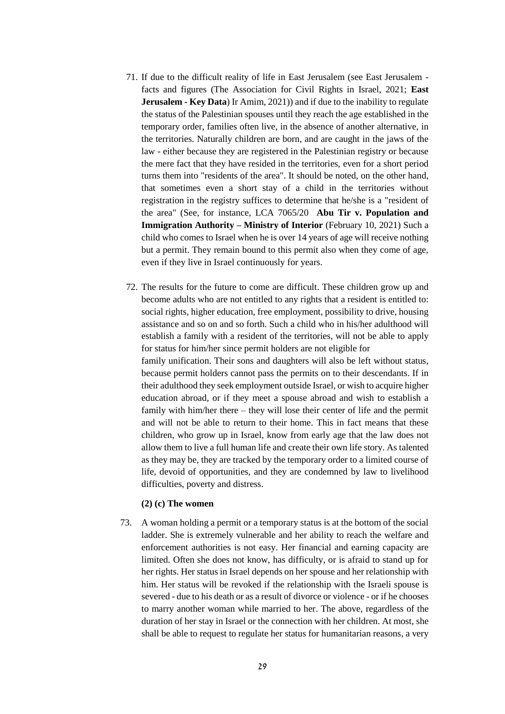- 71. If due to the difficult reality of life in East Jerusalem (see East Jerusalem facts and figures (The Association for Civil Rights in Israel, 2021; **East Jerusalem - Key Data**) Ir Amim, 2021)) and if due to the inability to regulate the status of the Palestinian spouses until they reach the age established in the temporary order, families often live, in the absence of another alternative, in the territories. Naturally children are born, and are caught in the jaws of the law - either because they are registered in the Palestinian registry or because the mere fact that they have resided in the territories, even for a short period turns them into "residents of the area". It should be noted, on the other hand, that sometimes even a short stay of a child in the territories without registration in the registry suffices to determine that he/she is a "resident of the area" (See, for instance, LCA 7065/20 **Abu Tir v. Population and Immigration Authority – Ministry of Interior** (February 10, 2021) Such a child who comes to Israel when he is over 14 years of age will receive nothing but a permit. They remain bound to this permit also when they come of age, even if they live in Israel continuously for years.
- 72. The results for the future to come are difficult. These children grow up and become adults who are not entitled to any rights that a resident is entitled to: social rights, higher education, free employment, possibility to drive, housing assistance and so on and so forth. Such a child who in his/her adulthood will establish a family with a resident of the territories, will not be able to apply for status for him/her since permit holders are not eligible for family unification. Their sons and daughters will also be left without status, because permit holders cannot pass the permits on to their descendants. If in their adulthood they seek employment outside Israel, or wish to acquire higher education abroad, or if they meet a spouse abroad and wish to establish a family with him/her there – they will lose their center of life and the permit and will not be able to return to their home. This in fact means that these children, who grow up in Israel, know from early age that the law does not allow them to live a full human life and create their own life story. As talented as they may be, they are tracked by the temporary order to a limited course of life, devoid of opportunities, and they are condemned by law to livelihood difficulties, poverty and distress.

#### **(2) (c) The women**

73. A woman holding a permit or a temporary status is at the bottom of the social ladder. She is extremely vulnerable and her ability to reach the welfare and enforcement authorities is not easy. Her financial and earning capacity are limited. Often she does not know, has difficulty, or is afraid to stand up for her rights. Her status in Israel depends on her spouse and her relationship with him. Her status will be revoked if the relationship with the Israeli spouse is severed - due to his death or as a result of divorce or violence - or if he chooses to marry another woman while married to her. The above, regardless of the duration of her stay in Israel or the connection with her children. At most, she shall be able to request to regulate her status for humanitarian reasons, a very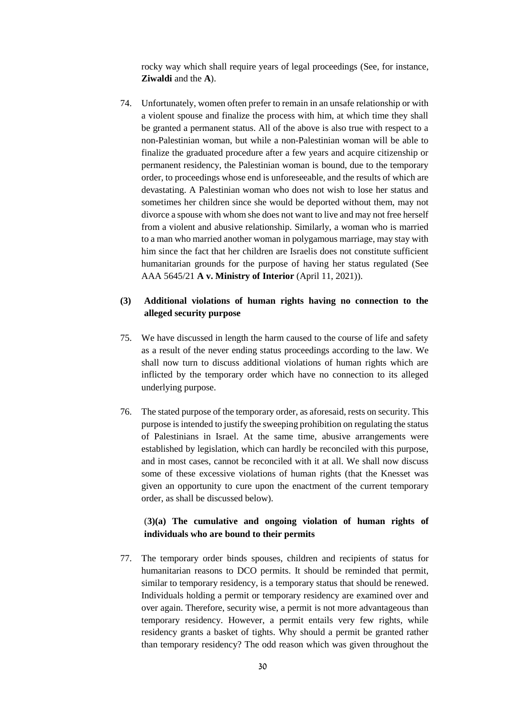rocky way which shall require years of legal proceedings (See, for instance, **Ziwaldi** and the **A**).

74. Unfortunately, women often prefer to remain in an unsafe relationship or with a violent spouse and finalize the process with him, at which time they shall be granted a permanent status. All of the above is also true with respect to a non-Palestinian woman, but while a non-Palestinian woman will be able to finalize the graduated procedure after a few years and acquire citizenship or permanent residency, the Palestinian woman is bound, due to the temporary order, to proceedings whose end is unforeseeable, and the results of which are devastating. A Palestinian woman who does not wish to lose her status and sometimes her children since she would be deported without them, may not divorce a spouse with whom she does not want to live and may not free herself from a violent and abusive relationship. Similarly, a woman who is married to a man who married another woman in polygamous marriage, may stay with him since the fact that her children are Israelis does not constitute sufficient humanitarian grounds for the purpose of having her status regulated (See AAA 5645/21 **A v. Ministry of Interior** (April 11, 2021)).

# **(3) Additional violations of human rights having no connection to the alleged security purpose**

- 75. We have discussed in length the harm caused to the course of life and safety as a result of the never ending status proceedings according to the law. We shall now turn to discuss additional violations of human rights which are inflicted by the temporary order which have no connection to its alleged underlying purpose.
- 76. The stated purpose of the temporary order, as aforesaid, rests on security. This purpose is intended to justify the sweeping prohibition on regulating the status of Palestinians in Israel. At the same time, abusive arrangements were established by legislation, which can hardly be reconciled with this purpose, and in most cases, cannot be reconciled with it at all. We shall now discuss some of these excessive violations of human rights (that the Knesset was given an opportunity to cure upon the enactment of the current temporary order, as shall be discussed below).

# (**3)(a) The cumulative and ongoing violation of human rights of individuals who are bound to their permits**

77. The temporary order binds spouses, children and recipients of status for humanitarian reasons to DCO permits. It should be reminded that permit, similar to temporary residency, is a temporary status that should be renewed. Individuals holding a permit or temporary residency are examined over and over again. Therefore, security wise, a permit is not more advantageous than temporary residency. However, a permit entails very few rights, while residency grants a basket of tights. Why should a permit be granted rather than temporary residency? The odd reason which was given throughout the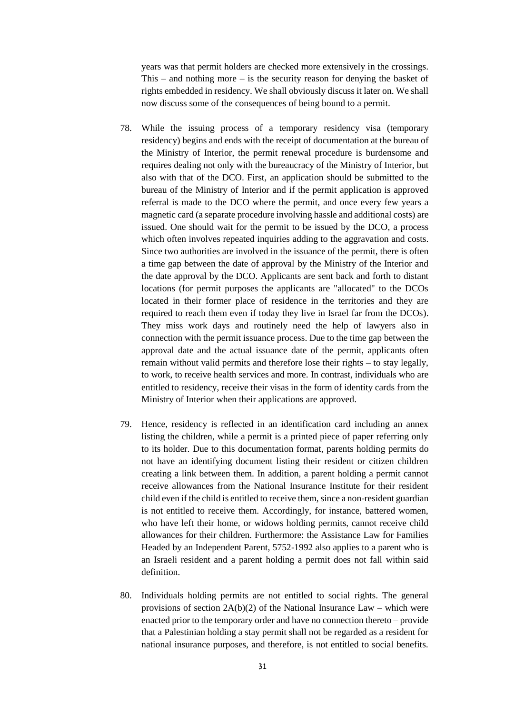years was that permit holders are checked more extensively in the crossings. This – and nothing more – is the security reason for denying the basket of rights embedded in residency. We shall obviously discuss it later on. We shall now discuss some of the consequences of being bound to a permit.

- 78. While the issuing process of a temporary residency visa (temporary residency) begins and ends with the receipt of documentation at the bureau of the Ministry of Interior, the permit renewal procedure is burdensome and requires dealing not only with the bureaucracy of the Ministry of Interior, but also with that of the DCO. First, an application should be submitted to the bureau of the Ministry of Interior and if the permit application is approved referral is made to the DCO where the permit, and once every few years a magnetic card (a separate procedure involving hassle and additional costs) are issued. One should wait for the permit to be issued by the DCO, a process which often involves repeated inquiries adding to the aggravation and costs. Since two authorities are involved in the issuance of the permit, there is often a time gap between the date of approval by the Ministry of the Interior and the date approval by the DCO. Applicants are sent back and forth to distant locations (for permit purposes the applicants are "allocated" to the DCOs located in their former place of residence in the territories and they are required to reach them even if today they live in Israel far from the DCOs). They miss work days and routinely need the help of lawyers also in connection with the permit issuance process. Due to the time gap between the approval date and the actual issuance date of the permit, applicants often remain without valid permits and therefore lose their rights – to stay legally, to work, to receive health services and more. In contrast, individuals who are entitled to residency, receive their visas in the form of identity cards from the Ministry of Interior when their applications are approved.
- 79. Hence, residency is reflected in an identification card including an annex listing the children, while a permit is a printed piece of paper referring only to its holder. Due to this documentation format, parents holding permits do not have an identifying document listing their resident or citizen children creating a link between them. In addition, a parent holding a permit cannot receive allowances from the National Insurance Institute for their resident child even if the child is entitled to receive them, since a non-resident guardian is not entitled to receive them. Accordingly, for instance, battered women, who have left their home, or widows holding permits, cannot receive child allowances for their children. Furthermore: the Assistance Law for Families Headed by an Independent Parent, 5752-1992 also applies to a parent who is an Israeli resident and a parent holding a permit does not fall within said definition.
- 80. Individuals holding permits are not entitled to social rights. The general provisions of section  $2A(b)(2)$  of the National Insurance Law – which were enacted prior to the temporary order and have no connection thereto – provide that a Palestinian holding a stay permit shall not be regarded as a resident for national insurance purposes, and therefore, is not entitled to social benefits.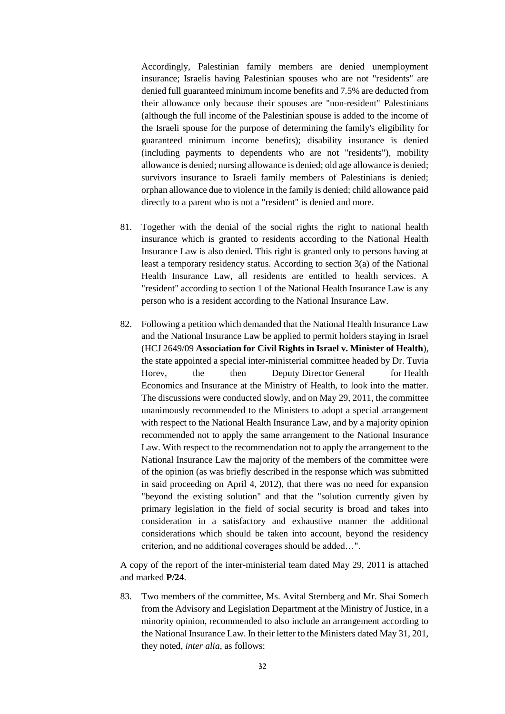Accordingly, Palestinian family members are denied unemployment insurance; Israelis having Palestinian spouses who are not "residents" are denied full guaranteed minimum income benefits and 7.5% are deducted from their allowance only because their spouses are "non-resident" Palestinians (although the full income of the Palestinian spouse is added to the income of the Israeli spouse for the purpose of determining the family's eligibility for guaranteed minimum income benefits); disability insurance is denied (including payments to dependents who are not "residents"), mobility allowance is denied; nursing allowance is denied; old age allowance is denied; survivors insurance to Israeli family members of Palestinians is denied; orphan allowance due to violence in the family is denied; child allowance paid directly to a parent who is not a "resident" is denied and more.

- 81. Together with the denial of the social rights the right to national health insurance which is granted to residents according to the National Health Insurance Law is also denied. This right is granted only to persons having at least a temporary residency status. According to section 3(a) of the National Health Insurance Law, all residents are entitled to health services. A "resident" according to section 1 of the National Health Insurance Law is any person who is a resident according to the National Insurance Law.
- 82. Following a petition which demanded that the National Health Insurance Law and the National Insurance Law be applied to permit holders staying in Israel (HCJ 2649/09 **Association for Civil Rights in Israel v. Minister of Health**), the state appointed a special inter-ministerial committee headed by Dr. Tuvia Horev, the then Deputy Director General for Health Economics and Insurance at the Ministry of Health, to look into the matter. The discussions were conducted slowly, and on May 29, 2011, the committee unanimously recommended to the Ministers to adopt a special arrangement with respect to the National Health Insurance Law, and by a majority opinion recommended not to apply the same arrangement to the National Insurance Law. With respect to the recommendation not to apply the arrangement to the National Insurance Law the majority of the members of the committee were of the opinion (as was briefly described in the response which was submitted in said proceeding on April 4, 2012), that there was no need for expansion "beyond the existing solution" and that the "solution currently given by primary legislation in the field of social security is broad and takes into consideration in a satisfactory and exhaustive manner the additional considerations which should be taken into account, beyond the residency criterion, and no additional coverages should be added…".

A copy of the report of the inter-ministerial team dated May 29, 2011 is attached and marked **P/24**.

83. Two members of the committee, Ms. Avital Sternberg and Mr. Shai Somech from the Advisory and Legislation Department at the Ministry of Justice, in a minority opinion, recommended to also include an arrangement according to the National Insurance Law. In their letter to the Ministers dated May 31, 201, they noted, *inter alia*, as follows: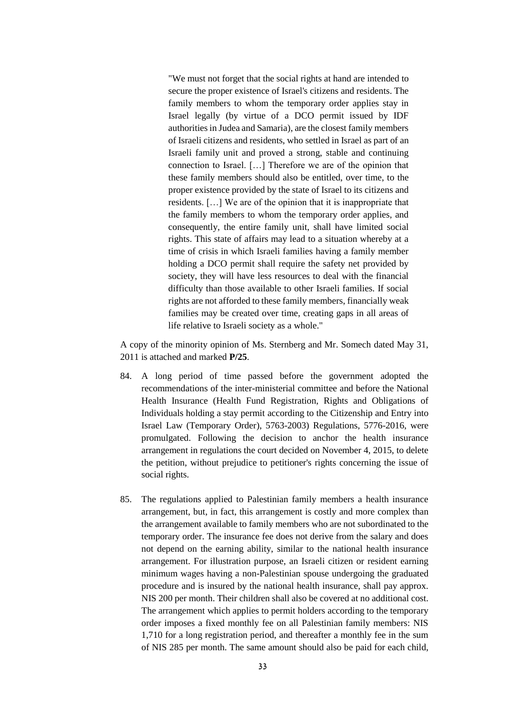"We must not forget that the social rights at hand are intended to secure the proper existence of Israel's citizens and residents. The family members to whom the temporary order applies stay in Israel legally (by virtue of a DCO permit issued by IDF authorities in Judea and Samaria), are the closest family members of Israeli citizens and residents, who settled in Israel as part of an Israeli family unit and proved a strong, stable and continuing connection to Israel. […] Therefore we are of the opinion that these family members should also be entitled, over time, to the proper existence provided by the state of Israel to its citizens and residents. […] We are of the opinion that it is inappropriate that the family members to whom the temporary order applies, and consequently, the entire family unit, shall have limited social rights. This state of affairs may lead to a situation whereby at a time of crisis in which Israeli families having a family member holding a DCO permit shall require the safety net provided by society, they will have less resources to deal with the financial difficulty than those available to other Israeli families. If social rights are not afforded to these family members, financially weak families may be created over time, creating gaps in all areas of life relative to Israeli society as a whole."

A copy of the minority opinion of Ms. Sternberg and Mr. Somech dated May 31, 2011 is attached and marked **P/25**.

- 84. A long period of time passed before the government adopted the recommendations of the inter-ministerial committee and before the National Health Insurance (Health Fund Registration, Rights and Obligations of Individuals holding a stay permit according to the Citizenship and Entry into Israel Law (Temporary Order), 5763-2003) Regulations, 5776-2016, were promulgated. Following the decision to anchor the health insurance arrangement in regulations the court decided on November 4, 2015, to delete the petition, without prejudice to petitioner's rights concerning the issue of social rights.
- 85. The regulations applied to Palestinian family members a health insurance arrangement, but, in fact, this arrangement is costly and more complex than the arrangement available to family members who are not subordinated to the temporary order. The insurance fee does not derive from the salary and does not depend on the earning ability, similar to the national health insurance arrangement. For illustration purpose, an Israeli citizen or resident earning minimum wages having a non-Palestinian spouse undergoing the graduated procedure and is insured by the national health insurance, shall pay approx. NIS 200 per month. Their children shall also be covered at no additional cost. The arrangement which applies to permit holders according to the temporary order imposes a fixed monthly fee on all Palestinian family members: NIS 1,710 for a long registration period, and thereafter a monthly fee in the sum of NIS 285 per month. The same amount should also be paid for each child,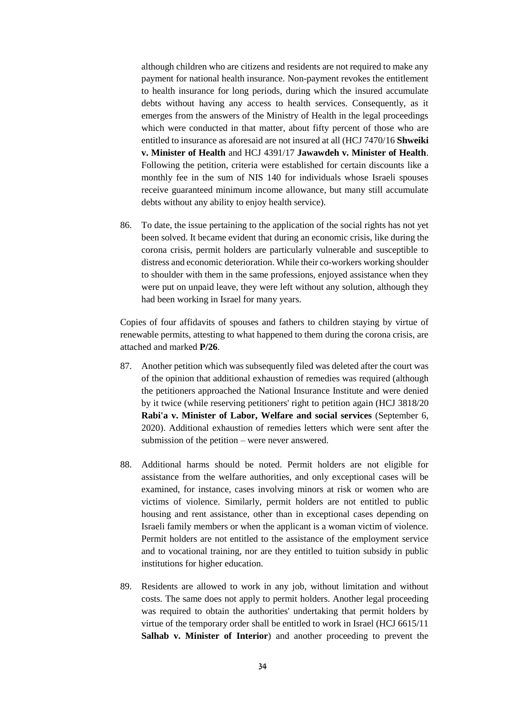although children who are citizens and residents are not required to make any payment for national health insurance. Non-payment revokes the entitlement to health insurance for long periods, during which the insured accumulate debts without having any access to health services. Consequently, as it emerges from the answers of the Ministry of Health in the legal proceedings which were conducted in that matter, about fifty percent of those who are entitled to insurance as aforesaid are not insured at all (HCJ 7470/16 **Shweiki v. Minister of Health** and HCJ 4391/17 **Jawawdeh v. Minister of Health**. Following the petition, criteria were established for certain discounts like a monthly fee in the sum of NIS 140 for individuals whose Israeli spouses receive guaranteed minimum income allowance, but many still accumulate debts without any ability to enjoy health service).

86. To date, the issue pertaining to the application of the social rights has not yet been solved. It became evident that during an economic crisis, like during the corona crisis, permit holders are particularly vulnerable and susceptible to distress and economic deterioration. While their co-workers working shoulder to shoulder with them in the same professions, enjoyed assistance when they were put on unpaid leave, they were left without any solution, although they had been working in Israel for many years.

Copies of four affidavits of spouses and fathers to children staying by virtue of renewable permits, attesting to what happened to them during the corona crisis, are attached and marked **P/26**.

- 87. Another petition which was subsequently filed was deleted after the court was of the opinion that additional exhaustion of remedies was required (although the petitioners approached the National Insurance Institute and were denied by it twice (while reserving petitioners' right to petition again (HCJ 3818/20 **Rabi'a v. Minister of Labor, Welfare and social services** (September 6, 2020). Additional exhaustion of remedies letters which were sent after the submission of the petition – were never answered.
- 88. Additional harms should be noted. Permit holders are not eligible for assistance from the welfare authorities, and only exceptional cases will be examined, for instance, cases involving minors at risk or women who are victims of violence. Similarly, permit holders are not entitled to public housing and rent assistance, other than in exceptional cases depending on Israeli family members or when the applicant is a woman victim of violence. Permit holders are not entitled to the assistance of the employment service and to vocational training, nor are they entitled to tuition subsidy in public institutions for higher education.
- 89. Residents are allowed to work in any job, without limitation and without costs. The same does not apply to permit holders. Another legal proceeding was required to obtain the authorities' undertaking that permit holders by virtue of the temporary order shall be entitled to work in Israel (HCJ 6615/11 **Salhab v. Minister of Interior**) and another proceeding to prevent the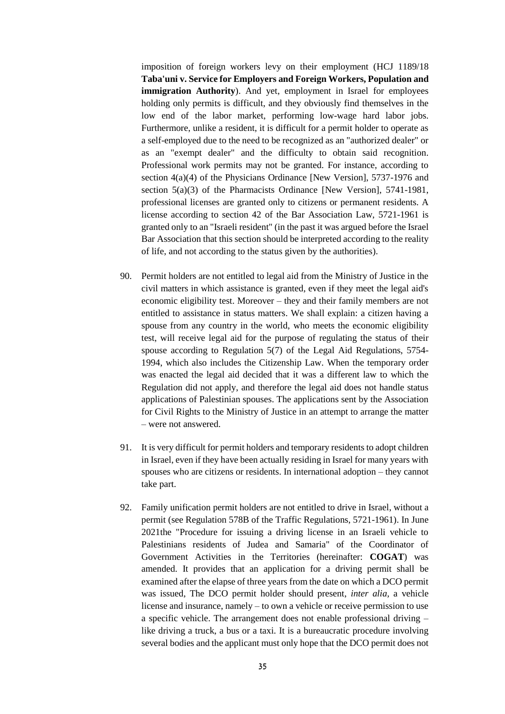imposition of foreign workers levy on their employment (HCJ 1189/18 **Taba'uni v. Service for Employers and Foreign Workers, Population and immigration Authority**). And yet, employment in Israel for employees holding only permits is difficult, and they obviously find themselves in the low end of the labor market, performing low-wage hard labor jobs. Furthermore, unlike a resident, it is difficult for a permit holder to operate as a self-employed due to the need to be recognized as an "authorized dealer" or as an "exempt dealer" and the difficulty to obtain said recognition. Professional work permits may not be granted. For instance, according to section 4(a)(4) of the Physicians Ordinance [New Version], 5737-1976 and section 5(a)(3) of the Pharmacists Ordinance [New Version], 5741-1981, professional licenses are granted only to citizens or permanent residents. A license according to section 42 of the Bar Association Law, 5721-1961 is granted only to an "Israeli resident" (in the past it was argued before the Israel Bar Association that this section should be interpreted according to the reality of life, and not according to the status given by the authorities).

- 90. Permit holders are not entitled to legal aid from the Ministry of Justice in the civil matters in which assistance is granted, even if they meet the legal aid's economic eligibility test. Moreover – they and their family members are not entitled to assistance in status matters. We shall explain: a citizen having a spouse from any country in the world, who meets the economic eligibility test, will receive legal aid for the purpose of regulating the status of their spouse according to Regulation 5(7) of the Legal Aid Regulations, 5754- 1994, which also includes the Citizenship Law. When the temporary order was enacted the legal aid decided that it was a different law to which the Regulation did not apply, and therefore the legal aid does not handle status applications of Palestinian spouses. The applications sent by the Association for Civil Rights to the Ministry of Justice in an attempt to arrange the matter – were not answered.
- 91. It is very difficult for permit holders and temporary residents to adopt children in Israel, even if they have been actually residing in Israel for many years with spouses who are citizens or residents. In international adoption – they cannot take part.
- 92. Family unification permit holders are not entitled to drive in Israel, without a permit (see Regulation 578B of the Traffic Regulations, 5721-1961). In June 2021the "Procedure for issuing a driving license in an Israeli vehicle to Palestinians residents of Judea and Samaria" of the Coordinator of Government Activities in the Territories (hereinafter: **COGAT**) was amended. It provides that an application for a driving permit shall be examined after the elapse of three years from the date on which a DCO permit was issued, The DCO permit holder should present, *inter alia,* a vehicle license and insurance, namely – to own a vehicle or receive permission to use a specific vehicle. The arrangement does not enable professional driving – like driving a truck, a bus or a taxi. It is a bureaucratic procedure involving several bodies and the applicant must only hope that the DCO permit does not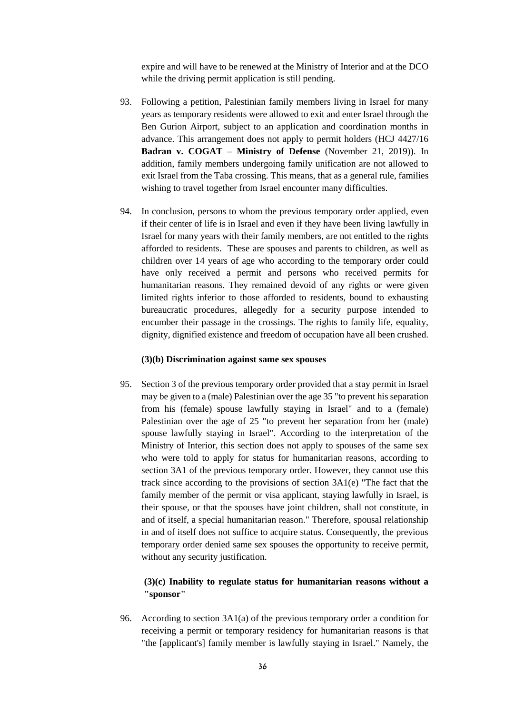expire and will have to be renewed at the Ministry of Interior and at the DCO while the driving permit application is still pending.

- 93. Following a petition, Palestinian family members living in Israel for many years as temporary residents were allowed to exit and enter Israel through the Ben Gurion Airport, subject to an application and coordination months in advance. This arrangement does not apply to permit holders (HCJ 4427/16 **Badran v. COGAT – Ministry of Defense** (November 21, 2019)). In addition, family members undergoing family unification are not allowed to exit Israel from the Taba crossing. This means, that as a general rule, families wishing to travel together from Israel encounter many difficulties.
- 94. In conclusion, persons to whom the previous temporary order applied, even if their center of life is in Israel and even if they have been living lawfully in Israel for many years with their family members, are not entitled to the rights afforded to residents. These are spouses and parents to children, as well as children over 14 years of age who according to the temporary order could have only received a permit and persons who received permits for humanitarian reasons. They remained devoid of any rights or were given limited rights inferior to those afforded to residents, bound to exhausting bureaucratic procedures, allegedly for a security purpose intended to encumber their passage in the crossings. The rights to family life, equality, dignity, dignified existence and freedom of occupation have all been crushed.

#### **(3)(b) Discrimination against same sex spouses**

95. Section 3 of the previous temporary order provided that a stay permit in Israel may be given to a (male) Palestinian over the age 35 "to prevent his separation from his (female) spouse lawfully staying in Israel" and to a (female) Palestinian over the age of 25 "to prevent her separation from her (male) spouse lawfully staying in Israel". According to the interpretation of the Ministry of Interior, this section does not apply to spouses of the same sex who were told to apply for status for humanitarian reasons, according to section 3A1 of the previous temporary order. However, they cannot use this track since according to the provisions of section 3A1(e) "The fact that the family member of the permit or visa applicant, staying lawfully in Israel, is their spouse, or that the spouses have joint children, shall not constitute, in and of itself, a special humanitarian reason." Therefore, spousal relationship in and of itself does not suffice to acquire status. Consequently, the previous temporary order denied same sex spouses the opportunity to receive permit, without any security justification.

# **(3)(c) Inability to regulate status for humanitarian reasons without a "sponsor"**

96. According to section 3A1(a) of the previous temporary order a condition for receiving a permit or temporary residency for humanitarian reasons is that "the [applicant's] family member is lawfully staying in Israel." Namely, the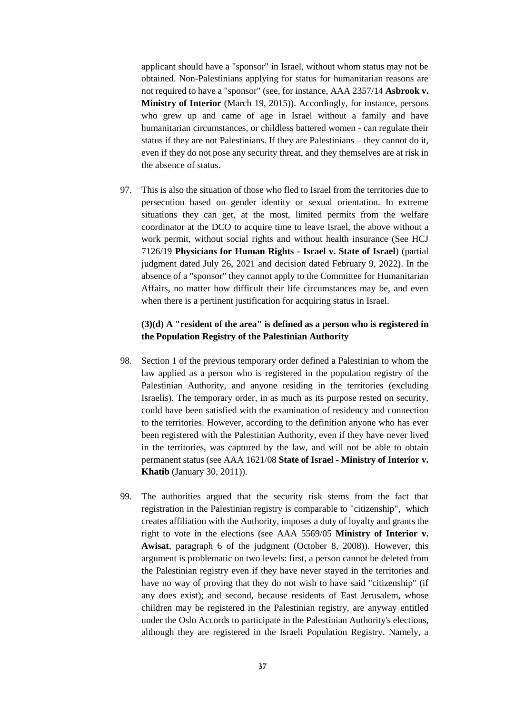applicant should have a "sponsor" in Israel, without whom status may not be obtained. Non-Palestinians applying for status for humanitarian reasons are not required to have a "sponsor" (see, for instance, AAA 2357/14 **Asbrook v. Ministry of Interior** (March 19, 2015)). Accordingly, for instance, persons who grew up and came of age in Israel without a family and have humanitarian circumstances, or childless battered women - can regulate their status if they are not Palestinians. If they are Palestinians – they cannot do it, even if they do not pose any security threat, and they themselves are at risk in the absence of status.

97. This is also the situation of those who fled to Israel from the territories due to persecution based on gender identity or sexual orientation. In extreme situations they can get, at the most, limited permits from the welfare coordinator at the DCO to acquire time to leave Israel, the above without a work permit, without social rights and without health insurance (See HCJ 7126/19 **Physicians for Human Rights - Israel v. State of Israel**) (partial judgment dated July 26, 2021 and decision dated February 9, 2022). In the absence of a "sponsor" they cannot apply to the Committee for Humanitarian Affairs, no matter how difficult their life circumstances may be, and even when there is a pertinent justification for acquiring status in Israel.

# **(3)(d) A "resident of the area" is defined as a person who is registered in the Population Registry of the Palestinian Authority**

- 98. Section 1 of the previous temporary order defined a Palestinian to whom the law applied as a person who is registered in the population registry of the Palestinian Authority, and anyone residing in the territories (excluding Israelis). The temporary order, in as much as its purpose rested on security, could have been satisfied with the examination of residency and connection to the territories. However, according to the definition anyone who has ever been registered with the Palestinian Authority, even if they have never lived in the territories, was captured by the law, and will not be able to obtain permanent status (see AAA 1621/08 **State of Israel - Ministry of Interior v. Khatib** (January 30, 2011)).
- 99. The authorities argued that the security risk stems from the fact that registration in the Palestinian registry is comparable to "citizenship", which creates affiliation with the Authority, imposes a duty of loyalty and grants the right to vote in the elections (see AAA 5569/05 **Ministry of Interior v. Awisat**, paragraph 6 of the judgment (October 8, 2008)). However, this argument is problematic on two levels: first, a person cannot be deleted from the Palestinian registry even if they have never stayed in the territories and have no way of proving that they do not wish to have said "citizenship" (if any does exist); and second, because residents of East Jerusalem, whose children may be registered in the Palestinian registry, are anyway entitled under the Oslo Accords to participate in the Palestinian Authority's elections, although they are registered in the Israeli Population Registry. Namely, a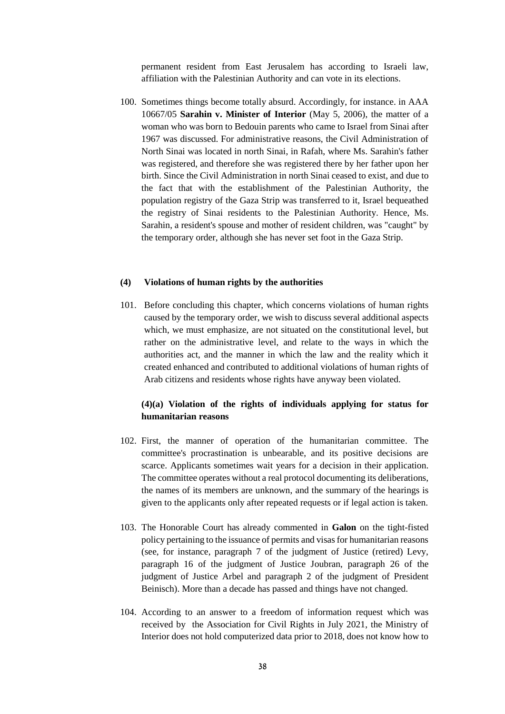permanent resident from East Jerusalem has according to Israeli law, affiliation with the Palestinian Authority and can vote in its elections.

100. Sometimes things become totally absurd. Accordingly, for instance. in AAA 10667/05 **Sarahin v. Minister of Interior** (May 5, 2006), the matter of a woman who was born to Bedouin parents who came to Israel from Sinai after 1967 was discussed. For administrative reasons, the Civil Administration of North Sinai was located in north Sinai, in Rafah, where Ms. Sarahin's father was registered, and therefore she was registered there by her father upon her birth. Since the Civil Administration in north Sinai ceased to exist, and due to the fact that with the establishment of the Palestinian Authority, the population registry of the Gaza Strip was transferred to it, Israel bequeathed the registry of Sinai residents to the Palestinian Authority. Hence, Ms. Sarahin, a resident's spouse and mother of resident children, was "caught" by the temporary order, although she has never set foot in the Gaza Strip.

# **(4) Violations of human rights by the authorities**

101. Before concluding this chapter, which concerns violations of human rights caused by the temporary order, we wish to discuss several additional aspects which, we must emphasize, are not situated on the constitutional level, but rather on the administrative level, and relate to the ways in which the authorities act, and the manner in which the law and the reality which it created enhanced and contributed to additional violations of human rights of Arab citizens and residents whose rights have anyway been violated.

# **(4)(a) Violation of the rights of individuals applying for status for humanitarian reasons**

- 102. First, the manner of operation of the humanitarian committee. The committee's procrastination is unbearable, and its positive decisions are scarce. Applicants sometimes wait years for a decision in their application. The committee operates without a real protocol documenting its deliberations, the names of its members are unknown, and the summary of the hearings is given to the applicants only after repeated requests or if legal action is taken.
- 103. The Honorable Court has already commented in **Galon** on the tight-fisted policy pertaining to the issuance of permits and visas for humanitarian reasons (see, for instance, paragraph 7 of the judgment of Justice (retired) Levy, paragraph 16 of the judgment of Justice Joubran, paragraph 26 of the judgment of Justice Arbel and paragraph 2 of the judgment of President Beinisch). More than a decade has passed and things have not changed.
- 104. According to an answer to a freedom of information request which was received by the Association for Civil Rights in July 2021, the Ministry of Interior does not hold computerized data prior to 2018, does not know how to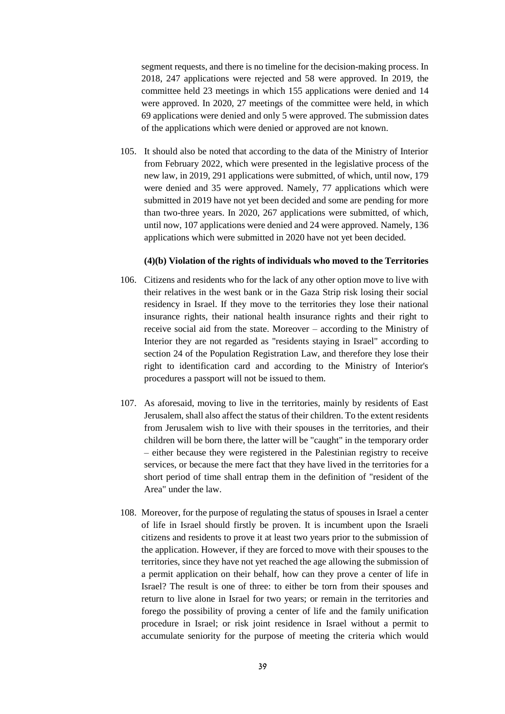segment requests, and there is no timeline for the decision-making process. In 2018, 247 applications were rejected and 58 were approved. In 2019, the committee held 23 meetings in which 155 applications were denied and 14 were approved. In 2020, 27 meetings of the committee were held, in which 69 applications were denied and only 5 were approved. The submission dates of the applications which were denied or approved are not known.

105. It should also be noted that according to the data of the Ministry of Interior from February 2022, which were presented in the legislative process of the new law, in 2019, 291 applications were submitted, of which, until now, 179 were denied and 35 were approved. Namely, 77 applications which were submitted in 2019 have not yet been decided and some are pending for more than two-three years. In 2020, 267 applications were submitted, of which, until now, 107 applications were denied and 24 were approved. Namely, 136 applications which were submitted in 2020 have not yet been decided.

#### **(4)(b) Violation of the rights of individuals who moved to the Territories**

- 106. Citizens and residents who for the lack of any other option move to live with their relatives in the west bank or in the Gaza Strip risk losing their social residency in Israel. If they move to the territories they lose their national insurance rights, their national health insurance rights and their right to receive social aid from the state. Moreover – according to the Ministry of Interior they are not regarded as "residents staying in Israel" according to section 24 of the Population Registration Law, and therefore they lose their right to identification card and according to the Ministry of Interior's procedures a passport will not be issued to them.
- 107. As aforesaid, moving to live in the territories, mainly by residents of East Jerusalem, shall also affect the status of their children. To the extent residents from Jerusalem wish to live with their spouses in the territories, and their children will be born there, the latter will be "caught" in the temporary order – either because they were registered in the Palestinian registry to receive services, or because the mere fact that they have lived in the territories for a short period of time shall entrap them in the definition of "resident of the Area" under the law.
- 108. Moreover, for the purpose of regulating the status of spouses in Israel a center of life in Israel should firstly be proven. It is incumbent upon the Israeli citizens and residents to prove it at least two years prior to the submission of the application. However, if they are forced to move with their spouses to the territories, since they have not yet reached the age allowing the submission of a permit application on their behalf, how can they prove a center of life in Israel? The result is one of three: to either be torn from their spouses and return to live alone in Israel for two years; or remain in the territories and forego the possibility of proving a center of life and the family unification procedure in Israel; or risk joint residence in Israel without a permit to accumulate seniority for the purpose of meeting the criteria which would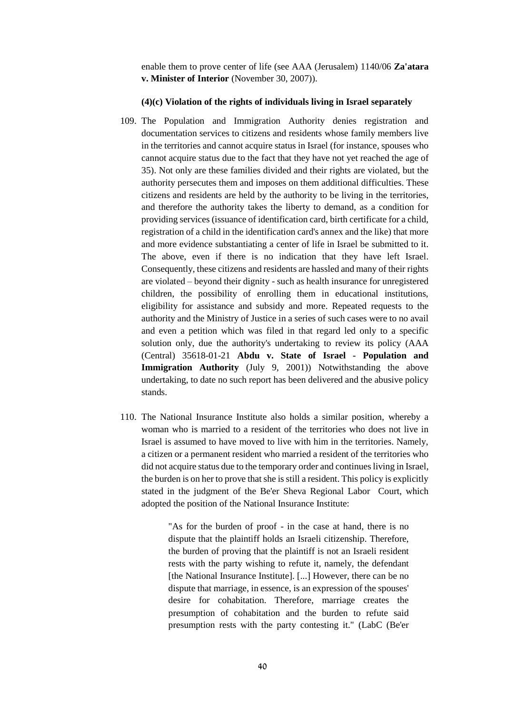enable them to prove center of life (see AAA (Jerusalem) 1140/06 **Za'atara v. Minister of Interior** (November 30, 2007)).

#### **(4)(c) Violation of the rights of individuals living in Israel separately**

- 109. The Population and Immigration Authority denies registration and documentation services to citizens and residents whose family members live in the territories and cannot acquire status in Israel (for instance, spouses who cannot acquire status due to the fact that they have not yet reached the age of 35). Not only are these families divided and their rights are violated, but the authority persecutes them and imposes on them additional difficulties. These citizens and residents are held by the authority to be living in the territories, and therefore the authority takes the liberty to demand, as a condition for providing services (issuance of identification card, birth certificate for a child, registration of a child in the identification card's annex and the like) that more and more evidence substantiating a center of life in Israel be submitted to it. The above, even if there is no indication that they have left Israel. Consequently, these citizens and residents are hassled and many of their rights are violated – beyond their dignity - such as health insurance for unregistered children, the possibility of enrolling them in educational institutions, eligibility for assistance and subsidy and more. Repeated requests to the authority and the Ministry of Justice in a series of such cases were to no avail and even a petition which was filed in that regard led only to a specific solution only, due the authority's undertaking to review its policy (AAA (Central) 35618-01-21 **Abdu v. State of Israel - Population and Immigration Authority** (July 9, 2001)) Notwithstanding the above undertaking, to date no such report has been delivered and the abusive policy stands.
- 110. The National Insurance Institute also holds a similar position, whereby a woman who is married to a resident of the territories who does not live in Israel is assumed to have moved to live with him in the territories. Namely, a citizen or a permanent resident who married a resident of the territories who did not acquire status due to the temporary order and continues living in Israel, the burden is on her to prove that she is still a resident. This policy is explicitly stated in the judgment of the Be'er Sheva Regional Labor Court, which adopted the position of the National Insurance Institute:

"As for the burden of proof - in the case at hand, there is no dispute that the plaintiff holds an Israeli citizenship. Therefore, the burden of proving that the plaintiff is not an Israeli resident rests with the party wishing to refute it, namely, the defendant [the National Insurance Institute]. [...] However, there can be no dispute that marriage, in essence, is an expression of the spouses' desire for cohabitation. Therefore, marriage creates the presumption of cohabitation and the burden to refute said presumption rests with the party contesting it." (LabC (Be'er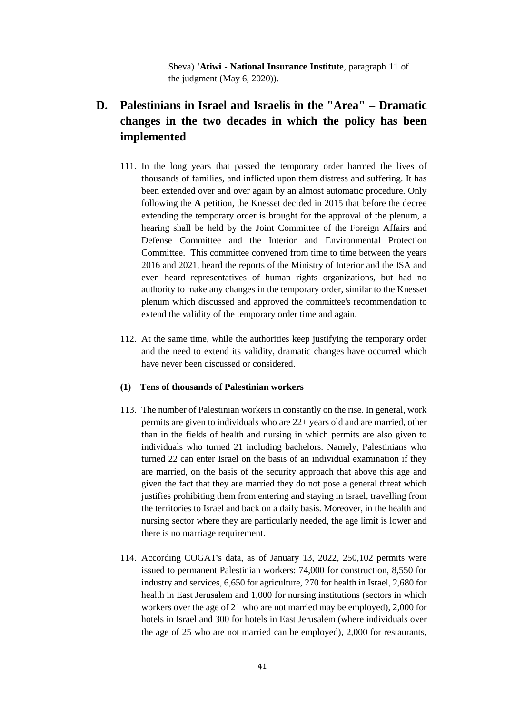Sheva) **'Atiwi - National Insurance Institute**, paragraph 11 of the judgment (May 6, 2020)).

# **D. Palestinians in Israel and Israelis in the "Area" – Dramatic changes in the two decades in which the policy has been implemented**

- 111. In the long years that passed the temporary order harmed the lives of thousands of families, and inflicted upon them distress and suffering. It has been extended over and over again by an almost automatic procedure. Only following the **A** petition, the Knesset decided in 2015 that before the decree extending the temporary order is brought for the approval of the plenum, a hearing shall be held by the Joint Committee of the Foreign Affairs and Defense Committee and the Interior and Environmental Protection Committee. This committee convened from time to time between the years 2016 and 2021, heard the reports of the Ministry of Interior and the ISA and even heard representatives of human rights organizations, but had no authority to make any changes in the temporary order, similar to the Knesset plenum which discussed and approved the committee's recommendation to extend the validity of the temporary order time and again.
- 112. At the same time, while the authorities keep justifying the temporary order and the need to extend its validity, dramatic changes have occurred which have never been discussed or considered.

# **(1) Tens of thousands of Palestinian workers**

- 113. The number of Palestinian workers in constantly on the rise. In general, work permits are given to individuals who are 22+ years old and are married, other than in the fields of health and nursing in which permits are also given to individuals who turned 21 including bachelors. Namely, Palestinians who turned 22 can enter Israel on the basis of an individual examination if they are married, on the basis of the security approach that above this age and given the fact that they are married they do not pose a general threat which justifies prohibiting them from entering and staying in Israel, travelling from the territories to Israel and back on a daily basis. Moreover, in the health and nursing sector where they are particularly needed, the age limit is lower and there is no marriage requirement.
- 114. According COGAT's data, as of January 13, 2022, 250,102 permits were issued to permanent Palestinian workers: 74,000 for construction, 8,550 for industry and services, 6,650 for agriculture, 270 for health in Israel, 2,680 for health in East Jerusalem and 1,000 for nursing institutions (sectors in which workers over the age of 21 who are not married may be employed), 2,000 for hotels in Israel and 300 for hotels in East Jerusalem (where individuals over the age of 25 who are not married can be employed), 2,000 for restaurants,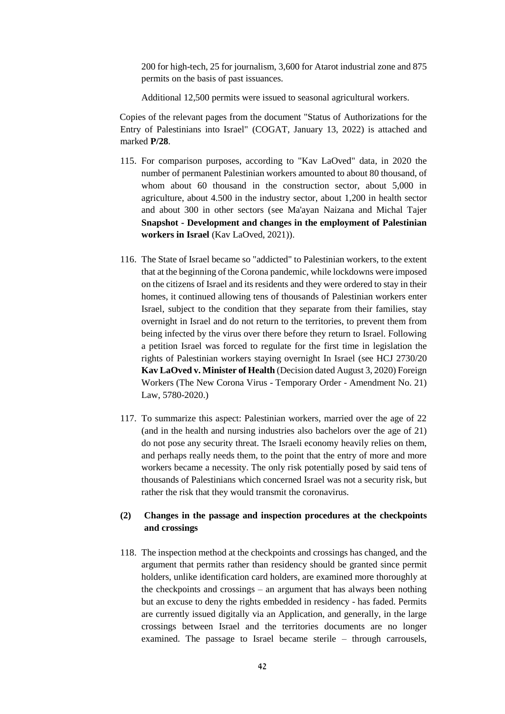200 for high-tech, 25 for journalism, 3,600 for Atarot industrial zone and 875 permits on the basis of past issuances.

Additional 12,500 permits were issued to seasonal agricultural workers.

Copies of the relevant pages from the document "Status of Authorizations for the Entry of Palestinians into Israel" (COGAT, January 13, 2022) is attached and marked **P/28**.

- 115. For comparison purposes, according to "Kav LaOved" data, in 2020 the number of permanent Palestinian workers amounted to about 80 thousand, of whom about 60 thousand in the construction sector, about 5,000 in agriculture, about 4.500 in the industry sector, about 1,200 in health sector and about 300 in other sectors (see Ma'ayan Naizana and Michal Tajer **Snapshot - Development and changes in the employment of Palestinian workers in Israel** (Kav LaOved, 2021)).
- 116. The State of Israel became so "addicted" to Palestinian workers, to the extent that at the beginning of the Corona pandemic, while lockdowns were imposed on the citizens of Israel and its residents and they were ordered to stay in their homes, it continued allowing tens of thousands of Palestinian workers enter Israel, subject to the condition that they separate from their families, stay overnight in Israel and do not return to the territories, to prevent them from being infected by the virus over there before they return to Israel. Following a petition Israel was forced to regulate for the first time in legislation the rights of Palestinian workers staying overnight In Israel (see HCJ 2730/20 **Kav LaOved v. Minister of Health** (Decision dated August 3, 2020) Foreign Workers (The New Corona Virus - Temporary Order - Amendment No. 21) Law, 5780-2020.)
- 117. To summarize this aspect: Palestinian workers, married over the age of 22 (and in the health and nursing industries also bachelors over the age of 21) do not pose any security threat. The Israeli economy heavily relies on them, and perhaps really needs them, to the point that the entry of more and more workers became a necessity. The only risk potentially posed by said tens of thousands of Palestinians which concerned Israel was not a security risk, but rather the risk that they would transmit the coronavirus.

# **(2) Changes in the passage and inspection procedures at the checkpoints and crossings**

118. The inspection method at the checkpoints and crossings has changed, and the argument that permits rather than residency should be granted since permit holders, unlike identification card holders, are examined more thoroughly at the checkpoints and crossings – an argument that has always been nothing but an excuse to deny the rights embedded in residency - has faded. Permits are currently issued digitally via an Application, and generally, in the large crossings between Israel and the territories documents are no longer examined. The passage to Israel became sterile – through carrousels,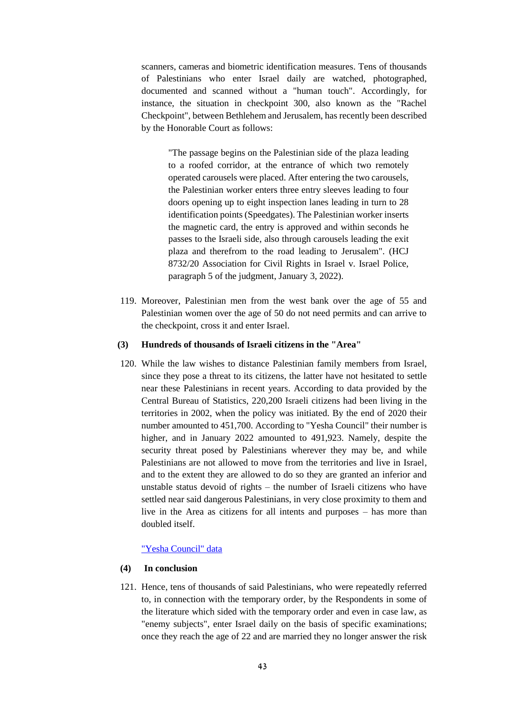scanners, cameras and biometric identification measures. Tens of thousands of Palestinians who enter Israel daily are watched, photographed, documented and scanned without a "human touch". Accordingly, for instance, the situation in checkpoint 300, also known as the "Rachel Checkpoint", between Bethlehem and Jerusalem, has recently been described by the Honorable Court as follows:

"The passage begins on the Palestinian side of the plaza leading to a roofed corridor, at the entrance of which two remotely operated carousels were placed. After entering the two carousels, the Palestinian worker enters three entry sleeves leading to four doors opening up to eight inspection lanes leading in turn to 28 identification points (Speedgates). The Palestinian worker inserts the magnetic card, the entry is approved and within seconds he passes to the Israeli side, also through carousels leading the exit plaza and therefrom to the road leading to Jerusalem". (HCJ 8732/20 Association for Civil Rights in Israel v. Israel Police, paragraph 5 of the judgment, January 3, 2022).

119. Moreover, Palestinian men from the west bank over the age of 55 and Palestinian women over the age of 50 do not need permits and can arrive to the checkpoint, cross it and enter Israel.

## **(3) Hundreds of thousands of Israeli citizens in the "Area"**

120. While the law wishes to distance Palestinian family members from Israel, since they pose a threat to its citizens, the latter have not hesitated to settle near these Palestinians in recent years. According to data provided by the Central Bureau of Statistics, 220,200 Israeli citizens had been living in the territories in 2002, when the policy was initiated. By the end of 2020 their number amounted to 451,700. According to "Yesha Council" their number is higher, and in January 2022 amounted to 491,923. Namely, despite the security threat posed by Palestinians wherever they may be, and while Palestinians are not allowed to move from the territories and live in Israel, and to the extent they are allowed to do so they are granted an inferior and unstable status devoid of rights – the number of Israeli citizens who have settled near said dangerous Palestinians, in very close proximity to them and live in the Area as citizens for all intents and purposes – has more than doubled itself.

# ["Yesha Council" data](file:///C:/Users/adi/Desktop/המוקד/תרגומים/2022/%22Yesha%20Council%22%20data)

#### **(4) In conclusion**

121. Hence, tens of thousands of said Palestinians, who were repeatedly referred to, in connection with the temporary order, by the Respondents in some of the literature which sided with the temporary order and even in case law, as "enemy subjects", enter Israel daily on the basis of specific examinations; once they reach the age of 22 and are married they no longer answer the risk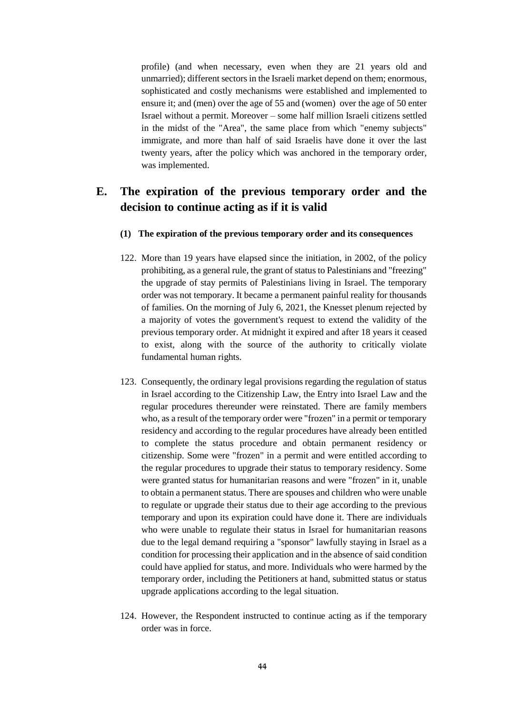profile) (and when necessary, even when they are 21 years old and unmarried); different sectors in the Israeli market depend on them; enormous, sophisticated and costly mechanisms were established and implemented to ensure it; and (men) over the age of 55 and (women) over the age of 50 enter Israel without a permit. Moreover – some half million Israeli citizens settled in the midst of the "Area", the same place from which "enemy subjects" immigrate, and more than half of said Israelis have done it over the last twenty years, after the policy which was anchored in the temporary order, was implemented.

# **E. The expiration of the previous temporary order and the decision to continue acting as if it is valid**

- **(1) The expiration of the previous temporary order and its consequences**
- 122. More than 19 years have elapsed since the initiation, in 2002, of the policy prohibiting, as a general rule, the grant of status to Palestinians and "freezing" the upgrade of stay permits of Palestinians living in Israel. The temporary order was not temporary. It became a permanent painful reality for thousands of families. On the morning of July 6, 2021, the Knesset plenum rejected by a majority of votes the government's request to extend the validity of the previous temporary order. At midnight it expired and after 18 years it ceased to exist, along with the source of the authority to critically violate fundamental human rights.
- 123. Consequently, the ordinary legal provisions regarding the regulation of status in Israel according to the Citizenship Law, the Entry into Israel Law and the regular procedures thereunder were reinstated. There are family members who, as a result of the temporary order were "frozen" in a permit or temporary residency and according to the regular procedures have already been entitled to complete the status procedure and obtain permanent residency or citizenship. Some were "frozen" in a permit and were entitled according to the regular procedures to upgrade their status to temporary residency. Some were granted status for humanitarian reasons and were "frozen" in it, unable to obtain a permanent status. There are spouses and children who were unable to regulate or upgrade their status due to their age according to the previous temporary and upon its expiration could have done it. There are individuals who were unable to regulate their status in Israel for humanitarian reasons due to the legal demand requiring a "sponsor" lawfully staying in Israel as a condition for processing their application and in the absence of said condition could have applied for status, and more. Individuals who were harmed by the temporary order, including the Petitioners at hand, submitted status or status upgrade applications according to the legal situation.
- 124. However, the Respondent instructed to continue acting as if the temporary order was in force.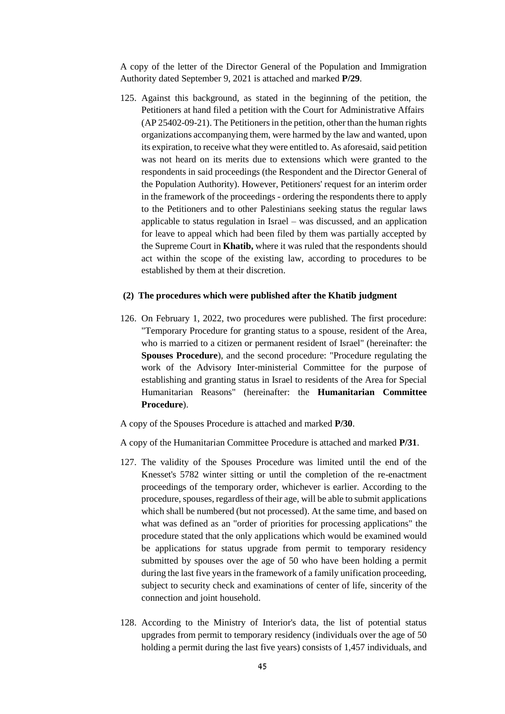A copy of the letter of the Director General of the Population and Immigration Authority dated September 9, 2021 is attached and marked **P/29**.

125. Against this background, as stated in the beginning of the petition, the Petitioners at hand filed a petition with the Court for Administrative Affairs (AP 25402-09-21). The Petitioners in the petition, other than the human rights organizations accompanying them, were harmed by the law and wanted, upon its expiration, to receive what they were entitled to. As aforesaid, said petition was not heard on its merits due to extensions which were granted to the respondents in said proceedings (the Respondent and the Director General of the Population Authority). However, Petitioners' request for an interim order in the framework of the proceedings - ordering the respondents there to apply to the Petitioners and to other Palestinians seeking status the regular laws applicable to status regulation in Israel – was discussed, and an application for leave to appeal which had been filed by them was partially accepted by the Supreme Court in **Khatib,** where it was ruled that the respondents should act within the scope of the existing law, according to procedures to be established by them at their discretion.

# **(2) The procedures which were published after the Khatib judgment**

126. On February 1, 2022, two procedures were published. The first procedure: "Temporary Procedure for granting status to a spouse, resident of the Area, who is married to a citizen or permanent resident of Israel" (hereinafter: the **Spouses Procedure**), and the second procedure: "Procedure regulating the work of the Advisory Inter-ministerial Committee for the purpose of establishing and granting status in Israel to residents of the Area for Special Humanitarian Reasons" (hereinafter: the **Humanitarian Committee Procedure**).

A copy of the Spouses Procedure is attached and marked **P/30**.

A copy of the Humanitarian Committee Procedure is attached and marked **P/31**.

- 127. The validity of the Spouses Procedure was limited until the end of the Knesset's 5782 winter sitting or until the completion of the re-enactment proceedings of the temporary order, whichever is earlier. According to the procedure, spouses, regardless of their age, will be able to submit applications which shall be numbered (but not processed). At the same time, and based on what was defined as an "order of priorities for processing applications" the procedure stated that the only applications which would be examined would be applications for status upgrade from permit to temporary residency submitted by spouses over the age of 50 who have been holding a permit during the last five years in the framework of a family unification proceeding, subject to security check and examinations of center of life, sincerity of the connection and joint household.
- 128. According to the Ministry of Interior's data, the list of potential status upgrades from permit to temporary residency (individuals over the age of 50 holding a permit during the last five years) consists of 1,457 individuals, and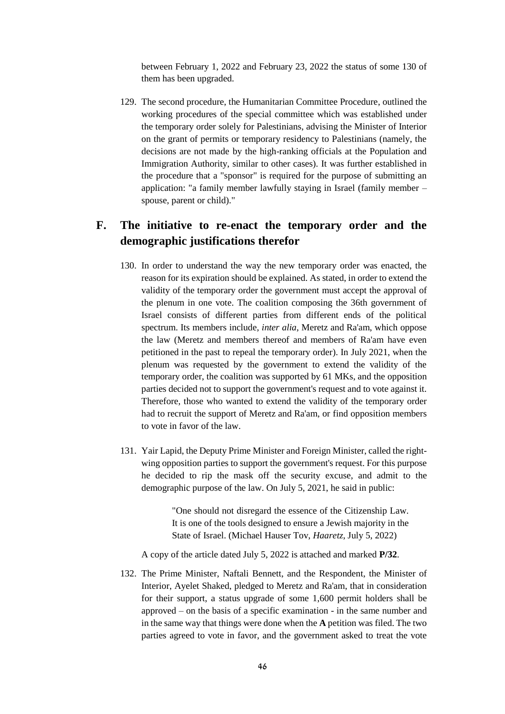between February 1, 2022 and February 23, 2022 the status of some 130 of them has been upgraded.

129. The second procedure, the Humanitarian Committee Procedure, outlined the working procedures of the special committee which was established under the temporary order solely for Palestinians, advising the Minister of Interior on the grant of permits or temporary residency to Palestinians (namely, the decisions are not made by the high-ranking officials at the Population and Immigration Authority, similar to other cases). It was further established in the procedure that a "sponsor" is required for the purpose of submitting an application: "a family member lawfully staying in Israel (family member – spouse, parent or child)."

# **F. The initiative to re-enact the temporary order and the demographic justifications therefor**

- 130. In order to understand the way the new temporary order was enacted, the reason for its expiration should be explained. As stated, in order to extend the validity of the temporary order the government must accept the approval of the plenum in one vote. The coalition composing the 36th government of Israel consists of different parties from different ends of the political spectrum. Its members include, *inter alia*, Meretz and Ra'am, which oppose the law (Meretz and members thereof and members of Ra'am have even petitioned in the past to repeal the temporary order). In July 2021, when the plenum was requested by the government to extend the validity of the temporary order, the coalition was supported by 61 MKs, and the opposition parties decided not to support the government's request and to vote against it. Therefore, those who wanted to extend the validity of the temporary order had to recruit the support of Meretz and Ra'am, or find opposition members to vote in favor of the law.
- 131. Yair Lapid, the Deputy Prime Minister and Foreign Minister, called the rightwing opposition parties to support the government's request. For this purpose he decided to rip the mask off the security excuse, and admit to the demographic purpose of the law. On July 5, 2021, he said in public:

"One should not disregard the essence of the Citizenship Law. It is one of the tools designed to ensure a Jewish majority in the State of Israel. (Michael Hauser Tov, *Haaretz*, July 5, 2022)

A copy of the article dated July 5, 2022 is attached and marked **P/32**.

132. The Prime Minister, Naftali Bennett, and the Respondent, the Minister of Interior, Ayelet Shaked, pledged to Meretz and Ra'am, that in consideration for their support, a status upgrade of some 1,600 permit holders shall be approved – on the basis of a specific examination - in the same number and in the same way that things were done when the **A** petition was filed. The two parties agreed to vote in favor, and the government asked to treat the vote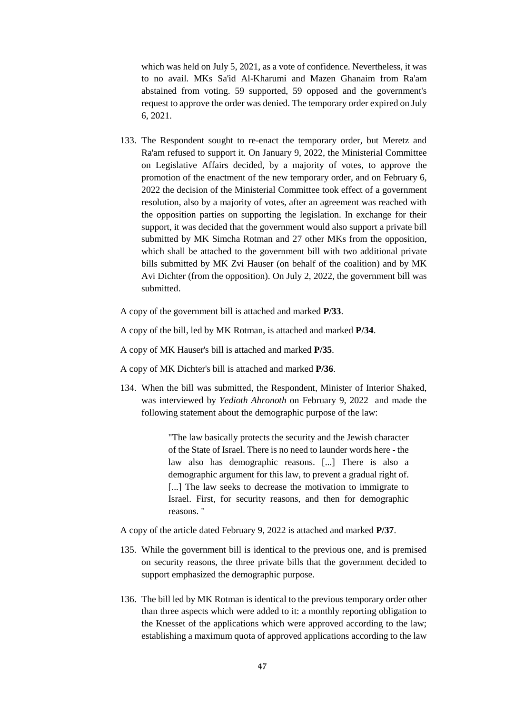which was held on July 5, 2021, as a vote of confidence. Nevertheless, it was to no avail. MKs Sa'id Al-Kharumi and Mazen Ghanaim from Ra'am abstained from voting. 59 supported, 59 opposed and the government's request to approve the order was denied. The temporary order expired on July 6, 2021.

- 133. The Respondent sought to re-enact the temporary order, but Meretz and Ra'am refused to support it. On January 9, 2022, the Ministerial Committee on Legislative Affairs decided, by a majority of votes, to approve the promotion of the enactment of the new temporary order, and on February 6, 2022 the decision of the Ministerial Committee took effect of a government resolution, also by a majority of votes, after an agreement was reached with the opposition parties on supporting the legislation. In exchange for their support, it was decided that the government would also support a private bill submitted by MK Simcha Rotman and 27 other MKs from the opposition, which shall be attached to the government bill with two additional private bills submitted by MK Zvi Hauser (on behalf of the coalition) and by MK Avi Dichter (from the opposition). On July 2, 2022, the government bill was submitted.
- A copy of the government bill is attached and marked **P/33**.
- A copy of the bill, led by MK Rotman, is attached and marked **P/34**.
- A copy of MK Hauser's bill is attached and marked **P/35**.
- A copy of MK Dichter's bill is attached and marked **P/36**.
- 134. When the bill was submitted, the Respondent, Minister of Interior Shaked, was interviewed by *Yedioth Ahronoth* on February 9, 2022 and made the following statement about the demographic purpose of the law:

"The law basically protects the security and the Jewish character of the State of Israel. There is no need to launder words here - the law also has demographic reasons. [...] There is also a demographic argument for this law, to prevent a gradual right of. [...] The law seeks to decrease the motivation to immigrate to Israel. First, for security reasons, and then for demographic reasons. "

A copy of the article dated February 9, 2022 is attached and marked **P/37**.

- 135. While the government bill is identical to the previous one, and is premised on security reasons, the three private bills that the government decided to support emphasized the demographic purpose.
- 136. The bill led by MK Rotman is identical to the previous temporary order other than three aspects which were added to it: a monthly reporting obligation to the Knesset of the applications which were approved according to the law; establishing a maximum quota of approved applications according to the law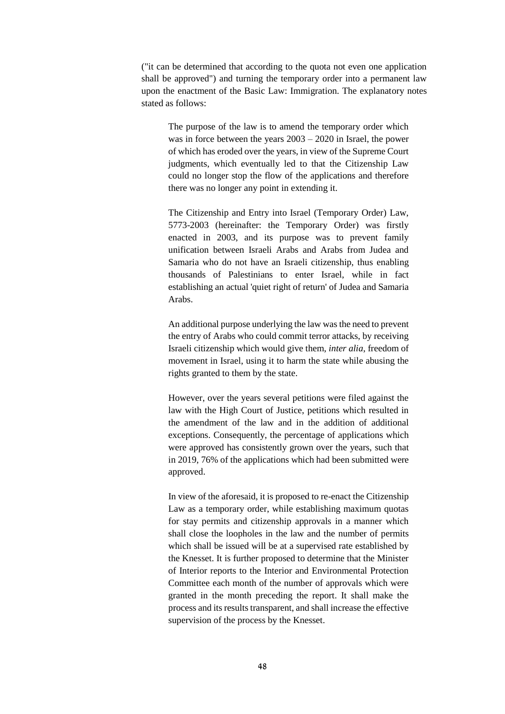("it can be determined that according to the quota not even one application shall be approved") and turning the temporary order into a permanent law upon the enactment of the Basic Law: Immigration. The explanatory notes stated as follows:

The purpose of the law is to amend the temporary order which was in force between the years 2003 – 2020 in Israel, the power of which has eroded over the years, in view of the Supreme Court judgments, which eventually led to that the Citizenship Law could no longer stop the flow of the applications and therefore there was no longer any point in extending it.

The Citizenship and Entry into Israel (Temporary Order) Law, 5773-2003 (hereinafter: the Temporary Order) was firstly enacted in 2003, and its purpose was to prevent family unification between Israeli Arabs and Arabs from Judea and Samaria who do not have an Israeli citizenship, thus enabling thousands of Palestinians to enter Israel, while in fact establishing an actual 'quiet right of return' of Judea and Samaria Arabs.

An additional purpose underlying the law was the need to prevent the entry of Arabs who could commit terror attacks, by receiving Israeli citizenship which would give them, *inter alia*, freedom of movement in Israel, using it to harm the state while abusing the rights granted to them by the state.

However, over the years several petitions were filed against the law with the High Court of Justice, petitions which resulted in the amendment of the law and in the addition of additional exceptions. Consequently, the percentage of applications which were approved has consistently grown over the years, such that in 2019, 76% of the applications which had been submitted were approved.

In view of the aforesaid, it is proposed to re-enact the Citizenship Law as a temporary order, while establishing maximum quotas for stay permits and citizenship approvals in a manner which shall close the loopholes in the law and the number of permits which shall be issued will be at a supervised rate established by the Knesset. It is further proposed to determine that the Minister of Interior reports to the Interior and Environmental Protection Committee each month of the number of approvals which were granted in the month preceding the report. It shall make the process and its results transparent, and shall increase the effective supervision of the process by the Knesset.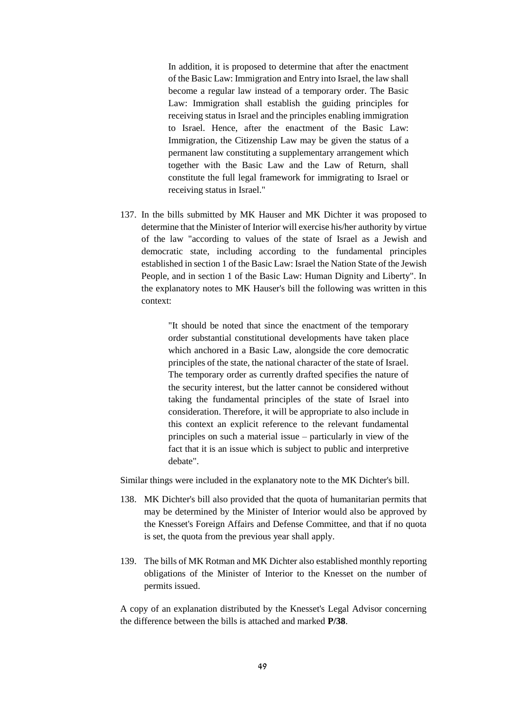In addition, it is proposed to determine that after the enactment of the Basic Law: Immigration and Entry into Israel, the law shall become a regular law instead of a temporary order. The Basic Law: Immigration shall establish the guiding principles for receiving status in Israel and the principles enabling immigration to Israel. Hence, after the enactment of the Basic Law: Immigration, the Citizenship Law may be given the status of a permanent law constituting a supplementary arrangement which together with the Basic Law and the Law of Return, shall constitute the full legal framework for immigrating to Israel or receiving status in Israel."

137. In the bills submitted by MK Hauser and MK Dichter it was proposed to determine that the Minister of Interior will exercise his/her authority by virtue of the law "according to values of the state of Israel as a Jewish and democratic state, including according to the fundamental principles established in section 1 of the Basic Law: Israel the Nation State of the Jewish People, and in section 1 of the Basic Law: Human Dignity and Liberty". In the explanatory notes to MK Hauser's bill the following was written in this context:

> "It should be noted that since the enactment of the temporary order substantial constitutional developments have taken place which anchored in a Basic Law, alongside the core democratic principles of the state, the national character of the state of Israel. The temporary order as currently drafted specifies the nature of the security interest, but the latter cannot be considered without taking the fundamental principles of the state of Israel into consideration. Therefore, it will be appropriate to also include in this context an explicit reference to the relevant fundamental principles on such a material issue – particularly in view of the fact that it is an issue which is subject to public and interpretive debate".

Similar things were included in the explanatory note to the MK Dichter's bill.

- 138. MK Dichter's bill also provided that the quota of humanitarian permits that may be determined by the Minister of Interior would also be approved by the Knesset's Foreign Affairs and Defense Committee, and that if no quota is set, the quota from the previous year shall apply.
- 139. The bills of MK Rotman and MK Dichter also established monthly reporting obligations of the Minister of Interior to the Knesset on the number of permits issued.

A copy of an explanation distributed by the Knesset's Legal Advisor concerning the difference between the bills is attached and marked **P/38**.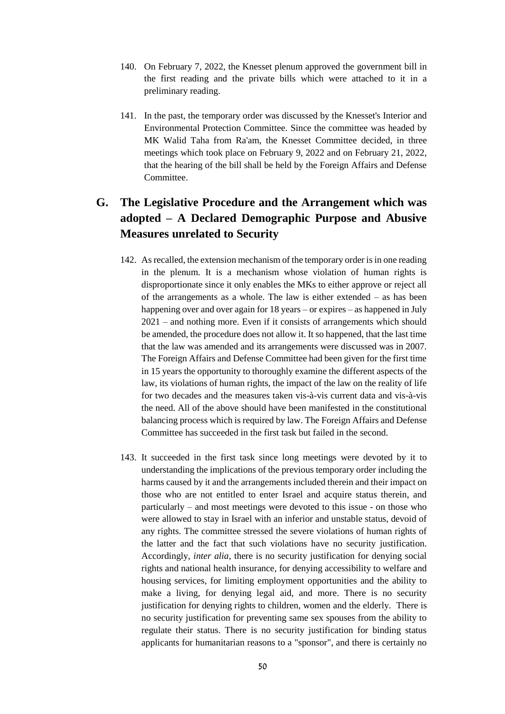- 140. On February 7, 2022, the Knesset plenum approved the government bill in the first reading and the private bills which were attached to it in a preliminary reading.
- 141. In the past, the temporary order was discussed by the Knesset's Interior and Environmental Protection Committee. Since the committee was headed by MK Walid Taha from Ra'am, the Knesset Committee decided, in three meetings which took place on February 9, 2022 and on February 21, 2022, that the hearing of the bill shall be held by the Foreign Affairs and Defense Committee.

# **G. The Legislative Procedure and the Arrangement which was adopted – A Declared Demographic Purpose and Abusive Measures unrelated to Security**

- 142. As recalled, the extension mechanism of the temporary order is in one reading in the plenum. It is a mechanism whose violation of human rights is disproportionate since it only enables the MKs to either approve or reject all of the arrangements as a whole. The law is either extended – as has been happening over and over again for 18 years – or expires – as happened in July 2021 – and nothing more. Even if it consists of arrangements which should be amended, the procedure does not allow it. It so happened, that the last time that the law was amended and its arrangements were discussed was in 2007. The Foreign Affairs and Defense Committee had been given for the first time in 15 years the opportunity to thoroughly examine the different aspects of the law, its violations of human rights, the impact of the law on the reality of life for two decades and the measures taken vis-à-vis current data and vis-à-vis the need. All of the above should have been manifested in the constitutional balancing process which is required by law. The Foreign Affairs and Defense Committee has succeeded in the first task but failed in the second.
- 143. It succeeded in the first task since long meetings were devoted by it to understanding the implications of the previous temporary order including the harms caused by it and the arrangements included therein and their impact on those who are not entitled to enter Israel and acquire status therein, and particularly – and most meetings were devoted to this issue - on those who were allowed to stay in Israel with an inferior and unstable status, devoid of any rights. The committee stressed the severe violations of human rights of the latter and the fact that such violations have no security justification. Accordingly*, inter alia*, there is no security justification for denying social rights and national health insurance, for denying accessibility to welfare and housing services, for limiting employment opportunities and the ability to make a living, for denying legal aid, and more. There is no security justification for denying rights to children, women and the elderly. There is no security justification for preventing same sex spouses from the ability to regulate their status. There is no security justification for binding status applicants for humanitarian reasons to a "sponsor", and there is certainly no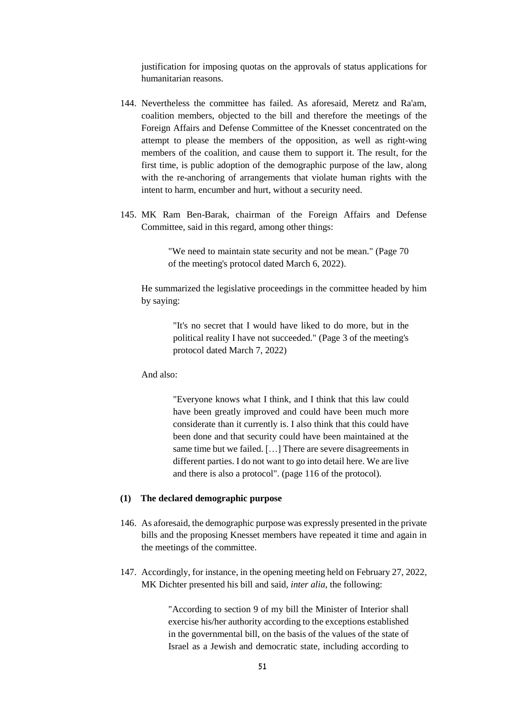justification for imposing quotas on the approvals of status applications for humanitarian reasons.

- 144. Nevertheless the committee has failed. As aforesaid, Meretz and Ra'am, coalition members, objected to the bill and therefore the meetings of the Foreign Affairs and Defense Committee of the Knesset concentrated on the attempt to please the members of the opposition, as well as right-wing members of the coalition, and cause them to support it. The result, for the first time, is public adoption of the demographic purpose of the law, along with the re-anchoring of arrangements that violate human rights with the intent to harm, encumber and hurt, without a security need.
- 145. MK Ram Ben-Barak, chairman of the Foreign Affairs and Defense Committee, said in this regard, among other things:

"We need to maintain state security and not be mean." (Page 70 of the meeting's protocol dated March 6, 2022).

He summarized the legislative proceedings in the committee headed by him by saying:

> "It's no secret that I would have liked to do more, but in the political reality I have not succeeded." (Page 3 of the meeting's protocol dated March 7, 2022)

And also:

"Everyone knows what I think, and I think that this law could have been greatly improved and could have been much more considerate than it currently is. I also think that this could have been done and that security could have been maintained at the same time but we failed. […] There are severe disagreements in different parties. I do not want to go into detail here. We are live and there is also a protocol". (page 116 of the protocol).

# **(1) The declared demographic purpose**

- 146. As aforesaid, the demographic purpose was expressly presented in the private bills and the proposing Knesset members have repeated it time and again in the meetings of the committee.
- 147. Accordingly, for instance, in the opening meeting held on February 27, 2022, MK Dichter presented his bill and said*, inter alia*, the following:

"According to section 9 of my bill the Minister of Interior shall exercise his/her authority according to the exceptions established in the governmental bill, on the basis of the values of the state of Israel as a Jewish and democratic state, including according to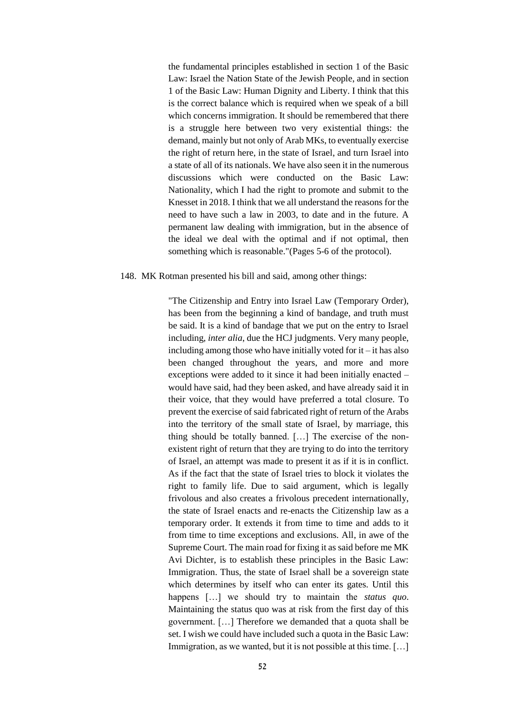the fundamental principles established in section 1 of the Basic Law: Israel the Nation State of the Jewish People, and in section 1 of the Basic Law: Human Dignity and Liberty. I think that this is the correct balance which is required when we speak of a bill which concerns immigration. It should be remembered that there is a struggle here between two very existential things: the demand, mainly but not only of Arab MKs, to eventually exercise the right of return here, in the state of Israel, and turn Israel into a state of all of its nationals. We have also seen it in the numerous discussions which were conducted on the Basic Law: Nationality, which I had the right to promote and submit to the Knesset in 2018. I think that we all understand the reasons for the need to have such a law in 2003, to date and in the future. A permanent law dealing with immigration, but in the absence of the ideal we deal with the optimal and if not optimal, then something which is reasonable."(Pages 5-6 of the protocol).

#### 148. MK Rotman presented his bill and said, among other things:

"The Citizenship and Entry into Israel Law (Temporary Order), has been from the beginning a kind of bandage, and truth must be said. It is a kind of bandage that we put on the entry to Israel including, *inter alia*, due the HCJ judgments. Very many people, including among those who have initially voted for  $it - it$  has also been changed throughout the years, and more and more exceptions were added to it since it had been initially enacted – would have said, had they been asked, and have already said it in their voice, that they would have preferred a total closure. To prevent the exercise of said fabricated right of return of the Arabs into the territory of the small state of Israel, by marriage, this thing should be totally banned. […] The exercise of the nonexistent right of return that they are trying to do into the territory of Israel, an attempt was made to present it as if it is in conflict. As if the fact that the state of Israel tries to block it violates the right to family life. Due to said argument, which is legally frivolous and also creates a frivolous precedent internationally, the state of Israel enacts and re-enacts the Citizenship law as a temporary order. It extends it from time to time and adds to it from time to time exceptions and exclusions. All, in awe of the Supreme Court. The main road for fixing it as said before me MK Avi Dichter, is to establish these principles in the Basic Law: Immigration. Thus, the state of Israel shall be a sovereign state which determines by itself who can enter its gates. Until this happens […] we should try to maintain the *status quo*. Maintaining the status quo was at risk from the first day of this government. […] Therefore we demanded that a quota shall be set. I wish we could have included such a quota in the Basic Law: Immigration, as we wanted, but it is not possible at this time. [...]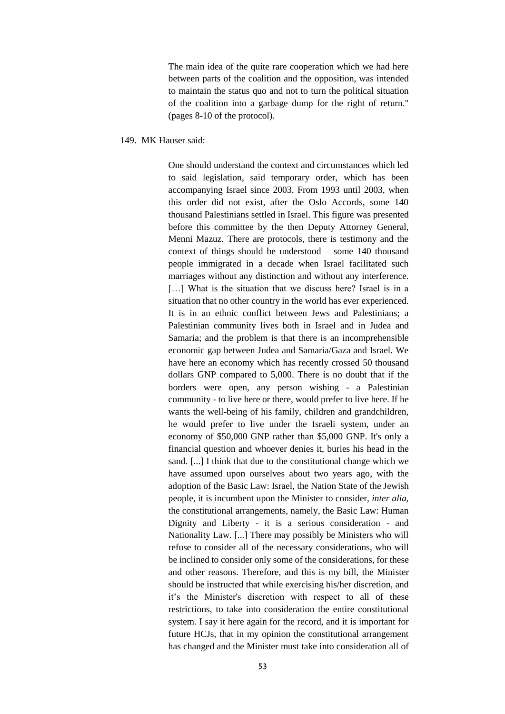The main idea of the quite rare cooperation which we had here between parts of the coalition and the opposition, was intended to maintain the status quo and not to turn the political situation of the coalition into a garbage dump for the right of return." (pages 8-10 of the protocol).

149. MK Hauser said:

One should understand the context and circumstances which led to said legislation, said temporary order, which has been accompanying Israel since 2003. From 1993 until 2003, when this order did not exist, after the Oslo Accords, some 140 thousand Palestinians settled in Israel. This figure was presented before this committee by the then Deputy Attorney General, Menni Mazuz. There are protocols, there is testimony and the context of things should be understood – some 140 thousand people immigrated in a decade when Israel facilitated such marriages without any distinction and without any interference. [...] What is the situation that we discuss here? Israel is in a situation that no other country in the world has ever experienced. It is in an ethnic conflict between Jews and Palestinians; a Palestinian community lives both in Israel and in Judea and Samaria; and the problem is that there is an incomprehensible economic gap between Judea and Samaria/Gaza and Israel. We have here an economy which has recently crossed 50 thousand dollars GNP compared to 5,000. There is no doubt that if the borders were open, any person wishing - a Palestinian community - to live here or there, would prefer to live here. If he wants the well-being of his family, children and grandchildren, he would prefer to live under the Israeli system, under an economy of \$50,000 GNP rather than \$5,000 GNP. It's only a financial question and whoever denies it, buries his head in the sand. [...] I think that due to the constitutional change which we have assumed upon ourselves about two years ago, with the adoption of the Basic Law: Israel, the Nation State of the Jewish people, it is incumbent upon the Minister to consider, *inter alia,* the constitutional arrangements, namely, the Basic Law: Human Dignity and Liberty - it is a serious consideration - and Nationality Law. [...] There may possibly be Ministers who will refuse to consider all of the necessary considerations, who will be inclined to consider only some of the considerations, for these and other reasons. Therefore, and this is my bill, the Minister should be instructed that while exercising his/her discretion, and it's the Minister's discretion with respect to all of these restrictions, to take into consideration the entire constitutional system. I say it here again for the record, and it is important for future HCJs, that in my opinion the constitutional arrangement has changed and the Minister must take into consideration all of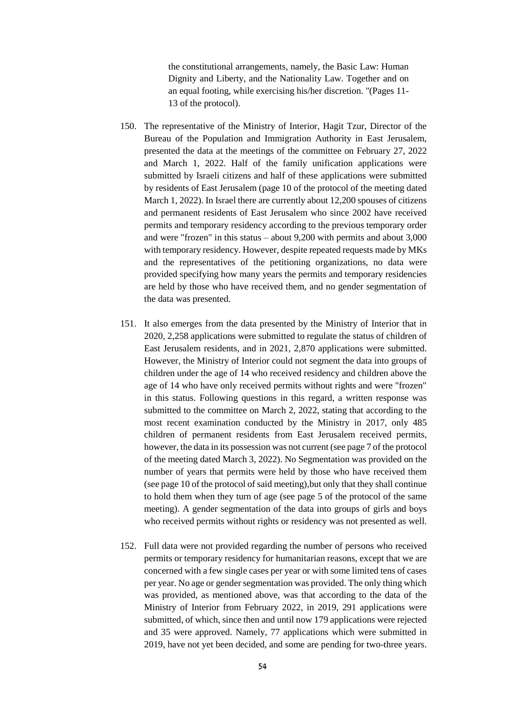the constitutional arrangements, namely, the Basic Law: Human Dignity and Liberty, and the Nationality Law. Together and on an equal footing, while exercising his/her discretion. "(Pages 11- 13 of the protocol).

- 150. The representative of the Ministry of Interior, Hagit Tzur, Director of the Bureau of the Population and Immigration Authority in East Jerusalem, presented the data at the meetings of the committee on February 27, 2022 and March 1, 2022. Half of the family unification applications were submitted by Israeli citizens and half of these applications were submitted by residents of East Jerusalem (page 10 of the protocol of the meeting dated March 1, 2022). In Israel there are currently about 12,200 spouses of citizens and permanent residents of East Jerusalem who since 2002 have received permits and temporary residency according to the previous temporary order and were "frozen" in this status – about 9,200 with permits and about 3,000 with temporary residency. However, despite repeated requests made by MKs and the representatives of the petitioning organizations, no data were provided specifying how many years the permits and temporary residencies are held by those who have received them, and no gender segmentation of the data was presented.
- 151. It also emerges from the data presented by the Ministry of Interior that in 2020, 2,258 applications were submitted to regulate the status of children of East Jerusalem residents, and in 2021, 2,870 applications were submitted. However, the Ministry of Interior could not segment the data into groups of children under the age of 14 who received residency and children above the age of 14 who have only received permits without rights and were "frozen" in this status. Following questions in this regard, a written response was submitted to the committee on March 2, 2022, stating that according to the most recent examination conducted by the Ministry in 2017, only 485 children of permanent residents from East Jerusalem received permits, however, the data in its possession was not current (see page 7 of the protocol of the meeting dated March 3, 2022). No Segmentation was provided on the number of years that permits were held by those who have received them (see page 10 of the protocol of said meeting),but only that they shall continue to hold them when they turn of age (see page 5 of the protocol of the same meeting). A gender segmentation of the data into groups of girls and boys who received permits without rights or residency was not presented as well.
- 152. Full data were not provided regarding the number of persons who received permits or temporary residency for humanitarian reasons, except that we are concerned with a few single cases per year or with some limited tens of cases per year. No age or gender segmentation was provided. The only thing which was provided, as mentioned above, was that according to the data of the Ministry of Interior from February 2022, in 2019, 291 applications were submitted, of which, since then and until now 179 applications were rejected and 35 were approved. Namely, 77 applications which were submitted in 2019, have not yet been decided, and some are pending for two-three years.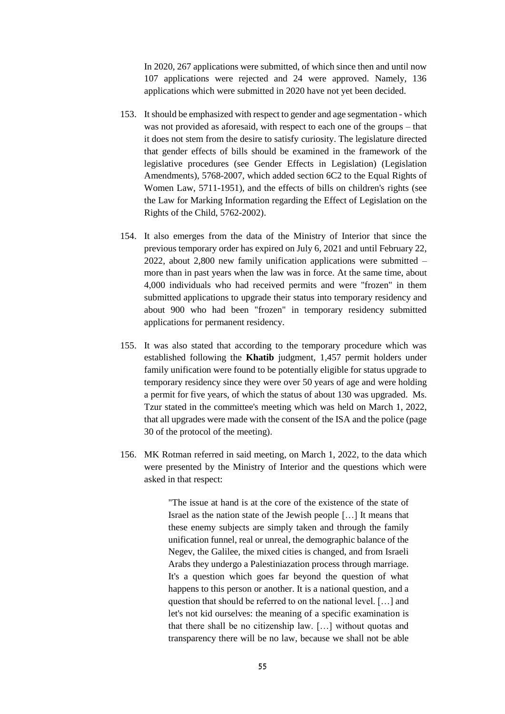In 2020, 267 applications were submitted, of which since then and until now 107 applications were rejected and 24 were approved. Namely, 136 applications which were submitted in 2020 have not yet been decided.

- 153. It should be emphasized with respect to gender and age segmentation which was not provided as aforesaid, with respect to each one of the groups – that it does not stem from the desire to satisfy curiosity. The legislature directed that gender effects of bills should be examined in the framework of the legislative procedures (see Gender Effects in Legislation) (Legislation Amendments), 5768-2007, which added section 6C2 to the Equal Rights of Women Law, 5711-1951), and the effects of bills on children's rights (see the Law for Marking Information regarding the Effect of Legislation on the Rights of the Child, 5762-2002).
- 154. It also emerges from the data of the Ministry of Interior that since the previous temporary order has expired on July 6, 2021 and until February 22, 2022, about 2,800 new family unification applications were submitted – more than in past years when the law was in force. At the same time, about 4,000 individuals who had received permits and were "frozen" in them submitted applications to upgrade their status into temporary residency and about 900 who had been "frozen" in temporary residency submitted applications for permanent residency.
- 155. It was also stated that according to the temporary procedure which was established following the **Khatib** judgment, 1,457 permit holders under family unification were found to be potentially eligible for status upgrade to temporary residency since they were over 50 years of age and were holding a permit for five years, of which the status of about 130 was upgraded. Ms. Tzur stated in the committee's meeting which was held on March 1, 2022, that all upgrades were made with the consent of the ISA and the police (page 30 of the protocol of the meeting).
- 156. MK Rotman referred in said meeting, on March 1, 2022, to the data which were presented by the Ministry of Interior and the questions which were asked in that respect:

"The issue at hand is at the core of the existence of the state of Israel as the nation state of the Jewish people […] It means that these enemy subjects are simply taken and through the family unification funnel, real or unreal, the demographic balance of the Negev, the Galilee, the mixed cities is changed, and from Israeli Arabs they undergo a Palestiniazation process through marriage. It's a question which goes far beyond the question of what happens to this person or another. It is a national question, and a question that should be referred to on the national level. […] and let's not kid ourselves: the meaning of a specific examination is that there shall be no citizenship law. […] without quotas and transparency there will be no law, because we shall not be able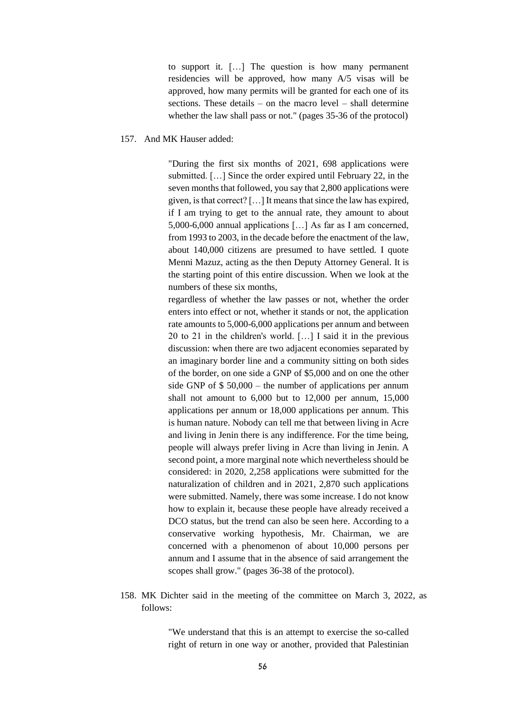to support it. […] The question is how many permanent residencies will be approved, how many A/5 visas will be approved, how many permits will be granted for each one of its sections. These details – on the macro level – shall determine whether the law shall pass or not." (pages 35-36 of the protocol)

## 157. And MK Hauser added:

"During the first six months of 2021, 698 applications were submitted. […] Since the order expired until February 22, in the seven months that followed, you say that 2,800 applications were given, is that correct? […] It means that since the law has expired, if I am trying to get to the annual rate, they amount to about 5,000-6,000 annual applications […] As far as I am concerned, from 1993 to 2003, in the decade before the enactment of the law, about 140,000 citizens are presumed to have settled. I quote Menni Mazuz, acting as the then Deputy Attorney General. It is the starting point of this entire discussion. When we look at the numbers of these six months,

regardless of whether the law passes or not, whether the order enters into effect or not, whether it stands or not, the application rate amounts to 5,000-6,000 applications per annum and between 20 to 21 in the children's world. […] I said it in the previous discussion: when there are two adjacent economies separated by an imaginary border line and a community sitting on both sides of the border, on one side a GNP of \$5,000 and on one the other side GNP of \$ 50,000 – the number of applications per annum shall not amount to 6,000 but to 12,000 per annum, 15,000 applications per annum or 18,000 applications per annum. This is human nature. Nobody can tell me that between living in Acre and living in Jenin there is any indifference. For the time being, people will always prefer living in Acre than living in Jenin. A second point, a more marginal note which nevertheless should be considered: in 2020, 2,258 applications were submitted for the naturalization of children and in 2021, 2,870 such applications were submitted. Namely, there was some increase. I do not know how to explain it, because these people have already received a DCO status, but the trend can also be seen here. According to a conservative working hypothesis, Mr. Chairman, we are concerned with a phenomenon of about 10,000 persons per annum and I assume that in the absence of said arrangement the scopes shall grow." (pages 36-38 of the protocol).

158. MK Dichter said in the meeting of the committee on March 3, 2022, as follows:

> "We understand that this is an attempt to exercise the so-called right of return in one way or another, provided that Palestinian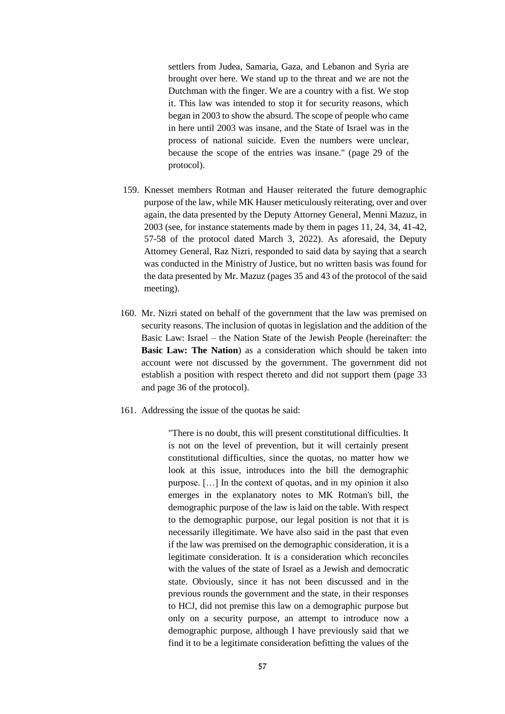settlers from Judea, Samaria, Gaza, and Lebanon and Syria are brought over here. We stand up to the threat and we are not the Dutchman with the finger. We are a country with a fist. We stop it. This law was intended to stop it for security reasons, which began in 2003 to show the absurd. The scope of people who came in here until 2003 was insane, and the State of Israel was in the process of national suicide. Even the numbers were unclear, because the scope of the entries was insane." (page 29 of the protocol).

- 159. Knesset members Rotman and Hauser reiterated the future demographic purpose of the law, while MK Hauser meticulously reiterating, over and over again, the data presented by the Deputy Attorney General, Menni Mazuz, in 2003 (see, for instance statements made by them in pages 11, 24, 34, 41-42, 57-58 of the protocol dated March 3, 2022). As aforesaid, the Deputy Attorney General, Raz Nizri, responded to said data by saying that a search was conducted in the Ministry of Justice, but no written basis was found for the data presented by Mr. Mazuz (pages 35 and 43 of the protocol of the said meeting).
- 160. Mr. Nizri stated on behalf of the government that the law was premised on security reasons. The inclusion of quotas in legislation and the addition of the Basic Law: Israel – the Nation State of the Jewish People (hereinafter: the **Basic Law: The Nation**) as a consideration which should be taken into account were not discussed by the government. The government did not establish a position with respect thereto and did not support them (page 33 and page 36 of the protocol).
- 161. Addressing the issue of the quotas he said:

"There is no doubt, this will present constitutional difficulties. It is not on the level of prevention, but it will certainly present constitutional difficulties, since the quotas, no matter how we look at this issue, introduces into the bill the demographic purpose. […] In the context of quotas, and in my opinion it also emerges in the explanatory notes to MK Rotman's bill, the demographic purpose of the law is laid on the table. With respect to the demographic purpose, our legal position is not that it is necessarily illegitimate. We have also said in the past that even if the law was premised on the demographic consideration, it is a legitimate consideration. It is a consideration which reconciles with the values of the state of Israel as a Jewish and democratic state. Obviously, since it has not been discussed and in the previous rounds the government and the state, in their responses to HCJ, did not premise this law on a demographic purpose but only on a security purpose, an attempt to introduce now a demographic purpose, although I have previously said that we find it to be a legitimate consideration befitting the values of the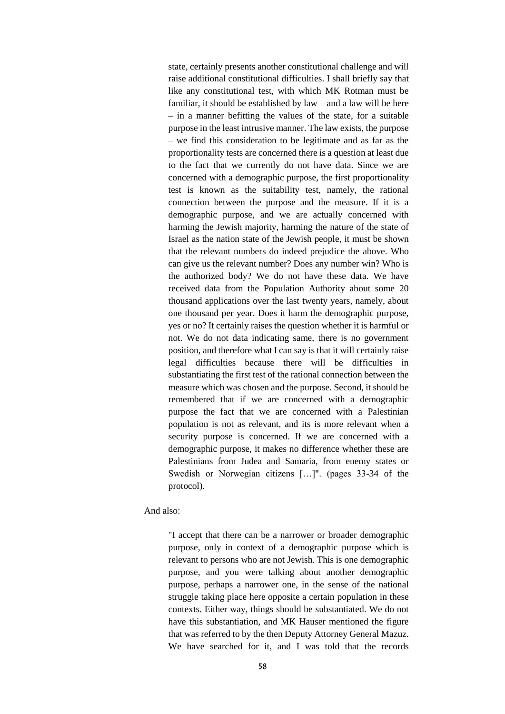state, certainly presents another constitutional challenge and will raise additional constitutional difficulties. I shall briefly say that like any constitutional test, with which MK Rotman must be familiar, it should be established by law – and a law will be here – in a manner befitting the values of the state, for a suitable purpose in the least intrusive manner. The law exists, the purpose – we find this consideration to be legitimate and as far as the proportionality tests are concerned there is a question at least due to the fact that we currently do not have data. Since we are concerned with a demographic purpose, the first proportionality test is known as the suitability test, namely, the rational connection between the purpose and the measure. If it is a demographic purpose, and we are actually concerned with harming the Jewish majority, harming the nature of the state of Israel as the nation state of the Jewish people, it must be shown that the relevant numbers do indeed prejudice the above. Who can give us the relevant number? Does any number win? Who is the authorized body? We do not have these data. We have received data from the Population Authority about some 20 thousand applications over the last twenty years, namely, about one thousand per year. Does it harm the demographic purpose, yes or no? It certainly raises the question whether it is harmful or not. We do not data indicating same, there is no government position, and therefore what I can say is that it will certainly raise legal difficulties because there will be difficulties in substantiating the first test of the rational connection between the measure which was chosen and the purpose. Second, it should be remembered that if we are concerned with a demographic purpose the fact that we are concerned with a Palestinian population is not as relevant, and its is more relevant when a security purpose is concerned. If we are concerned with a demographic purpose, it makes no difference whether these are Palestinians from Judea and Samaria, from enemy states or Swedish or Norwegian citizens […]". (pages 33-34 of the protocol).

And also:

"I accept that there can be a narrower or broader demographic purpose, only in context of a demographic purpose which is relevant to persons who are not Jewish. This is one demographic purpose, and you were talking about another demographic purpose, perhaps a narrower one, in the sense of the national struggle taking place here opposite a certain population in these contexts. Either way, things should be substantiated. We do not have this substantiation, and MK Hauser mentioned the figure that was referred to by the then Deputy Attorney General Mazuz. We have searched for it, and I was told that the records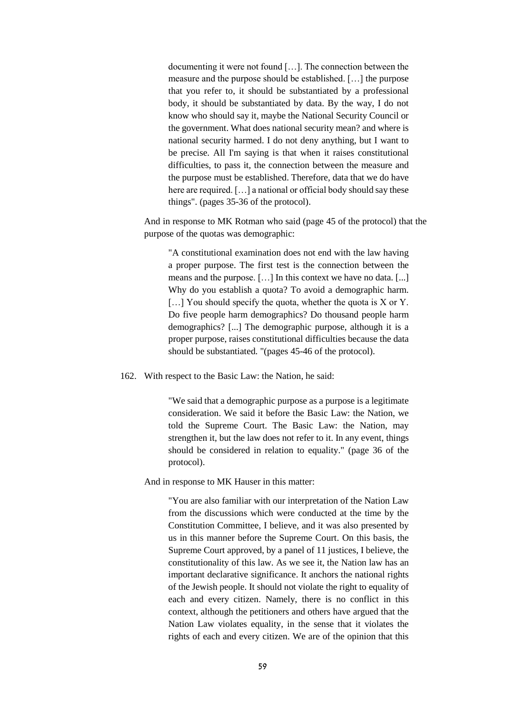documenting it were not found […]. The connection between the measure and the purpose should be established. […] the purpose that you refer to, it should be substantiated by a professional body, it should be substantiated by data. By the way, I do not know who should say it, maybe the National Security Council or the government. What does national security mean? and where is national security harmed. I do not deny anything, but I want to be precise. All I'm saying is that when it raises constitutional difficulties, to pass it, the connection between the measure and the purpose must be established. Therefore, data that we do have here are required. [...] a national or official body should say these things". (pages 35-36 of the protocol).

And in response to MK Rotman who said (page 45 of the protocol) that the purpose of the quotas was demographic:

"A constitutional examination does not end with the law having a proper purpose. The first test is the connection between the means and the purpose. […] In this context we have no data. [...] Why do you establish a quota? To avoid a demographic harm. [...] You should specify the quota, whether the quota is X or Y. Do five people harm demographics? Do thousand people harm demographics? [...] The demographic purpose, although it is a proper purpose, raises constitutional difficulties because the data should be substantiated. "(pages 45-46 of the protocol).

162. With respect to the Basic Law: the Nation, he said:

"We said that a demographic purpose as a purpose is a legitimate consideration. We said it before the Basic Law: the Nation, we told the Supreme Court. The Basic Law: the Nation, may strengthen it, but the law does not refer to it. In any event, things should be considered in relation to equality." (page 36 of the protocol).

And in response to MK Hauser in this matter:

"You are also familiar with our interpretation of the Nation Law from the discussions which were conducted at the time by the Constitution Committee, I believe, and it was also presented by us in this manner before the Supreme Court. On this basis, the Supreme Court approved, by a panel of 11 justices, I believe, the constitutionality of this law. As we see it, the Nation law has an important declarative significance. It anchors the national rights of the Jewish people. It should not violate the right to equality of each and every citizen. Namely, there is no conflict in this context, although the petitioners and others have argued that the Nation Law violates equality, in the sense that it violates the rights of each and every citizen. We are of the opinion that this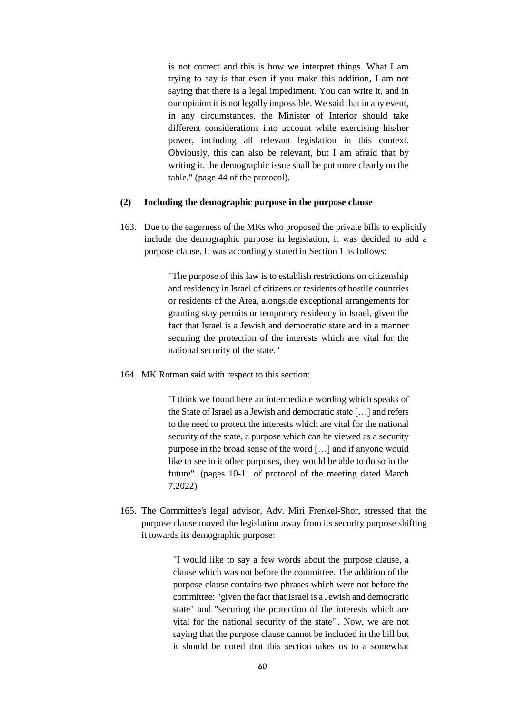is not correct and this is how we interpret things. What I am trying to say is that even if you make this addition, I am not saying that there is a legal impediment. You can write it, and in our opinion it is not legally impossible. We said that in any event, in any circumstances, the Minister of Interior should take different considerations into account while exercising his/her power, including all relevant legislation in this context. Obviously, this can also be relevant, but I am afraid that by writing it, the demographic issue shall be put more clearly on the table." (page 44 of the protocol).

#### **(2) Including the demographic purpose in the purpose clause**

163. Due to the eagerness of the MKs who proposed the private bills to explicitly include the demographic purpose in legislation, it was decided to add a purpose clause. It was accordingly stated in Section 1 as follows:

> "The purpose of this law is to establish restrictions on citizenship and residency in Israel of citizens or residents of hostile countries or residents of the Area, alongside exceptional arrangements for granting stay permits or temporary residency in Israel, given the fact that Israel is a Jewish and democratic state and in a manner securing the protection of the interests which are vital for the national security of the state."

164. MK Rotman said with respect to this section:

"I think we found here an intermediate wording which speaks of the State of Israel as a Jewish and democratic state […] and refers to the need to protect the interests which are vital for the national security of the state, a purpose which can be viewed as a security purpose in the broad sense of the word […] and if anyone would like to see in it other purposes, they would be able to do so in the future". (pages 10-11 of protocol of the meeting dated March 7,2022)

165. The Committee's legal advisor, Adv. Miri Frenkel-Shor, stressed that the purpose clause moved the legislation away from its security purpose shifting it towards its demographic purpose:

> "I would like to say a few words about the purpose clause, a clause which was not before the committee. The addition of the purpose clause contains two phrases which were not before the committee: "given the fact that Israel is a Jewish and democratic state" and "securing the protection of the interests which are vital for the national security of the state"'. Now, we are not saying that the purpose clause cannot be included in the bill but it should be noted that this section takes us to a somewhat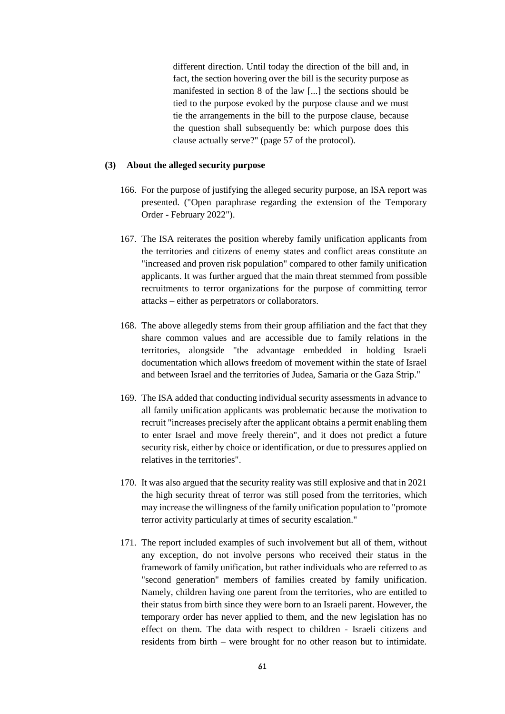different direction. Until today the direction of the bill and, in fact, the section hovering over the bill is the security purpose as manifested in section 8 of the law [...] the sections should be tied to the purpose evoked by the purpose clause and we must tie the arrangements in the bill to the purpose clause, because the question shall subsequently be: which purpose does this clause actually serve?" (page 57 of the protocol).

#### **(3) About the alleged security purpose**

- 166. For the purpose of justifying the alleged security purpose, an ISA report was presented. ("Open paraphrase regarding the extension of the Temporary Order - February 2022").
- 167. The ISA reiterates the position whereby family unification applicants from the territories and citizens of enemy states and conflict areas constitute an "increased and proven risk population" compared to other family unification applicants. It was further argued that the main threat stemmed from possible recruitments to terror organizations for the purpose of committing terror attacks – either as perpetrators or collaborators.
- 168. The above allegedly stems from their group affiliation and the fact that they share common values and are accessible due to family relations in the territories, alongside "the advantage embedded in holding Israeli documentation which allows freedom of movement within the state of Israel and between Israel and the territories of Judea, Samaria or the Gaza Strip."
- 169. The ISA added that conducting individual security assessments in advance to all family unification applicants was problematic because the motivation to recruit "increases precisely after the applicant obtains a permit enabling them to enter Israel and move freely therein", and it does not predict a future security risk, either by choice or identification, or due to pressures applied on relatives in the territories".
- 170. It was also argued that the security reality was still explosive and that in 2021 the high security threat of terror was still posed from the territories, which may increase the willingness of the family unification population to "promote terror activity particularly at times of security escalation."
- 171. The report included examples of such involvement but all of them, without any exception, do not involve persons who received their status in the framework of family unification, but rather individuals who are referred to as "second generation" members of families created by family unification. Namely, children having one parent from the territories, who are entitled to their status from birth since they were born to an Israeli parent. However, the temporary order has never applied to them, and the new legislation has no effect on them. The data with respect to children - Israeli citizens and residents from birth – were brought for no other reason but to intimidate.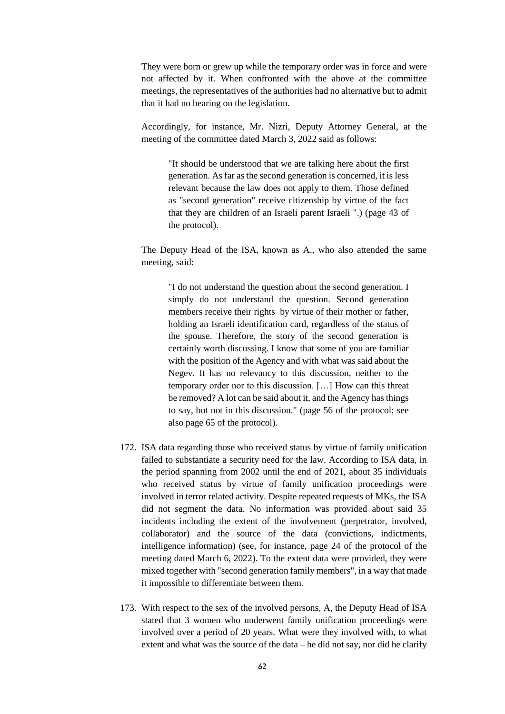They were born or grew up while the temporary order was in force and were not affected by it. When confronted with the above at the committee meetings, the representatives of the authorities had no alternative but to admit that it had no bearing on the legislation.

Accordingly, for instance, Mr. Nizri, Deputy Attorney General, at the meeting of the committee dated March 3, 2022 said as follows:

"It should be understood that we are talking here about the first generation. As far as the second generation is concerned, it is less relevant because the law does not apply to them. Those defined as "second generation" receive citizenship by virtue of the fact that they are children of an Israeli parent Israeli ".) (page 43 of the protocol).

The Deputy Head of the ISA, known as A., who also attended the same meeting, said:

"I do not understand the question about the second generation. I simply do not understand the question. Second generation members receive their rights by virtue of their mother or father, holding an Israeli identification card, regardless of the status of the spouse. Therefore, the story of the second generation is certainly worth discussing. I know that some of you are familiar with the position of the Agency and with what was said about the Negev. It has no relevancy to this discussion, neither to the temporary order nor to this discussion. […] How can this threat be removed? A lot can be said about it, and the Agency has things to say, but not in this discussion." (page 56 of the protocol; see also page 65 of the protocol).

- 172. ISA data regarding those who received status by virtue of family unification failed to substantiate a security need for the law. According to ISA data, in the period spanning from 2002 until the end of 2021, about 35 individuals who received status by virtue of family unification proceedings were involved in terror related activity. Despite repeated requests of MKs, the ISA did not segment the data. No information was provided about said 35 incidents including the extent of the involvement (perpetrator, involved, collaborator) and the source of the data (convictions, indictments, intelligence information) (see, for instance, page 24 of the protocol of the meeting dated March 6, 2022). To the extent data were provided, they were mixed together with "second generation family members", in a way that made it impossible to differentiate between them.
- 173. With respect to the sex of the involved persons, A, the Deputy Head of ISA stated that 3 women who underwent family unification proceedings were involved over a period of 20 years. What were they involved with, to what extent and what was the source of the data – he did not say, nor did he clarify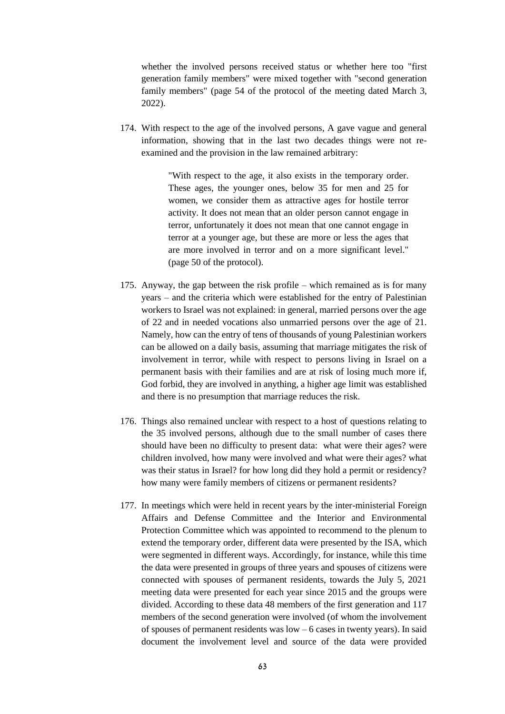whether the involved persons received status or whether here too "first generation family members" were mixed together with "second generation family members" (page 54 of the protocol of the meeting dated March 3, 2022).

174. With respect to the age of the involved persons, A gave vague and general information, showing that in the last two decades things were not reexamined and the provision in the law remained arbitrary:

> "With respect to the age, it also exists in the temporary order. These ages, the younger ones, below 35 for men and 25 for women, we consider them as attractive ages for hostile terror activity. It does not mean that an older person cannot engage in terror, unfortunately it does not mean that one cannot engage in terror at a younger age, but these are more or less the ages that are more involved in terror and on a more significant level." (page 50 of the protocol).

- 175. Anyway, the gap between the risk profile which remained as is for many years – and the criteria which were established for the entry of Palestinian workers to Israel was not explained: in general, married persons over the age of 22 and in needed vocations also unmarried persons over the age of 21. Namely, how can the entry of tens of thousands of young Palestinian workers can be allowed on a daily basis, assuming that marriage mitigates the risk of involvement in terror, while with respect to persons living in Israel on a permanent basis with their families and are at risk of losing much more if, God forbid, they are involved in anything, a higher age limit was established and there is no presumption that marriage reduces the risk.
- 176. Things also remained unclear with respect to a host of questions relating to the 35 involved persons, although due to the small number of cases there should have been no difficulty to present data: what were their ages? were children involved, how many were involved and what were their ages? what was their status in Israel? for how long did they hold a permit or residency? how many were family members of citizens or permanent residents?
- 177. In meetings which were held in recent years by the inter-ministerial Foreign Affairs and Defense Committee and the Interior and Environmental Protection Committee which was appointed to recommend to the plenum to extend the temporary order, different data were presented by the ISA, which were segmented in different ways. Accordingly, for instance, while this time the data were presented in groups of three years and spouses of citizens were connected with spouses of permanent residents, towards the July 5, 2021 meeting data were presented for each year since 2015 and the groups were divided. According to these data 48 members of the first generation and 117 members of the second generation were involved (of whom the involvement of spouses of permanent residents was low – 6 cases in twenty years). In said document the involvement level and source of the data were provided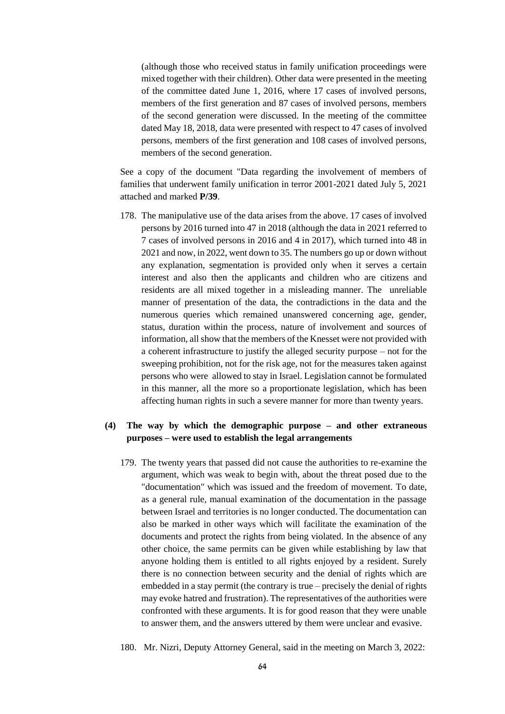(although those who received status in family unification proceedings were mixed together with their children). Other data were presented in the meeting of the committee dated June 1, 2016, where 17 cases of involved persons, members of the first generation and 87 cases of involved persons, members of the second generation were discussed. In the meeting of the committee dated May 18, 2018, data were presented with respect to 47 cases of involved persons, members of the first generation and 108 cases of involved persons, members of the second generation.

See a copy of the document "Data regarding the involvement of members of families that underwent family unification in terror 2001-2021 dated July 5, 2021 attached and marked **P/39**.

178. The manipulative use of the data arises from the above. 17 cases of involved persons by 2016 turned into 47 in 2018 (although the data in 2021 referred to 7 cases of involved persons in 2016 and 4 in 2017), which turned into 48 in 2021 and now, in 2022, went down to 35. The numbers go up or down without any explanation, segmentation is provided only when it serves a certain interest and also then the applicants and children who are citizens and residents are all mixed together in a misleading manner. The unreliable manner of presentation of the data, the contradictions in the data and the numerous queries which remained unanswered concerning age, gender, status, duration within the process, nature of involvement and sources of information, all show that the members of the Knesset were not provided with a coherent infrastructure to justify the alleged security purpose – not for the sweeping prohibition, not for the risk age, not for the measures taken against persons who were allowed to stay in Israel. Legislation cannot be formulated in this manner, all the more so a proportionate legislation, which has been affecting human rights in such a severe manner for more than twenty years.

# **(4) The way by which the demographic purpose – and other extraneous purposes – were used to establish the legal arrangements**

- 179. The twenty years that passed did not cause the authorities to re-examine the argument, which was weak to begin with, about the threat posed due to the "documentation" which was issued and the freedom of movement. To date, as a general rule, manual examination of the documentation in the passage between Israel and territories is no longer conducted. The documentation can also be marked in other ways which will facilitate the examination of the documents and protect the rights from being violated. In the absence of any other choice, the same permits can be given while establishing by law that anyone holding them is entitled to all rights enjoyed by a resident. Surely there is no connection between security and the denial of rights which are embedded in a stay permit (the contrary is true – precisely the denial of rights may evoke hatred and frustration). The representatives of the authorities were confronted with these arguments. It is for good reason that they were unable to answer them, and the answers uttered by them were unclear and evasive.
- 180. Mr. Nizri, Deputy Attorney General, said in the meeting on March 3, 2022: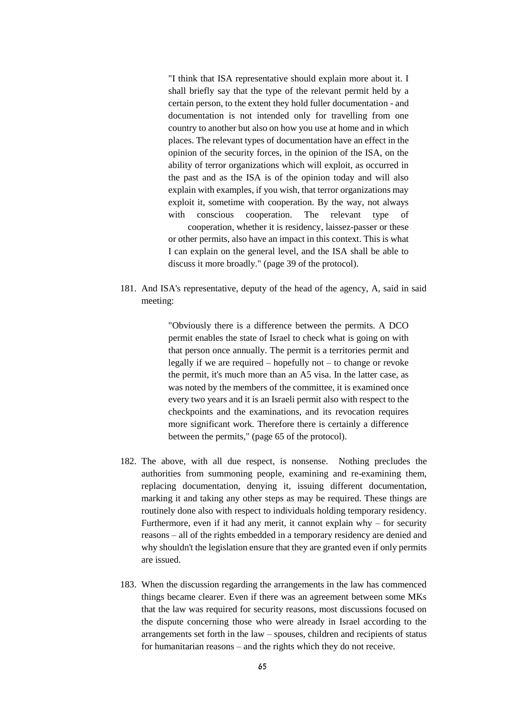"I think that ISA representative should explain more about it. I shall briefly say that the type of the relevant permit held by a certain person, to the extent they hold fuller documentation - and documentation is not intended only for travelling from one country to another but also on how you use at home and in which places. The relevant types of documentation have an effect in the opinion of the security forces, in the opinion of the ISA, on the ability of terror organizations which will exploit, as occurred in the past and as the ISA is of the opinion today and will also explain with examples, if you wish, that terror organizations may exploit it, sometime with cooperation. By the way, not always with conscious cooperation. The relevant type of cooperation, whether it is residency, laissez-passer or these or other permits, also have an impact in this context. This is what I can explain on the general level, and the ISA shall be able to discuss it more broadly." (page 39 of the protocol).

181. And ISA's representative, deputy of the head of the agency, A, said in said meeting:

> "Obviously there is a difference between the permits. A DCO permit enables the state of Israel to check what is going on with that person once annually. The permit is a territories permit and legally if we are required – hopefully not – to change or revoke the permit, it's much more than an A5 visa. In the latter case, as was noted by the members of the committee, it is examined once every two years and it is an Israeli permit also with respect to the checkpoints and the examinations, and its revocation requires more significant work. Therefore there is certainly a difference between the permits," (page 65 of the protocol).

- 182. The above, with all due respect, is nonsense. Nothing precludes the authorities from summoning people, examining and re-examining them, replacing documentation, denying it, issuing different documentation, marking it and taking any other steps as may be required. These things are routinely done also with respect to individuals holding temporary residency. Furthermore, even if it had any merit, it cannot explain why – for security reasons – all of the rights embedded in a temporary residency are denied and why shouldn't the legislation ensure that they are granted even if only permits are issued.
- 183. When the discussion regarding the arrangements in the law has commenced things became clearer. Even if there was an agreement between some MKs that the law was required for security reasons, most discussions focused on the dispute concerning those who were already in Israel according to the arrangements set forth in the law – spouses, children and recipients of status for humanitarian reasons – and the rights which they do not receive.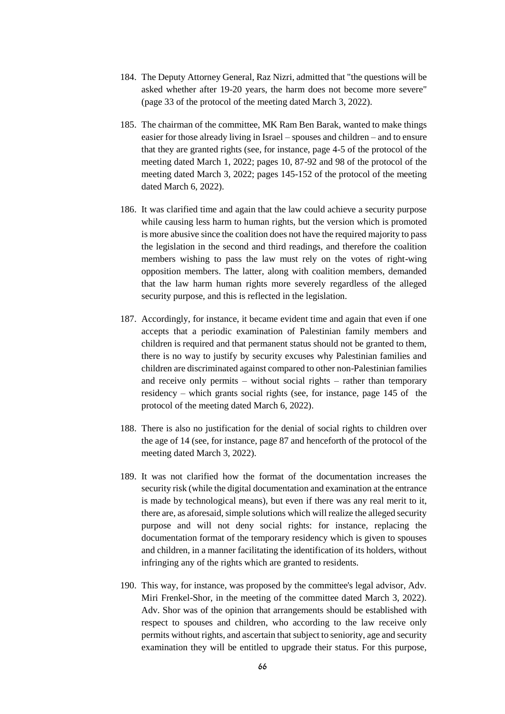- 184. The Deputy Attorney General, Raz Nizri, admitted that "the questions will be asked whether after 19-20 years, the harm does not become more severe" (page 33 of the protocol of the meeting dated March 3, 2022).
- 185. The chairman of the committee, MK Ram Ben Barak, wanted to make things easier for those already living in Israel – spouses and children – and to ensure that they are granted rights (see, for instance, page 4-5 of the protocol of the meeting dated March 1, 2022; pages 10, 87-92 and 98 of the protocol of the meeting dated March 3, 2022; pages 145-152 of the protocol of the meeting dated March 6, 2022).
- 186. It was clarified time and again that the law could achieve a security purpose while causing less harm to human rights, but the version which is promoted is more abusive since the coalition does not have the required majority to pass the legislation in the second and third readings, and therefore the coalition members wishing to pass the law must rely on the votes of right-wing opposition members. The latter, along with coalition members, demanded that the law harm human rights more severely regardless of the alleged security purpose, and this is reflected in the legislation.
- 187. Accordingly, for instance, it became evident time and again that even if one accepts that a periodic examination of Palestinian family members and children is required and that permanent status should not be granted to them, there is no way to justify by security excuses why Palestinian families and children are discriminated against compared to other non-Palestinian families and receive only permits – without social rights – rather than temporary residency – which grants social rights (see, for instance, page 145 of the protocol of the meeting dated March 6, 2022).
- 188. There is also no justification for the denial of social rights to children over the age of 14 (see, for instance, page 87 and henceforth of the protocol of the meeting dated March 3, 2022).
- 189. It was not clarified how the format of the documentation increases the security risk (while the digital documentation and examination at the entrance is made by technological means), but even if there was any real merit to it, there are, as aforesaid, simple solutions which will realize the alleged security purpose and will not deny social rights: for instance, replacing the documentation format of the temporary residency which is given to spouses and children, in a manner facilitating the identification of its holders, without infringing any of the rights which are granted to residents.
- 190. This way, for instance, was proposed by the committee's legal advisor, Adv. Miri Frenkel-Shor, in the meeting of the committee dated March 3, 2022). Adv. Shor was of the opinion that arrangements should be established with respect to spouses and children, who according to the law receive only permits without rights, and ascertain that subject to seniority, age and security examination they will be entitled to upgrade their status. For this purpose,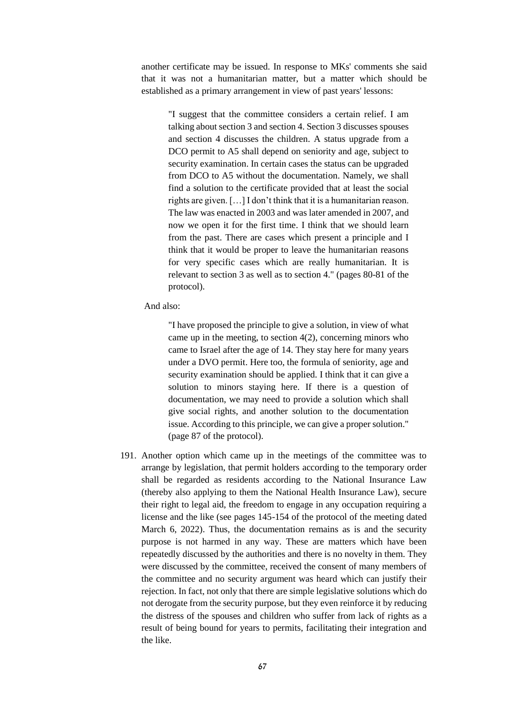another certificate may be issued. In response to MKs' comments she said that it was not a humanitarian matter, but a matter which should be established as a primary arrangement in view of past years' lessons:

"I suggest that the committee considers a certain relief. I am talking about section 3 and section 4. Section 3 discusses spouses and section 4 discusses the children. A status upgrade from a DCO permit to A5 shall depend on seniority and age, subject to security examination. In certain cases the status can be upgraded from DCO to A5 without the documentation. Namely, we shall find a solution to the certificate provided that at least the social rights are given. […] I don't think that it is a humanitarian reason. The law was enacted in 2003 and was later amended in 2007, and now we open it for the first time. I think that we should learn from the past. There are cases which present a principle and I think that it would be proper to leave the humanitarian reasons for very specific cases which are really humanitarian. It is relevant to section 3 as well as to section 4." (pages 80-81 of the protocol).

And also:

"I have proposed the principle to give a solution, in view of what came up in the meeting, to section  $4(2)$ , concerning minors who came to Israel after the age of 14. They stay here for many years under a DVO permit. Here too, the formula of seniority, age and security examination should be applied. I think that it can give a solution to minors staying here. If there is a question of documentation, we may need to provide a solution which shall give social rights, and another solution to the documentation issue. According to this principle, we can give a proper solution." (page 87 of the protocol).

191. Another option which came up in the meetings of the committee was to arrange by legislation, that permit holders according to the temporary order shall be regarded as residents according to the National Insurance Law (thereby also applying to them the National Health Insurance Law), secure their right to legal aid, the freedom to engage in any occupation requiring a license and the like (see pages 145-154 of the protocol of the meeting dated March 6, 2022). Thus, the documentation remains as is and the security purpose is not harmed in any way. These are matters which have been repeatedly discussed by the authorities and there is no novelty in them. They were discussed by the committee, received the consent of many members of the committee and no security argument was heard which can justify their rejection. In fact, not only that there are simple legislative solutions which do not derogate from the security purpose, but they even reinforce it by reducing the distress of the spouses and children who suffer from lack of rights as a result of being bound for years to permits, facilitating their integration and the like.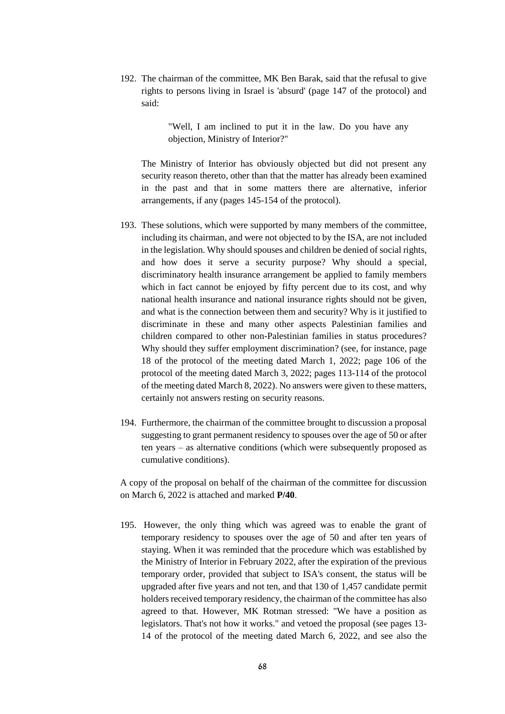192. The chairman of the committee, MK Ben Barak, said that the refusal to give rights to persons living in Israel is 'absurd' (page 147 of the protocol) and said:

> "Well, I am inclined to put it in the law. Do you have any objection, Ministry of Interior?"

The Ministry of Interior has obviously objected but did not present any security reason thereto, other than that the matter has already been examined in the past and that in some matters there are alternative, inferior arrangements, if any (pages 145-154 of the protocol).

- 193. These solutions, which were supported by many members of the committee, including its chairman, and were not objected to by the ISA, are not included in the legislation. Why should spouses and children be denied of social rights, and how does it serve a security purpose? Why should a special, discriminatory health insurance arrangement be applied to family members which in fact cannot be enjoyed by fifty percent due to its cost, and why national health insurance and national insurance rights should not be given, and what is the connection between them and security? Why is it justified to discriminate in these and many other aspects Palestinian families and children compared to other non-Palestinian families in status procedures? Why should they suffer employment discrimination? (see, for instance, page 18 of the protocol of the meeting dated March 1, 2022; page 106 of the protocol of the meeting dated March 3, 2022; pages 113-114 of the protocol of the meeting dated March 8, 2022). No answers were given to these matters, certainly not answers resting on security reasons.
- 194. Furthermore, the chairman of the committee brought to discussion a proposal suggesting to grant permanent residency to spouses over the age of 50 or after ten years – as alternative conditions (which were subsequently proposed as cumulative conditions).

A copy of the proposal on behalf of the chairman of the committee for discussion on March 6, 2022 is attached and marked **P/40**.

195. However, the only thing which was agreed was to enable the grant of temporary residency to spouses over the age of 50 and after ten years of staying. When it was reminded that the procedure which was established by the Ministry of Interior in February 2022, after the expiration of the previous temporary order, provided that subject to ISA's consent, the status will be upgraded after five years and not ten, and that 130 of 1,457 candidate permit holders received temporary residency, the chairman of the committee has also agreed to that. However, MK Rotman stressed: "We have a position as legislators. That's not how it works." and vetoed the proposal (see pages 13- 14 of the protocol of the meeting dated March 6, 2022, and see also the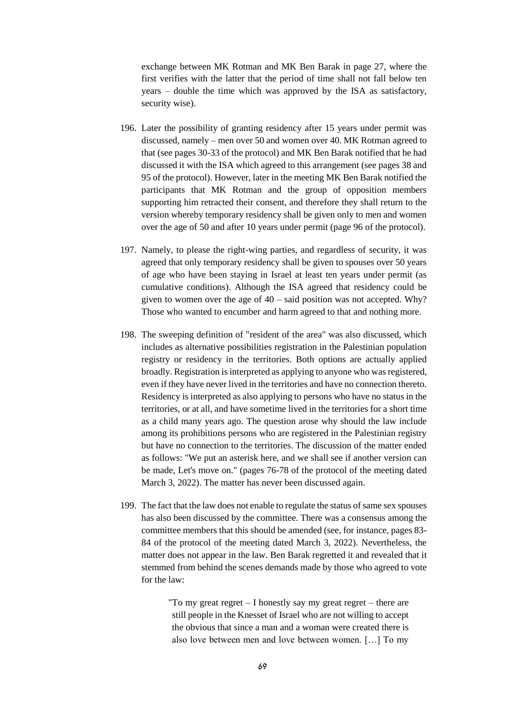exchange between MK Rotman and MK Ben Barak in page 27, where the first verifies with the latter that the period of time shall not fall below ten years – double the time which was approved by the ISA as satisfactory, security wise).

- 196. Later the possibility of granting residency after 15 years under permit was discussed, namely – men over 50 and women over 40. MK Rotman agreed to that (see pages 30-33 of the protocol) and MK Ben Barak notified that he had discussed it with the ISA which agreed to this arrangement (see pages 38 and 95 of the protocol). However, later in the meeting MK Ben Barak notified the participants that MK Rotman and the group of opposition members supporting him retracted their consent, and therefore they shall return to the version whereby temporary residency shall be given only to men and women over the age of 50 and after 10 years under permit (page 96 of the protocol).
- 197. Namely, to please the right-wing parties, and regardless of security, it was agreed that only temporary residency shall be given to spouses over 50 years of age who have been staying in Israel at least ten years under permit (as cumulative conditions). Although the ISA agreed that residency could be given to women over the age of  $40 - \text{s}$  position was not accepted. Why? Those who wanted to encumber and harm agreed to that and nothing more.
- 198. The sweeping definition of "resident of the area" was also discussed, which includes as alternative possibilities registration in the Palestinian population registry or residency in the territories. Both options are actually applied broadly. Registration is interpreted as applying to anyone who was registered, even if they have never lived in the territories and have no connection thereto. Residency is interpreted as also applying to persons who have no status in the territories, or at all, and have sometime lived in the territories for a short time as a child many years ago. The question arose why should the law include among its prohibitions persons who are registered in the Palestinian registry but have no connection to the territories. The discussion of the matter ended as follows: "We put an asterisk here, and we shall see if another version can be made, Let's move on." (pages 76-78 of the protocol of the meeting dated March 3, 2022). The matter has never been discussed again.
- 199. The fact that the law does not enable to regulate the status of same sex spouses has also been discussed by the committee. There was a consensus among the committee members that this should be amended (see, for instance, pages 83- 84 of the protocol of the meeting dated March 3, 2022). Nevertheless, the matter does not appear in the law. Ben Barak regretted it and revealed that it stemmed from behind the scenes demands made by those who agreed to vote for the law:

"To my great regret  $-$  I honestly say my great regret  $-$  there are still people in the Knesset of Israel who are not willing to accept the obvious that since a man and a woman were created there is also love between men and love between women. […] To my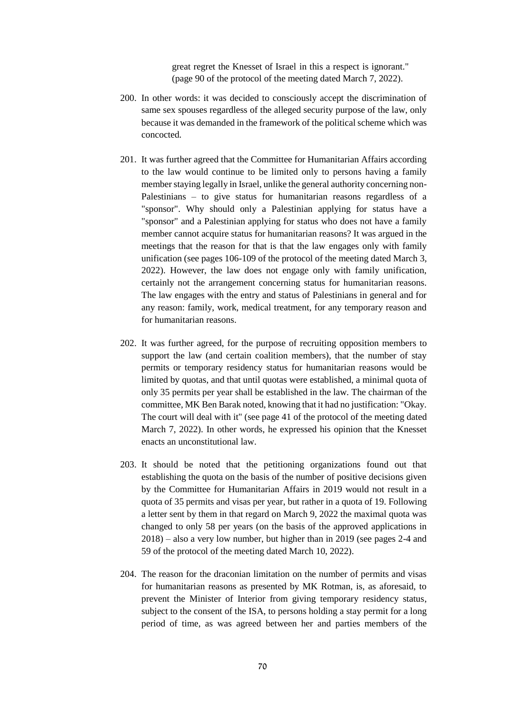great regret the Knesset of Israel in this a respect is ignorant." (page 90 of the protocol of the meeting dated March 7, 2022).

- 200. In other words: it was decided to consciously accept the discrimination of same sex spouses regardless of the alleged security purpose of the law, only because it was demanded in the framework of the political scheme which was concocted.
- 201. It was further agreed that the Committee for Humanitarian Affairs according to the law would continue to be limited only to persons having a family member staying legally in Israel, unlike the general authority concerning non-Palestinians – to give status for humanitarian reasons regardless of a "sponsor". Why should only a Palestinian applying for status have a "sponsor" and a Palestinian applying for status who does not have a family member cannot acquire status for humanitarian reasons? It was argued in the meetings that the reason for that is that the law engages only with family unification (see pages 106-109 of the protocol of the meeting dated March 3, 2022). However, the law does not engage only with family unification, certainly not the arrangement concerning status for humanitarian reasons. The law engages with the entry and status of Palestinians in general and for any reason: family, work, medical treatment, for any temporary reason and for humanitarian reasons.
- 202. It was further agreed, for the purpose of recruiting opposition members to support the law (and certain coalition members), that the number of stay permits or temporary residency status for humanitarian reasons would be limited by quotas, and that until quotas were established, a minimal quota of only 35 permits per year shall be established in the law. The chairman of the committee, MK Ben Barak noted, knowing that it had no justification: "Okay. The court will deal with it" (see page 41 of the protocol of the meeting dated March 7, 2022). In other words, he expressed his opinion that the Knesset enacts an unconstitutional law.
- 203. It should be noted that the petitioning organizations found out that establishing the quota on the basis of the number of positive decisions given by the Committee for Humanitarian Affairs in 2019 would not result in a quota of 35 permits and visas per year, but rather in a quota of 19. Following a letter sent by them in that regard on March 9, 2022 the maximal quota was changed to only 58 per years (on the basis of the approved applications in 2018) – also a very low number, but higher than in 2019 (see pages 2-4 and 59 of the protocol of the meeting dated March 10, 2022).
- 204. The reason for the draconian limitation on the number of permits and visas for humanitarian reasons as presented by MK Rotman, is, as aforesaid, to prevent the Minister of Interior from giving temporary residency status, subject to the consent of the ISA, to persons holding a stay permit for a long period of time, as was agreed between her and parties members of the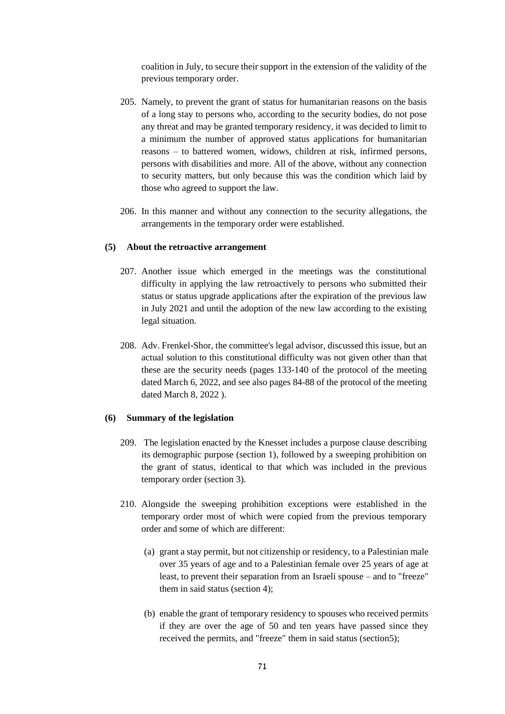coalition in July, to secure their support in the extension of the validity of the previous temporary order.

- 205. Namely, to prevent the grant of status for humanitarian reasons on the basis of a long stay to persons who, according to the security bodies, do not pose any threat and may be granted temporary residency, it was decided to limit to a minimum the number of approved status applications for humanitarian reasons – to battered women, widows, children at risk, infirmed persons, persons with disabilities and more. All of the above, without any connection to security matters, but only because this was the condition which laid by those who agreed to support the law.
- 206. In this manner and without any connection to the security allegations, the arrangements in the temporary order were established.

### **(5) About the retroactive arrangement**

- 207. Another issue which emerged in the meetings was the constitutional difficulty in applying the law retroactively to persons who submitted their status or status upgrade applications after the expiration of the previous law in July 2021 and until the adoption of the new law according to the existing legal situation.
- 208. Adv. Frenkel-Shor, the committee's legal advisor, discussed this issue, but an actual solution to this constitutional difficulty was not given other than that these are the security needs (pages 133-140 of the protocol of the meeting dated March 6, 2022, and see also pages 84-88 of the protocol of the meeting dated March 8, 2022 ).

### **(6) Summary of the legislation**

- 209. The legislation enacted by the Knesset includes a purpose clause describing its demographic purpose (section 1), followed by a sweeping prohibition on the grant of status, identical to that which was included in the previous temporary order (section 3).
- 210. Alongside the sweeping prohibition exceptions were established in the temporary order most of which were copied from the previous temporary order and some of which are different:
	- (a) grant a stay permit, but not citizenship or residency, to a Palestinian male over 35 years of age and to a Palestinian female over 25 years of age at least, to prevent their separation from an Israeli spouse – and to "freeze" them in said status (section 4);
	- (b) enable the grant of temporary residency to spouses who received permits if they are over the age of 50 and ten years have passed since they received the permits, and "freeze" them in said status (section5);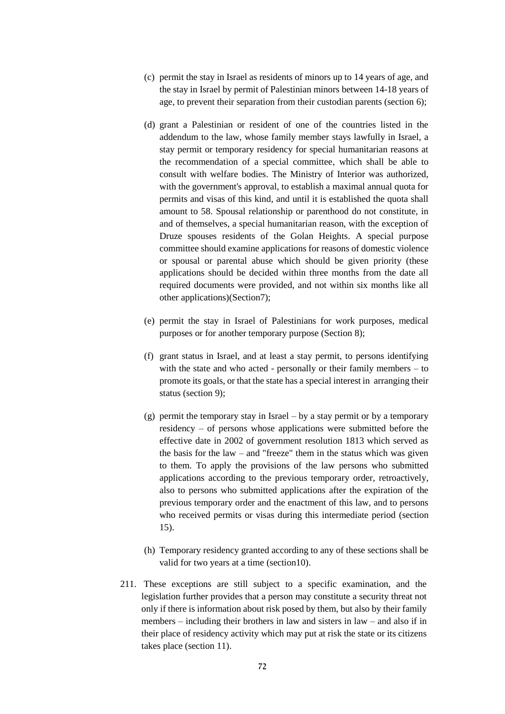- (c) permit the stay in Israel as residents of minors up to 14 years of age, and the stay in Israel by permit of Palestinian minors between 14-18 years of age, to prevent their separation from their custodian parents (section 6);
- (d) grant a Palestinian or resident of one of the countries listed in the addendum to the law, whose family member stays lawfully in Israel, a stay permit or temporary residency for special humanitarian reasons at the recommendation of a special committee, which shall be able to consult with welfare bodies. The Ministry of Interior was authorized, with the government's approval, to establish a maximal annual quota for permits and visas of this kind, and until it is established the quota shall amount to 58. Spousal relationship or parenthood do not constitute, in and of themselves, a special humanitarian reason, with the exception of Druze spouses residents of the Golan Heights. A special purpose committee should examine applications for reasons of domestic violence or spousal or parental abuse which should be given priority (these applications should be decided within three months from the date all required documents were provided, and not within six months like all other applications)(Section7);
- (e) permit the stay in Israel of Palestinians for work purposes, medical purposes or for another temporary purpose (Section 8);
- (f) grant status in Israel, and at least a stay permit, to persons identifying with the state and who acted - personally or their family members – to promote its goals, or that the state has a special interest in arranging their status (section 9);
- (g) permit the temporary stay in Israel by a stay permit or by a temporary residency – of persons whose applications were submitted before the effective date in 2002 of government resolution 1813 which served as the basis for the  $law - and "freeze"$  them in the status which was given to them. To apply the provisions of the law persons who submitted applications according to the previous temporary order, retroactively, also to persons who submitted applications after the expiration of the previous temporary order and the enactment of this law, and to persons who received permits or visas during this intermediate period (section 15).
- (h) Temporary residency granted according to any of these sections shall be valid for two years at a time (section10).
- 211. These exceptions are still subject to a specific examination, and the legislation further provides that a person may constitute a security threat not only if there is information about risk posed by them, but also by their family members – including their brothers in law and sisters in law – and also if in their place of residency activity which may put at risk the state or its citizens takes place (section 11).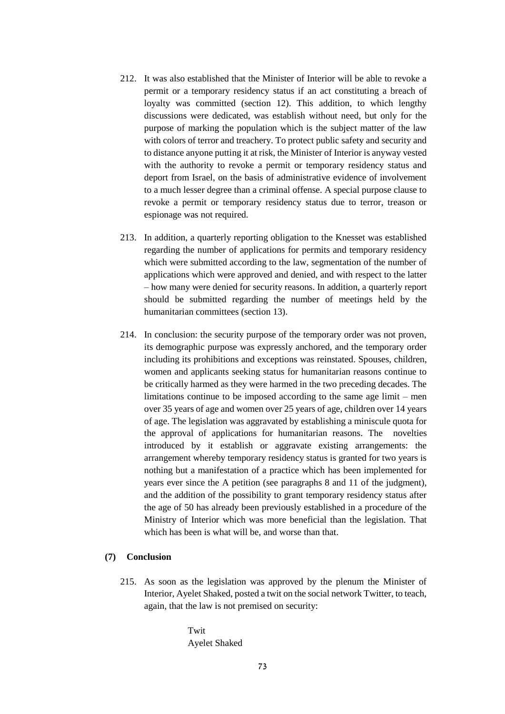- 212. It was also established that the Minister of Interior will be able to revoke a permit or a temporary residency status if an act constituting a breach of loyalty was committed (section 12). This addition, to which lengthy discussions were dedicated, was establish without need, but only for the purpose of marking the population which is the subject matter of the law with colors of terror and treachery. To protect public safety and security and to distance anyone putting it at risk, the Minister of Interior is anyway vested with the authority to revoke a permit or temporary residency status and deport from Israel, on the basis of administrative evidence of involvement to a much lesser degree than a criminal offense. A special purpose clause to revoke a permit or temporary residency status due to terror, treason or espionage was not required.
- 213. In addition, a quarterly reporting obligation to the Knesset was established regarding the number of applications for permits and temporary residency which were submitted according to the law, segmentation of the number of applications which were approved and denied, and with respect to the latter – how many were denied for security reasons. In addition, a quarterly report should be submitted regarding the number of meetings held by the humanitarian committees (section 13).
- 214. In conclusion: the security purpose of the temporary order was not proven, its demographic purpose was expressly anchored, and the temporary order including its prohibitions and exceptions was reinstated. Spouses, children, women and applicants seeking status for humanitarian reasons continue to be critically harmed as they were harmed in the two preceding decades. The limitations continue to be imposed according to the same age limit – men over 35 years of age and women over 25 years of age, children over 14 years of age. The legislation was aggravated by establishing a miniscule quota for the approval of applications for humanitarian reasons. The novelties introduced by it establish or aggravate existing arrangements: the arrangement whereby temporary residency status is granted for two years is nothing but a manifestation of a practice which has been implemented for years ever since the A petition (see paragraphs 8 and 11 of the judgment), and the addition of the possibility to grant temporary residency status after the age of 50 has already been previously established in a procedure of the Ministry of Interior which was more beneficial than the legislation. That which has been is what will be, and worse than that.

# **(7) Conclusion**

215. As soon as the legislation was approved by the plenum the Minister of Interior, Ayelet Shaked, posted a twit on the social network Twitter, to teach, again, that the law is not premised on security:

> Twit Ayelet Shaked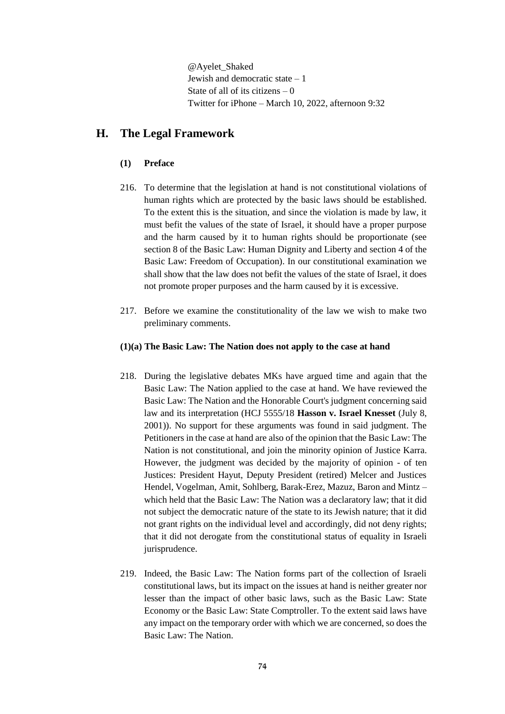@Ayelet\_Shaked Jewish and democratic state  $-1$ State of all of its citizens  $-0$ Twitter for iPhone – March 10, 2022, afternoon 9:32

# **H. The Legal Framework**

# **(1) Preface**

- 216. To determine that the legislation at hand is not constitutional violations of human rights which are protected by the basic laws should be established. To the extent this is the situation, and since the violation is made by law, it must befit the values of the state of Israel, it should have a proper purpose and the harm caused by it to human rights should be proportionate (see section 8 of the Basic Law: Human Dignity and Liberty and section 4 of the Basic Law: Freedom of Occupation). In our constitutional examination we shall show that the law does not befit the values of the state of Israel, it does not promote proper purposes and the harm caused by it is excessive.
- 217. Before we examine the constitutionality of the law we wish to make two preliminary comments.

# **(1)(a) The Basic Law: The Nation does not apply to the case at hand**

- 218. During the legislative debates MKs have argued time and again that the Basic Law: The Nation applied to the case at hand. We have reviewed the Basic Law: The Nation and the Honorable Court's judgment concerning said law and its interpretation (HCJ 5555/18 **Hasson v. Israel Knesset** (July 8, 2001)). No support for these arguments was found in said judgment. The Petitioners in the case at hand are also of the opinion that the Basic Law: The Nation is not constitutional, and join the minority opinion of Justice Karra. However, the judgment was decided by the majority of opinion - of ten Justices: President Hayut, Deputy President (retired) Melcer and Justices Hendel, Vogelman, Amit, Sohlberg, Barak-Erez, Mazuz, Baron and Mintz – which held that the Basic Law: The Nation was a declaratory law; that it did not subject the democratic nature of the state to its Jewish nature; that it did not grant rights on the individual level and accordingly, did not deny rights; that it did not derogate from the constitutional status of equality in Israeli jurisprudence.
- 219. Indeed, the Basic Law: The Nation forms part of the collection of Israeli constitutional laws, but its impact on the issues at hand is neither greater nor lesser than the impact of other basic laws, such as the Basic Law: State Economy or the Basic Law: State Comptroller. To the extent said laws have any impact on the temporary order with which we are concerned, so does the Basic Law: The Nation.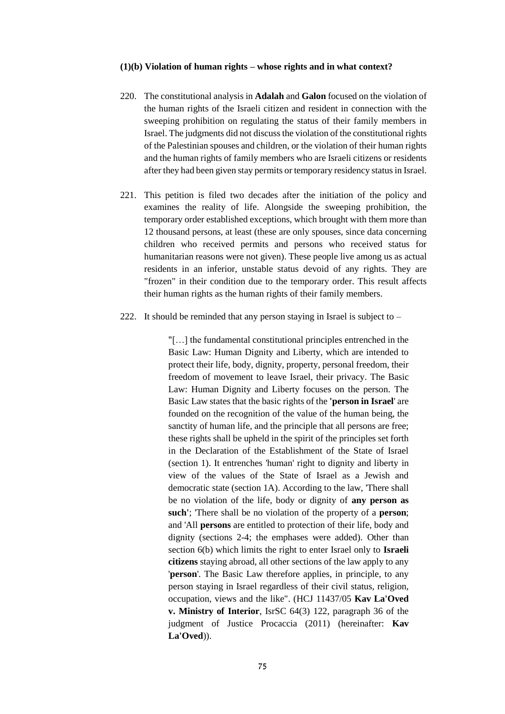#### **(1)(b) Violation of human rights – whose rights and in what context?**

- 220. The constitutional analysis in **Adalah** and **Galon** focused on the violation of the human rights of the Israeli citizen and resident in connection with the sweeping prohibition on regulating the status of their family members in Israel. The judgments did not discuss the violation of the constitutional rights of the Palestinian spouses and children, or the violation of their human rights and the human rights of family members who are Israeli citizens or residents after they had been given stay permits or temporary residency status in Israel.
- 221. This petition is filed two decades after the initiation of the policy and examines the reality of life. Alongside the sweeping prohibition, the temporary order established exceptions, which brought with them more than 12 thousand persons, at least (these are only spouses, since data concerning children who received permits and persons who received status for humanitarian reasons were not given). These people live among us as actual residents in an inferior, unstable status devoid of any rights. They are "frozen" in their condition due to the temporary order. This result affects their human rights as the human rights of their family members.
- 222. It should be reminded that any person staying in Israel is subject to –

"[…] the fundamental constitutional principles entrenched in the Basic Law: Human Dignity and Liberty, which are intended to protect their life, body, dignity, property, personal freedom, their freedom of movement to leave Israel, their privacy. The Basic Law: Human Dignity and Liberty focuses on the person. The Basic Law states that the basic rights of the **'person in Israel**' are founded on the recognition of the value of the human being, the sanctity of human life, and the principle that all persons are free; these rights shall be upheld in the spirit of the principles set forth in the Declaration of the Establishment of the State of Israel (section 1). It entrenches 'human' right to dignity and liberty in view of the values of the State of Israel as a Jewish and democratic state (section 1A). According to the law, 'There shall be no violation of the life, body or dignity of **any person as such'**; 'There shall be no violation of the property of a **person**; and 'All **persons** are entitled to protection of their life, body and dignity (sections 2-4; the emphases were added). Other than section 6(b) which limits the right to enter Israel only to **Israeli citizens** staying abroad, all other sections of the law apply to any '**person**'. The Basic Law therefore applies, in principle, to any person staying in Israel regardless of their civil status, religion, occupation, views and the like". (HCJ 11437/05 **Kav La'Oved v. Ministry of Interior**, IsrSC 64(3) 122, paragraph 36 of the judgment of Justice Procaccia (2011) (hereinafter: **Kav La'Oved**)).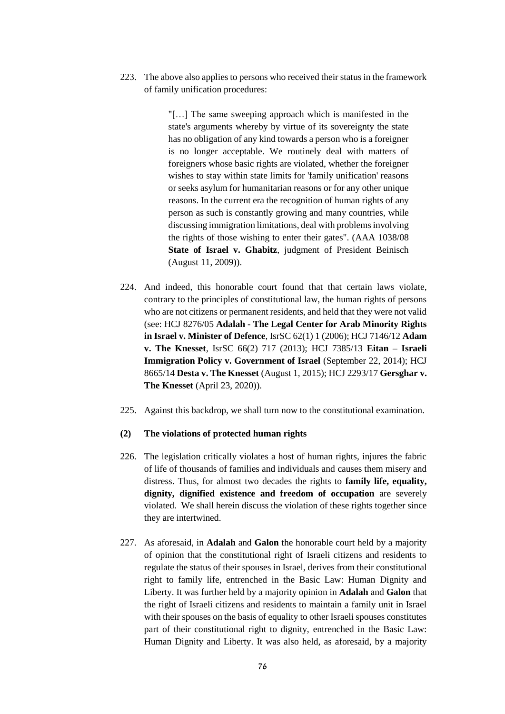223. The above also applies to persons who received their status in the framework of family unification procedures:

> "[…] The same sweeping approach which is manifested in the state's arguments whereby by virtue of its sovereignty the state has no obligation of any kind towards a person who is a foreigner is no longer acceptable. We routinely deal with matters of foreigners whose basic rights are violated, whether the foreigner wishes to stay within state limits for 'family unification' reasons or seeks asylum for humanitarian reasons or for any other unique reasons. In the current era the recognition of human rights of any person as such is constantly growing and many countries, while discussing immigration limitations, deal with problems involving the rights of those wishing to enter their gates". (AAA 1038/08 **State of Israel v. Ghabitz**, judgment of President Beinisch (August 11, 2009)).

- 224. And indeed, this honorable court found that that certain laws violate, contrary to the principles of constitutional law, the human rights of persons who are not citizens or permanent residents, and held that they were not valid (see: HCJ 8276/05 **Adalah - The Legal Center for Arab Minority Rights in Israel v. Minister of Defence**, IsrSC 62(1) 1 (2006); HCJ 7146/12 **Adam v. The Knesset**, IsrSC 66(2) 717 (2013); HCJ 7385/13 **Eitan – Israeli Immigration Policy v. Government of Israel** (September 22, 2014); HCJ 8665/14 **Desta v. The Knesset** (August 1, 2015); HCJ 2293/17 **Gersghar v. The Knesset** (April 23, 2020)).
- 225. Against this backdrop, we shall turn now to the constitutional examination.

# **(2) The violations of protected human rights**

- 226. The legislation critically violates a host of human rights, injures the fabric of life of thousands of families and individuals and causes them misery and distress. Thus, for almost two decades the rights to **family life, equality, dignity, dignified existence and freedom of occupation** are severely violated. We shall herein discuss the violation of these rights together since they are intertwined.
- 227. As aforesaid, in **Adalah** and **Galon** the honorable court held by a majority of opinion that the constitutional right of Israeli citizens and residents to regulate the status of their spouses in Israel, derives from their constitutional right to family life, entrenched in the Basic Law: Human Dignity and Liberty. It was further held by a majority opinion in **Adalah** and **Galon** that the right of Israeli citizens and residents to maintain a family unit in Israel with their spouses on the basis of equality to other Israeli spouses constitutes part of their constitutional right to dignity, entrenched in the Basic Law: Human Dignity and Liberty. It was also held, as aforesaid, by a majority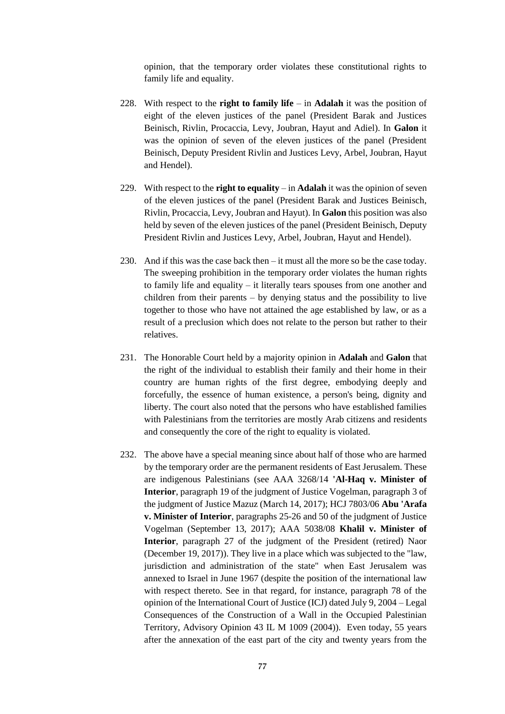opinion, that the temporary order violates these constitutional rights to family life and equality.

- 228. With respect to the **right to family life** in **Adalah** it was the position of eight of the eleven justices of the panel (President Barak and Justices Beinisch, Rivlin, Procaccia, Levy, Joubran, Hayut and Adiel). In **Galon** it was the opinion of seven of the eleven justices of the panel (President Beinisch, Deputy President Rivlin and Justices Levy, Arbel, Joubran, Hayut and Hendel).
- 229. With respect to the **right to equality** in **Adalah** it was the opinion of seven of the eleven justices of the panel (President Barak and Justices Beinisch, Rivlin, Procaccia, Levy, Joubran and Hayut). In **Galon** this position was also held by seven of the eleven justices of the panel (President Beinisch, Deputy President Rivlin and Justices Levy, Arbel, Joubran, Hayut and Hendel).
- 230. And if this was the case back then it must all the more so be the case today. The sweeping prohibition in the temporary order violates the human rights to family life and equality – it literally tears spouses from one another and children from their parents – by denying status and the possibility to live together to those who have not attained the age established by law, or as a result of a preclusion which does not relate to the person but rather to their relatives.
- 231. The Honorable Court held by a majority opinion in **Adalah** and **Galon** that the right of the individual to establish their family and their home in their country are human rights of the first degree, embodying deeply and forcefully, the essence of human existence, a person's being, dignity and liberty. The court also noted that the persons who have established families with Palestinians from the territories are mostly Arab citizens and residents and consequently the core of the right to equality is violated.
- 232. The above have a special meaning since about half of those who are harmed by the temporary order are the permanent residents of East Jerusalem. These are indigenous Palestinians (see AAA 3268/14 **'Al-Haq v. Minister of Interior**, paragraph 19 of the judgment of Justice Vogelman, paragraph 3 of the judgment of Justice Mazuz (March 14, 2017); HCJ 7803/06 **Abu 'Arafa v. Minister of Interior**, paragraphs 25-26 and 50 of the judgment of Justice Vogelman (September 13, 2017); AAA 5038/08 **Khalil v. Minister of Interior**, paragraph 27 of the judgment of the President (retired) Naor (December 19, 2017)). They live in a place which was subjected to the "law, jurisdiction and administration of the state" when East Jerusalem was annexed to Israel in June 1967 (despite the position of the international law with respect thereto. See in that regard, for instance, paragraph 78 of the opinion of the International Court of Justice (ICJ) dated July 9, 2004 – Legal Consequences of the Construction of a Wall in the Occupied Palestinian Territory, Advisory Opinion 43 IL M 1009 (2004)). Even today, 55 years after the annexation of the east part of the city and twenty years from the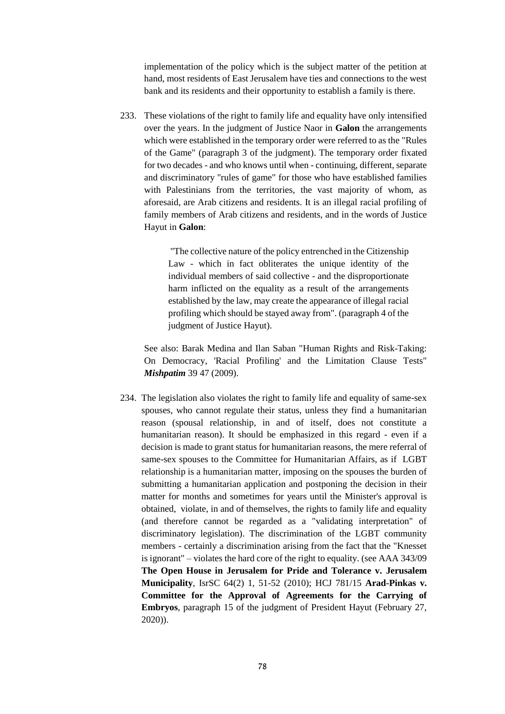implementation of the policy which is the subject matter of the petition at hand, most residents of East Jerusalem have ties and connections to the west bank and its residents and their opportunity to establish a family is there.

233. These violations of the right to family life and equality have only intensified over the years. In the judgment of Justice Naor in **Galon** the arrangements which were established in the temporary order were referred to as the "Rules of the Game" (paragraph 3 of the judgment). The temporary order fixated for two decades - and who knows until when - continuing, different, separate and discriminatory "rules of game" for those who have established families with Palestinians from the territories, the vast majority of whom, as aforesaid, are Arab citizens and residents. It is an illegal racial profiling of family members of Arab citizens and residents, and in the words of Justice Hayut in **Galon**:

> "The collective nature of the policy entrenched in the Citizenship Law - which in fact obliterates the unique identity of the individual members of said collective - and the disproportionate harm inflicted on the equality as a result of the arrangements established by the law, may create the appearance of illegal racial profiling which should be stayed away from". (paragraph 4 of the judgment of Justice Hayut).

See also: Barak Medina and Ilan Saban "Human Rights and Risk-Taking: On Democracy, 'Racial Profiling' and the Limitation Clause Tests" *Mishpatim* 39 47 (2009).

234. The legislation also violates the right to family life and equality of same-sex spouses, who cannot regulate their status, unless they find a humanitarian reason (spousal relationship, in and of itself, does not constitute a humanitarian reason). It should be emphasized in this regard - even if a decision is made to grant status for humanitarian reasons, the mere referral of same-sex spouses to the Committee for Humanitarian Affairs, as if LGBT relationship is a humanitarian matter, imposing on the spouses the burden of submitting a humanitarian application and postponing the decision in their matter for months and sometimes for years until the Minister's approval is obtained, violate, in and of themselves, the rights to family life and equality (and therefore cannot be regarded as a "validating interpretation" of discriminatory legislation). The discrimination of the LGBT community members - certainly a discrimination arising from the fact that the "Knesset is ignorant" – violates the hard core of the right to equality. (see AAA 343/09 **The Open House in Jerusalem for Pride and Tolerance v. Jerusalem Municipality**, IsrSC 64(2) 1, 51-52 (2010); HCJ 781/15 **Arad-Pinkas v. Committee for the Approval of Agreements for the Carrying of Embryos**, paragraph 15 of the judgment of President Hayut (February 27, 2020)).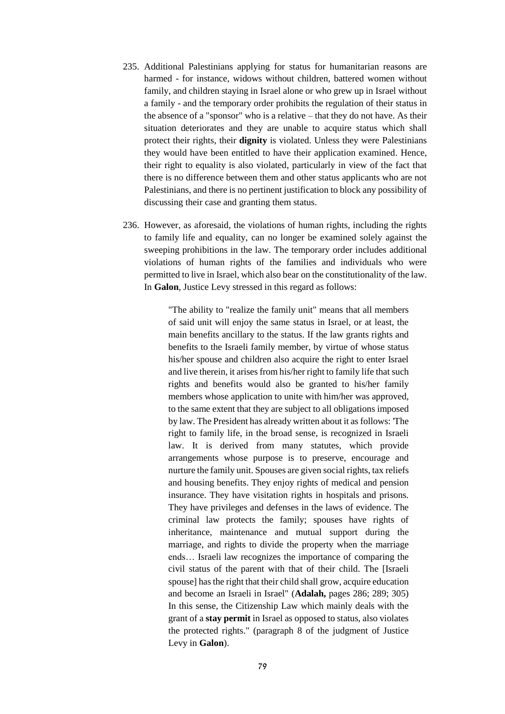- 235. Additional Palestinians applying for status for humanitarian reasons are harmed - for instance, widows without children, battered women without family, and children staying in Israel alone or who grew up in Israel without a family - and the temporary order prohibits the regulation of their status in the absence of a "sponsor" who is a relative – that they do not have. As their situation deteriorates and they are unable to acquire status which shall protect their rights, their **dignity** is violated. Unless they were Palestinians they would have been entitled to have their application examined. Hence, their right to equality is also violated, particularly in view of the fact that there is no difference between them and other status applicants who are not Palestinians, and there is no pertinent justification to block any possibility of discussing their case and granting them status.
- 236. However, as aforesaid, the violations of human rights, including the rights to family life and equality, can no longer be examined solely against the sweeping prohibitions in the law. The temporary order includes additional violations of human rights of the families and individuals who were permitted to live in Israel, which also bear on the constitutionality of the law. In **Galon**, Justice Levy stressed in this regard as follows:

"The ability to "realize the family unit" means that all members of said unit will enjoy the same status in Israel, or at least, the main benefits ancillary to the status. If the law grants rights and benefits to the Israeli family member, by virtue of whose status his/her spouse and children also acquire the right to enter Israel and live therein, it arises from his/her right to family life that such rights and benefits would also be granted to his/her family members whose application to unite with him/her was approved, to the same extent that they are subject to all obligations imposed by law. The President has already written about it as follows: 'The right to family life, in the broad sense, is recognized in Israeli law. It is derived from many statutes, which provide arrangements whose purpose is to preserve, encourage and nurture the family unit. Spouses are given social rights, tax reliefs and housing benefits. They enjoy rights of medical and pension insurance. They have visitation rights in hospitals and prisons. They have privileges and defenses in the laws of evidence. The criminal law protects the family; spouses have rights of inheritance, maintenance and mutual support during the marriage, and rights to divide the property when the marriage ends… Israeli law recognizes the importance of comparing the civil status of the parent with that of their child. The [Israeli spouse] has the right that their child shall grow, acquire education and become an Israeli in Israel" (**Adalah,** pages 286; 289; 305) In this sense, the Citizenship Law which mainly deals with the grant of a **stay permit** in Israel as opposed to status, also violates the protected rights." (paragraph 8 of the judgment of Justice Levy in **Galon**).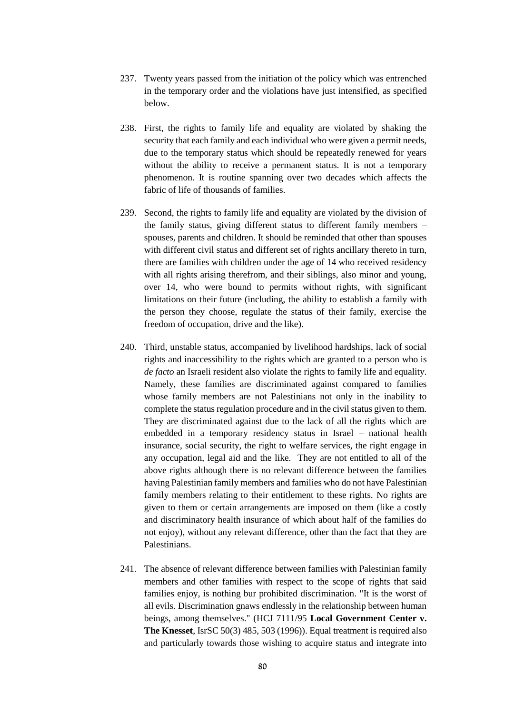- 237. Twenty years passed from the initiation of the policy which was entrenched in the temporary order and the violations have just intensified, as specified below.
- 238. First, the rights to family life and equality are violated by shaking the security that each family and each individual who were given a permit needs, due to the temporary status which should be repeatedly renewed for years without the ability to receive a permanent status. It is not a temporary phenomenon. It is routine spanning over two decades which affects the fabric of life of thousands of families.
- 239. Second, the rights to family life and equality are violated by the division of the family status, giving different status to different family members – spouses, parents and children. It should be reminded that other than spouses with different civil status and different set of rights ancillary thereto in turn, there are families with children under the age of 14 who received residency with all rights arising therefrom, and their siblings, also minor and young, over 14, who were bound to permits without rights, with significant limitations on their future (including, the ability to establish a family with the person they choose, regulate the status of their family, exercise the freedom of occupation, drive and the like).
- 240. Third, unstable status, accompanied by livelihood hardships, lack of social rights and inaccessibility to the rights which are granted to a person who is *de facto* an Israeli resident also violate the rights to family life and equality. Namely, these families are discriminated against compared to families whose family members are not Palestinians not only in the inability to complete the status regulation procedure and in the civil status given to them. They are discriminated against due to the lack of all the rights which are embedded in a temporary residency status in Israel – national health insurance, social security, the right to welfare services, the right engage in any occupation, legal aid and the like. They are not entitled to all of the above rights although there is no relevant difference between the families having Palestinian family members and families who do not have Palestinian family members relating to their entitlement to these rights. No rights are given to them or certain arrangements are imposed on them (like a costly and discriminatory health insurance of which about half of the families do not enjoy), without any relevant difference, other than the fact that they are Palestinians.
- 241. The absence of relevant difference between families with Palestinian family members and other families with respect to the scope of rights that said families enjoy, is nothing bur prohibited discrimination. "It is the worst of all evils. Discrimination gnaws endlessly in the relationship between human beings, among themselves." (HCJ 7111/95 **Local Government Center v. The Knesset**, IsrSC 50(3) 485, 503 (1996)). Equal treatment is required also and particularly towards those wishing to acquire status and integrate into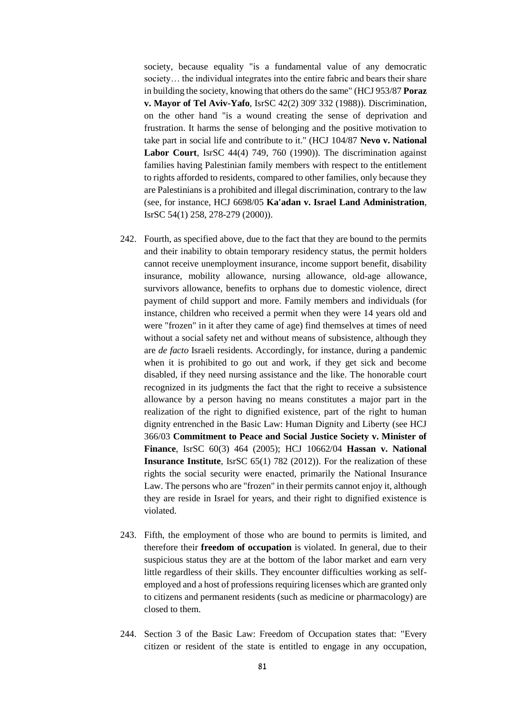society, because equality "is a fundamental value of any democratic society… the individual integrates into the entire fabric and bears their share in building the society, knowing that others do the same" (HCJ 953/87 **Poraz v. Mayor of Tel Aviv-Yafo**, IsrSC 42(2) 309' 332 (1988)). Discrimination, on the other hand "is a wound creating the sense of deprivation and frustration. It harms the sense of belonging and the positive motivation to take part in social life and contribute to it." (HCJ 104/87 **Nevo v. National Labor Court**, IsrSC 44(4) 749, 760 (1990)). The discrimination against families having Palestinian family members with respect to the entitlement to rights afforded to residents, compared to other families, only because they are Palestinians is a prohibited and illegal discrimination, contrary to the law (see, for instance, HCJ 6698/05 **Ka'adan v. Israel Land Administration**, IsrSC 54(1) 258, 278-279 (2000)).

- 242. Fourth, as specified above, due to the fact that they are bound to the permits and their inability to obtain temporary residency status, the permit holders cannot receive unemployment insurance, income support benefit, disability insurance, mobility allowance, nursing allowance, old-age allowance, survivors allowance, benefits to orphans due to domestic violence, direct payment of child support and more. Family members and individuals (for instance, children who received a permit when they were 14 years old and were "frozen" in it after they came of age) find themselves at times of need without a social safety net and without means of subsistence, although they are *de facto* Israeli residents. Accordingly, for instance, during a pandemic when it is prohibited to go out and work, if they get sick and become disabled, if they need nursing assistance and the like. The honorable court recognized in its judgments the fact that the right to receive a subsistence allowance by a person having no means constitutes a major part in the realization of the right to dignified existence, part of the right to human dignity entrenched in the Basic Law: Human Dignity and Liberty (see HCJ 366/03 **Commitment to Peace and Social Justice Society v. Minister of Finance**, IsrSC 60(3) 464 (2005); HCJ 10662/04 **Hassan v. National Insurance Institute**, IsrSC 65(1) 782 (2012)). For the realization of these rights the social security were enacted, primarily the National Insurance Law. The persons who are "frozen" in their permits cannot enjoy it, although they are reside in Israel for years, and their right to dignified existence is violated.
- 243. Fifth, the employment of those who are bound to permits is limited, and therefore their **freedom of occupation** is violated. In general, due to their suspicious status they are at the bottom of the labor market and earn very little regardless of their skills. They encounter difficulties working as selfemployed and a host of professions requiring licenses which are granted only to citizens and permanent residents (such as medicine or pharmacology) are closed to them.
- 244. Section 3 of the Basic Law: Freedom of Occupation states that: "Every citizen or resident of the state is entitled to engage in any occupation,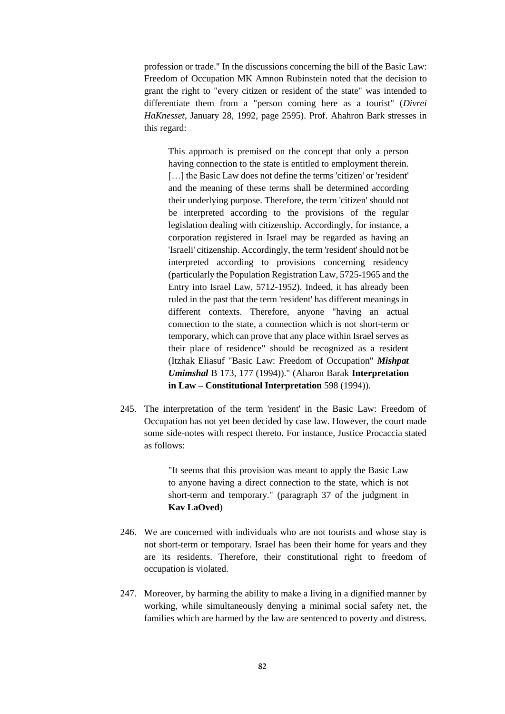profession or trade." In the discussions concerning the bill of the Basic Law: Freedom of Occupation MK Amnon Rubinstein noted that the decision to grant the right to "every citizen or resident of the state" was intended to differentiate them from a "person coming here as a tourist" (*Divrei HaKnesset*, January 28, 1992, page 2595). Prof. Ahahron Bark stresses in this regard:

This approach is premised on the concept that only a person having connection to the state is entitled to employment therein. [...] the Basic Law does not define the terms 'citizen' or 'resident' and the meaning of these terms shall be determined according their underlying purpose. Therefore, the term 'citizen' should not be interpreted according to the provisions of the regular legislation dealing with citizenship. Accordingly, for instance, a corporation registered in Israel may be regarded as having an 'Israeli' citizenship. Accordingly, the term 'resident' should not be interpreted according to provisions concerning residency (particularly the Population Registration Law, 5725-1965 and the Entry into Israel Law, 5712-1952). Indeed, it has already been ruled in the past that the term 'resident' has different meanings in different contexts. Therefore, anyone "having an actual connection to the state, a connection which is not short-term or temporary, which can prove that any place within Israel serves as their place of residence" should be recognized as a resident (Itzhak Eliasuf "Basic Law: Freedom of Occupation" *Mishpat Umimshal* B 173, 177 (1994))." (Aharon Barak **Interpretation in Law – Constitutional Interpretation** 598 (1994)).

245. The interpretation of the term 'resident' in the Basic Law: Freedom of Occupation has not yet been decided by case law. However, the court made some side-notes with respect thereto. For instance, Justice Procaccia stated as follows:

> "It seems that this provision was meant to apply the Basic Law to anyone having a direct connection to the state, which is not short-term and temporary." (paragraph 37 of the judgment in **Kav LaOved**)

- 246. We are concerned with individuals who are not tourists and whose stay is not short-term or temporary. Israel has been their home for years and they are its residents. Therefore, their constitutional right to freedom of occupation is violated.
- 247. Moreover, by harming the ability to make a living in a dignified manner by working, while simultaneously denying a minimal social safety net, the families which are harmed by the law are sentenced to poverty and distress.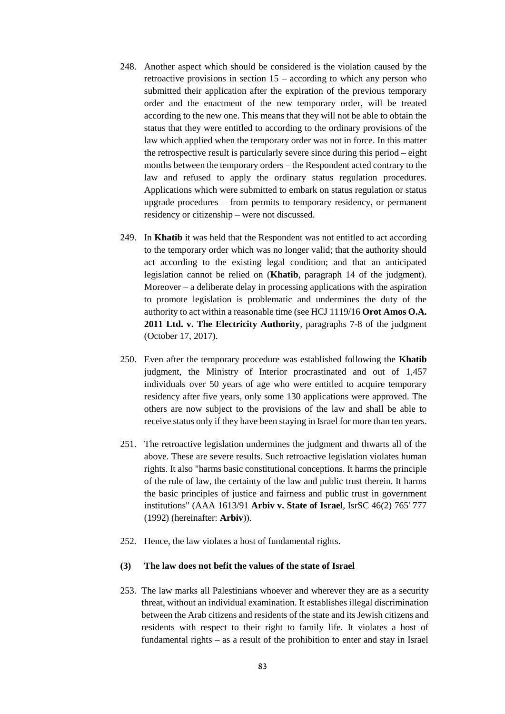- 248. Another aspect which should be considered is the violation caused by the retroactive provisions in section  $15$  – according to which any person who submitted their application after the expiration of the previous temporary order and the enactment of the new temporary order, will be treated according to the new one. This means that they will not be able to obtain the status that they were entitled to according to the ordinary provisions of the law which applied when the temporary order was not in force. In this matter the retrospective result is particularly severe since during this period – eight months between the temporary orders – the Respondent acted contrary to the law and refused to apply the ordinary status regulation procedures. Applications which were submitted to embark on status regulation or status upgrade procedures – from permits to temporary residency, or permanent residency or citizenship – were not discussed.
- 249. In **Khatib** it was held that the Respondent was not entitled to act according to the temporary order which was no longer valid; that the authority should act according to the existing legal condition; and that an anticipated legislation cannot be relied on (**Khatib**, paragraph 14 of the judgment). Moreover – a deliberate delay in processing applications with the aspiration to promote legislation is problematic and undermines the duty of the authority to act within a reasonable time (see HCJ 1119/16 **Orot Amos O.A. 2011 Ltd. v. The Electricity Authority**, paragraphs 7-8 of the judgment (October 17, 2017).
- 250. Even after the temporary procedure was established following the **Khatib** judgment, the Ministry of Interior procrastinated and out of 1,457 individuals over 50 years of age who were entitled to acquire temporary residency after five years, only some 130 applications were approved. The others are now subject to the provisions of the law and shall be able to receive status only if they have been staying in Israel for more than ten years.
- 251. The retroactive legislation undermines the judgment and thwarts all of the above. These are severe results. Such retroactive legislation violates human rights. It also "harms basic constitutional conceptions. It harms the principle of the rule of law, the certainty of the law and public trust therein. It harms the basic principles of justice and fairness and public trust in government institutions" (AAA 1613/91 **Arbiv v. State of Israel**, IsrSC 46(2) 765' 777 (1992) (hereinafter: **Arbiv**)).
- 252. Hence, the law violates a host of fundamental rights.

# **(3) The law does not befit the values of the state of Israel**

253. The law marks all Palestinians whoever and wherever they are as a security threat, without an individual examination. It establishes illegal discrimination between the Arab citizens and residents of the state and its Jewish citizens and residents with respect to their right to family life. It violates a host of fundamental rights – as a result of the prohibition to enter and stay in Israel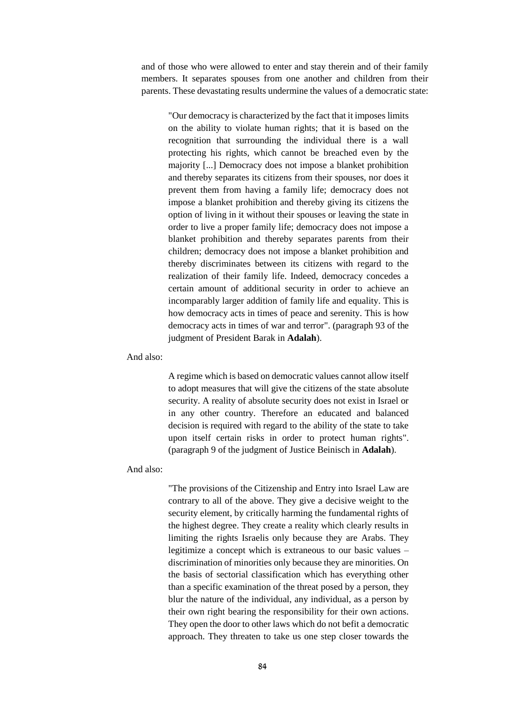and of those who were allowed to enter and stay therein and of their family members. It separates spouses from one another and children from their parents. These devastating results undermine the values of a democratic state:

"Our democracy is characterized by the fact that it imposes limits on the ability to violate human rights; that it is based on the recognition that surrounding the individual there is a wall protecting his rights, which cannot be breached even by the majority [...] Democracy does not impose a blanket prohibition and thereby separates its citizens from their spouses, nor does it prevent them from having a family life; democracy does not impose a blanket prohibition and thereby giving its citizens the option of living in it without their spouses or leaving the state in order to live a proper family life; democracy does not impose a blanket prohibition and thereby separates parents from their children; democracy does not impose a blanket prohibition and thereby discriminates between its citizens with regard to the realization of their family life. Indeed, democracy concedes a certain amount of additional security in order to achieve an incomparably larger addition of family life and equality. This is how democracy acts in times of peace and serenity. This is how democracy acts in times of war and terror". (paragraph 93 of the judgment of President Barak in **Adalah**).

And also:

A regime which is based on democratic values cannot allow itself to adopt measures that will give the citizens of the state absolute security. A reality of absolute security does not exist in Israel or in any other country. Therefore an educated and balanced decision is required with regard to the ability of the state to take upon itself certain risks in order to protect human rights". (paragraph 9 of the judgment of Justice Beinisch in **Adalah**).

And also:

"The provisions of the Citizenship and Entry into Israel Law are contrary to all of the above. They give a decisive weight to the security element, by critically harming the fundamental rights of the highest degree. They create a reality which clearly results in limiting the rights Israelis only because they are Arabs. They legitimize a concept which is extraneous to our basic values – discrimination of minorities only because they are minorities. On the basis of sectorial classification which has everything other than a specific examination of the threat posed by a person, they blur the nature of the individual, any individual, as a person by their own right bearing the responsibility for their own actions. They open the door to other laws which do not befit a democratic approach. They threaten to take us one step closer towards the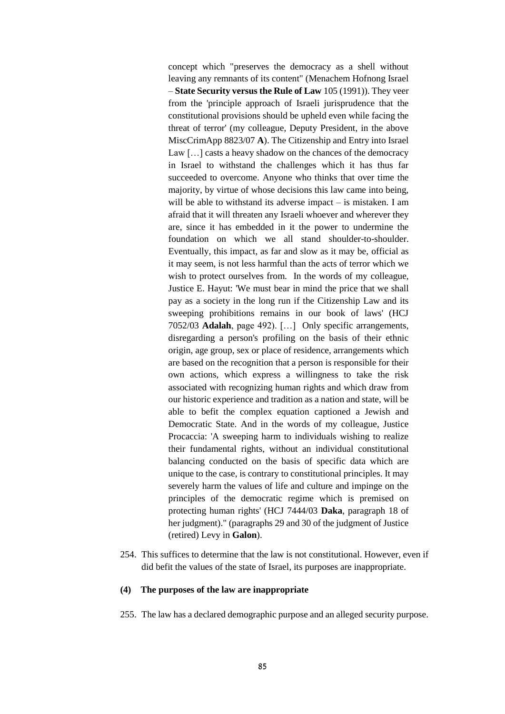concept which "preserves the democracy as a shell without leaving any remnants of its content" (Menachem Hofnong Israel – **State Security versus the Rule of Law** 105 (1991)). They veer from the 'principle approach of Israeli jurisprudence that the constitutional provisions should be upheld even while facing the threat of terror' (my colleague, Deputy President, in the above MiscCrimApp 8823/07 **A**). The Citizenship and Entry into Israel Law […] casts a heavy shadow on the chances of the democracy in Israel to withstand the challenges which it has thus far succeeded to overcome. Anyone who thinks that over time the majority, by virtue of whose decisions this law came into being, will be able to withstand its adverse impact – is mistaken. I am afraid that it will threaten any Israeli whoever and wherever they are, since it has embedded in it the power to undermine the foundation on which we all stand shoulder-to-shoulder. Eventually, this impact, as far and slow as it may be, official as it may seem, is not less harmful than the acts of terror which we wish to protect ourselves from. In the words of my colleague, Justice E. Hayut: 'We must bear in mind the price that we shall pay as a society in the long run if the Citizenship Law and its sweeping prohibitions remains in our book of laws' (HCJ 7052/03 **Adalah**, page 492). […] Only specific arrangements, disregarding a person's profiling on the basis of their ethnic origin, age group, sex or place of residence, arrangements which are based on the recognition that a person is responsible for their own actions, which express a willingness to take the risk associated with recognizing human rights and which draw from our historic experience and tradition as a nation and state, will be able to befit the complex equation captioned a Jewish and Democratic State. And in the words of my colleague, Justice Procaccia: 'A sweeping harm to individuals wishing to realize their fundamental rights, without an individual constitutional balancing conducted on the basis of specific data which are unique to the case, is contrary to constitutional principles. It may severely harm the values of life and culture and impinge on the principles of the democratic regime which is premised on protecting human rights' (HCJ 7444/03 **Daka**, paragraph 18 of her judgment)." (paragraphs 29 and 30 of the judgment of Justice (retired) Levy in **Galon**).

254. This suffices to determine that the law is not constitutional. However, even if did befit the values of the state of Israel, its purposes are inappropriate.

#### **(4) The purposes of the law are inappropriate**

255. The law has a declared demographic purpose and an alleged security purpose.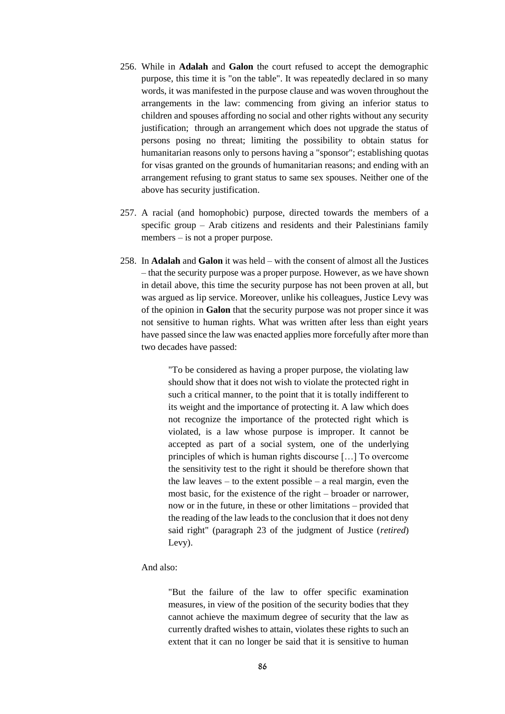- 256. While in **Adalah** and **Galon** the court refused to accept the demographic purpose, this time it is "on the table". It was repeatedly declared in so many words, it was manifested in the purpose clause and was woven throughout the arrangements in the law: commencing from giving an inferior status to children and spouses affording no social and other rights without any security justification; through an arrangement which does not upgrade the status of persons posing no threat; limiting the possibility to obtain status for humanitarian reasons only to persons having a "sponsor"; establishing quotas for visas granted on the grounds of humanitarian reasons; and ending with an arrangement refusing to grant status to same sex spouses. Neither one of the above has security justification.
- 257. A racial (and homophobic) purpose, directed towards the members of a specific group – Arab citizens and residents and their Palestinians family members – is not a proper purpose.
- 258. In **Adalah** and **Galon** it was held with the consent of almost all the Justices – that the security purpose was a proper purpose. However, as we have shown in detail above, this time the security purpose has not been proven at all, but was argued as lip service. Moreover, unlike his colleagues, Justice Levy was of the opinion in **Galon** that the security purpose was not proper since it was not sensitive to human rights. What was written after less than eight years have passed since the law was enacted applies more forcefully after more than two decades have passed:

"To be considered as having a proper purpose, the violating law should show that it does not wish to violate the protected right in such a critical manner, to the point that it is totally indifferent to its weight and the importance of protecting it. A law which does not recognize the importance of the protected right which is violated, is a law whose purpose is improper. It cannot be accepted as part of a social system, one of the underlying principles of which is human rights discourse […] To overcome the sensitivity test to the right it should be therefore shown that the law leaves – to the extent possible – a real margin, even the most basic, for the existence of the right – broader or narrower, now or in the future, in these or other limitations – provided that the reading of the law leads to the conclusion that it does not deny said right" (paragraph 23 of the judgment of Justice (*retired*) Levy).

# And also:

"But the failure of the law to offer specific examination measures, in view of the position of the security bodies that they cannot achieve the maximum degree of security that the law as currently drafted wishes to attain, violates these rights to such an extent that it can no longer be said that it is sensitive to human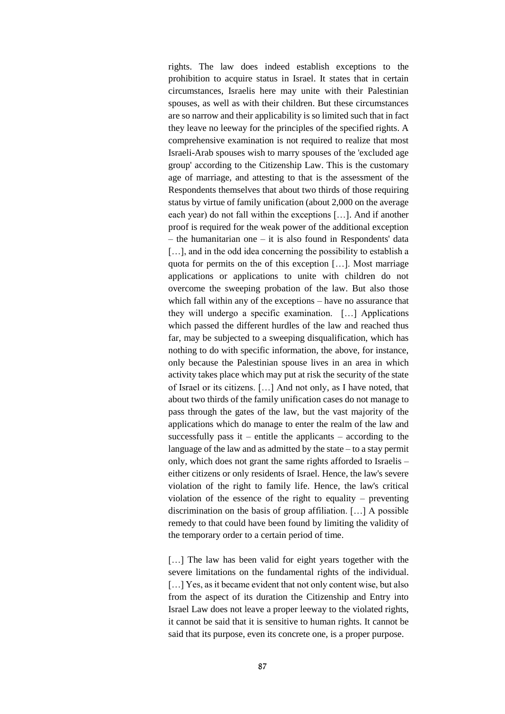rights. The law does indeed establish exceptions to the prohibition to acquire status in Israel. It states that in certain circumstances, Israelis here may unite with their Palestinian spouses, as well as with their children. But these circumstances are so narrow and their applicability is so limited such that in fact they leave no leeway for the principles of the specified rights. A comprehensive examination is not required to realize that most Israeli-Arab spouses wish to marry spouses of the 'excluded age group' according to the Citizenship Law. This is the customary age of marriage, and attesting to that is the assessment of the Respondents themselves that about two thirds of those requiring status by virtue of family unification (about 2,000 on the average each year) do not fall within the exceptions […]. And if another proof is required for the weak power of the additional exception – the humanitarian one – it is also found in Respondents' data [...], and in the odd idea concerning the possibility to establish a quota for permits on the of this exception […]. Most marriage applications or applications to unite with children do not overcome the sweeping probation of the law. But also those which fall within any of the exceptions – have no assurance that they will undergo a specific examination. […] Applications which passed the different hurdles of the law and reached thus far, may be subjected to a sweeping disqualification, which has nothing to do with specific information, the above, for instance, only because the Palestinian spouse lives in an area in which activity takes place which may put at risk the security of the state of Israel or its citizens. […] And not only, as I have noted, that about two thirds of the family unification cases do not manage to pass through the gates of the law, but the vast majority of the applications which do manage to enter the realm of the law and successfully pass it – entitle the applicants – according to the language of the law and as admitted by the state – to a stay permit only, which does not grant the same rights afforded to Israelis – either citizens or only residents of Israel. Hence, the law's severe violation of the right to family life. Hence, the law's critical violation of the essence of the right to equality – preventing discrimination on the basis of group affiliation. […] A possible remedy to that could have been found by limiting the validity of the temporary order to a certain period of time.

[...] The law has been valid for eight years together with the severe limitations on the fundamental rights of the individual. [...] Yes, as it became evident that not only content wise, but also from the aspect of its duration the Citizenship and Entry into Israel Law does not leave a proper leeway to the violated rights, it cannot be said that it is sensitive to human rights. It cannot be said that its purpose, even its concrete one, is a proper purpose.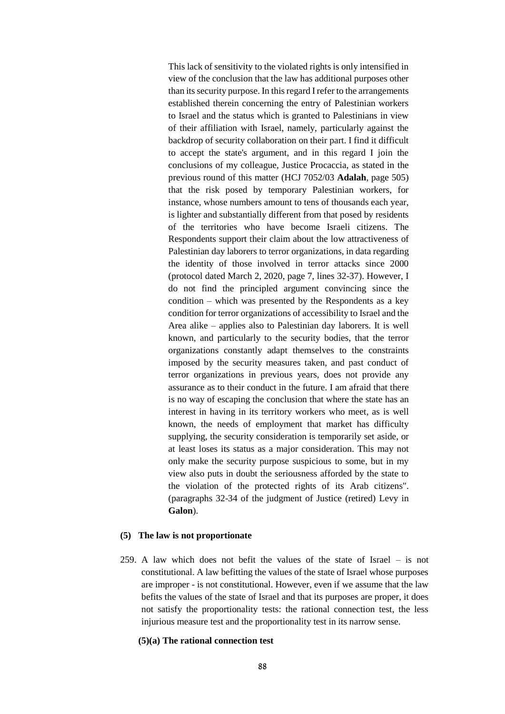This lack of sensitivity to the violated rights is only intensified in view of the conclusion that the law has additional purposes other than its security purpose. In this regard I refer to the arrangements established therein concerning the entry of Palestinian workers to Israel and the status which is granted to Palestinians in view of their affiliation with Israel, namely, particularly against the backdrop of security collaboration on their part. I find it difficult to accept the state's argument, and in this regard I join the conclusions of my colleague, Justice Procaccia, as stated in the previous round of this matter (HCJ 7052/03 **Adalah**, page 505) that the risk posed by temporary Palestinian workers, for instance, whose numbers amount to tens of thousands each year, is lighter and substantially different from that posed by residents of the territories who have become Israeli citizens. The Respondents support their claim about the low attractiveness of Palestinian day laborers to terror organizations, in data regarding the identity of those involved in terror attacks since 2000 (protocol dated March 2, 2020, page 7, lines 32-37). However, I do not find the principled argument convincing since the condition – which was presented by the Respondents as a key condition for terror organizations of accessibility to Israel and the Area alike – applies also to Palestinian day laborers. It is well known, and particularly to the security bodies, that the terror organizations constantly adapt themselves to the constraints imposed by the security measures taken, and past conduct of terror organizations in previous years, does not provide any assurance as to their conduct in the future. I am afraid that there is no way of escaping the conclusion that where the state has an interest in having in its territory workers who meet, as is well known, the needs of employment that market has difficulty supplying, the security consideration is temporarily set aside, or at least loses its status as a major consideration. This may not only make the security purpose suspicious to some, but in my view also puts in doubt the seriousness afforded by the state to the violation of the protected rights of its Arab citizens". (paragraphs 32-34 of the judgment of Justice (retired) Levy in **Galon**).

#### **(5) The law is not proportionate**

259. A law which does not befit the values of the state of Israel – is not constitutional. A law befitting the values of the state of Israel whose purposes are improper - is not constitutional. However, even if we assume that the law befits the values of the state of Israel and that its purposes are proper, it does not satisfy the proportionality tests: the rational connection test, the less injurious measure test and the proportionality test in its narrow sense.

#### **(5)(a) The rational connection test**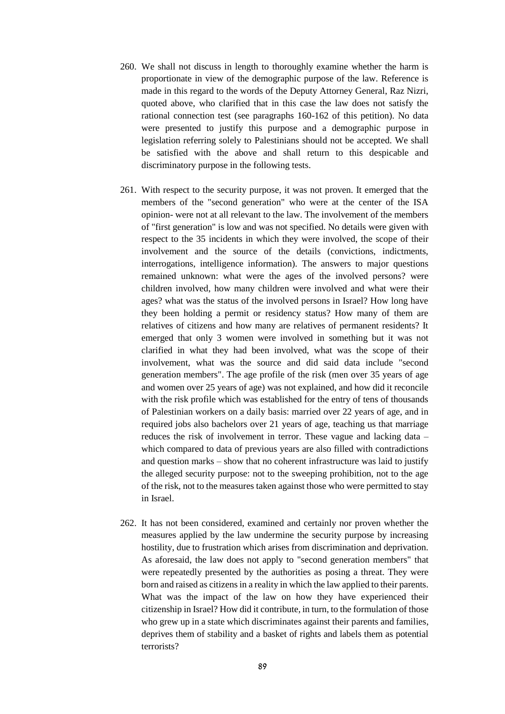- 260. We shall not discuss in length to thoroughly examine whether the harm is proportionate in view of the demographic purpose of the law. Reference is made in this regard to the words of the Deputy Attorney General, Raz Nizri, quoted above, who clarified that in this case the law does not satisfy the rational connection test (see paragraphs 160-162 of this petition). No data were presented to justify this purpose and a demographic purpose in legislation referring solely to Palestinians should not be accepted. We shall be satisfied with the above and shall return to this despicable and discriminatory purpose in the following tests.
- 261. With respect to the security purpose, it was not proven. It emerged that the members of the "second generation" who were at the center of the ISA opinion- were not at all relevant to the law. The involvement of the members of "first generation" is low and was not specified. No details were given with respect to the 35 incidents in which they were involved, the scope of their involvement and the source of the details (convictions, indictments, interrogations, intelligence information). The answers to major questions remained unknown: what were the ages of the involved persons? were children involved, how many children were involved and what were their ages? what was the status of the involved persons in Israel? How long have they been holding a permit or residency status? How many of them are relatives of citizens and how many are relatives of permanent residents? It emerged that only 3 women were involved in something but it was not clarified in what they had been involved, what was the scope of their involvement, what was the source and did said data include "second generation members". The age profile of the risk (men over 35 years of age and women over 25 years of age) was not explained, and how did it reconcile with the risk profile which was established for the entry of tens of thousands of Palestinian workers on a daily basis: married over 22 years of age, and in required jobs also bachelors over 21 years of age, teaching us that marriage reduces the risk of involvement in terror. These vague and lacking data – which compared to data of previous years are also filled with contradictions and question marks – show that no coherent infrastructure was laid to justify the alleged security purpose: not to the sweeping prohibition, not to the age of the risk, not to the measures taken against those who were permitted to stay in Israel.
- 262. It has not been considered, examined and certainly nor proven whether the measures applied by the law undermine the security purpose by increasing hostility, due to frustration which arises from discrimination and deprivation. As aforesaid, the law does not apply to "second generation members" that were repeatedly presented by the authorities as posing a threat. They were born and raised as citizens in a reality in which the law applied to their parents. What was the impact of the law on how they have experienced their citizenship in Israel? How did it contribute, in turn, to the formulation of those who grew up in a state which discriminates against their parents and families, deprives them of stability and a basket of rights and labels them as potential terrorists?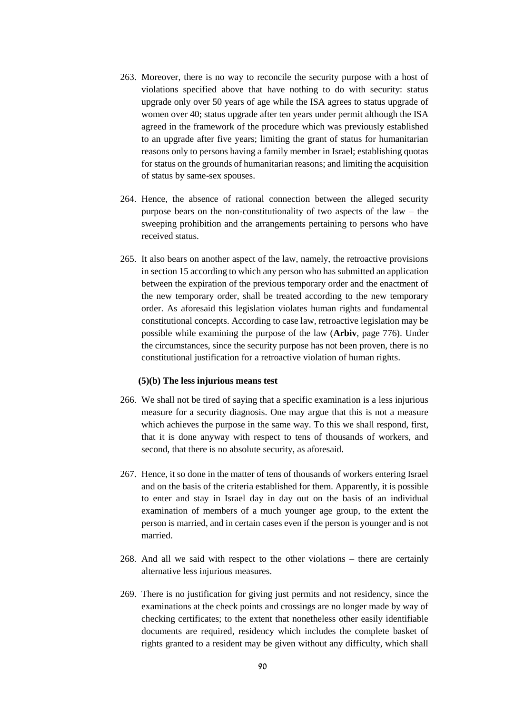- 263. Moreover, there is no way to reconcile the security purpose with a host of violations specified above that have nothing to do with security: status upgrade only over 50 years of age while the ISA agrees to status upgrade of women over 40; status upgrade after ten years under permit although the ISA agreed in the framework of the procedure which was previously established to an upgrade after five years; limiting the grant of status for humanitarian reasons only to persons having a family member in Israel; establishing quotas for status on the grounds of humanitarian reasons; and limiting the acquisition of status by same-sex spouses.
- 264. Hence, the absence of rational connection between the alleged security purpose bears on the non-constitutionality of two aspects of the law – the sweeping prohibition and the arrangements pertaining to persons who have received status.
- 265. It also bears on another aspect of the law, namely, the retroactive provisions in section 15 according to which any person who has submitted an application between the expiration of the previous temporary order and the enactment of the new temporary order, shall be treated according to the new temporary order. As aforesaid this legislation violates human rights and fundamental constitutional concepts. According to case law, retroactive legislation may be possible while examining the purpose of the law (**Arbiv**, page 776). Under the circumstances, since the security purpose has not been proven, there is no constitutional justification for a retroactive violation of human rights.

### **(5)(b) The less injurious means test**

- 266. We shall not be tired of saying that a specific examination is a less injurious measure for a security diagnosis. One may argue that this is not a measure which achieves the purpose in the same way. To this we shall respond, first, that it is done anyway with respect to tens of thousands of workers, and second, that there is no absolute security, as aforesaid.
- 267. Hence, it so done in the matter of tens of thousands of workers entering Israel and on the basis of the criteria established for them. Apparently, it is possible to enter and stay in Israel day in day out on the basis of an individual examination of members of a much younger age group, to the extent the person is married, and in certain cases even if the person is younger and is not married.
- 268. And all we said with respect to the other violations there are certainly alternative less injurious measures.
- 269. There is no justification for giving just permits and not residency, since the examinations at the check points and crossings are no longer made by way of checking certificates; to the extent that nonetheless other easily identifiable documents are required, residency which includes the complete basket of rights granted to a resident may be given without any difficulty, which shall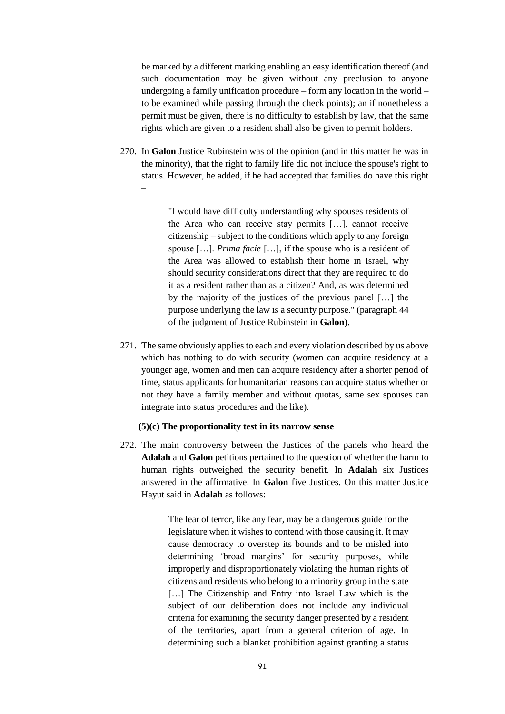be marked by a different marking enabling an easy identification thereof (and such documentation may be given without any preclusion to anyone undergoing a family unification procedure – form any location in the world – to be examined while passing through the check points); an if nonetheless a permit must be given, there is no difficulty to establish by law, that the same rights which are given to a resident shall also be given to permit holders.

270. In **Galon** Justice Rubinstein was of the opinion (and in this matter he was in the minority), that the right to family life did not include the spouse's right to status. However, he added, if he had accepted that families do have this right –

> "I would have difficulty understanding why spouses residents of the Area who can receive stay permits […], cannot receive citizenship – subject to the conditions which apply to any foreign spouse […]. *Prima facie* […], if the spouse who is a resident of the Area was allowed to establish their home in Israel, why should security considerations direct that they are required to do it as a resident rather than as a citizen? And, as was determined by the majority of the justices of the previous panel […] the purpose underlying the law is a security purpose." (paragraph 44 of the judgment of Justice Rubinstein in **Galon**).

271. The same obviously applies to each and every violation described by us above which has nothing to do with security (women can acquire residency at a younger age, women and men can acquire residency after a shorter period of time, status applicants for humanitarian reasons can acquire status whether or not they have a family member and without quotas, same sex spouses can integrate into status procedures and the like).

# **(5)(c) The proportionality test in its narrow sense**

272. The main controversy between the Justices of the panels who heard the **Adalah** and **Galon** petitions pertained to the question of whether the harm to human rights outweighed the security benefit. In **Adalah** six Justices answered in the affirmative. In **Galon** five Justices. On this matter Justice Hayut said in **Adalah** as follows:

> The fear of terror, like any fear, may be a dangerous guide for the legislature when it wishes to contend with those causing it. It may cause democracy to overstep its bounds and to be misled into determining 'broad margins' for security purposes, while improperly and disproportionately violating the human rights of citizens and residents who belong to a minority group in the state [...] The Citizenship and Entry into Israel Law which is the subject of our deliberation does not include any individual criteria for examining the security danger presented by a resident of the territories, apart from a general criterion of age. In determining such a blanket prohibition against granting a status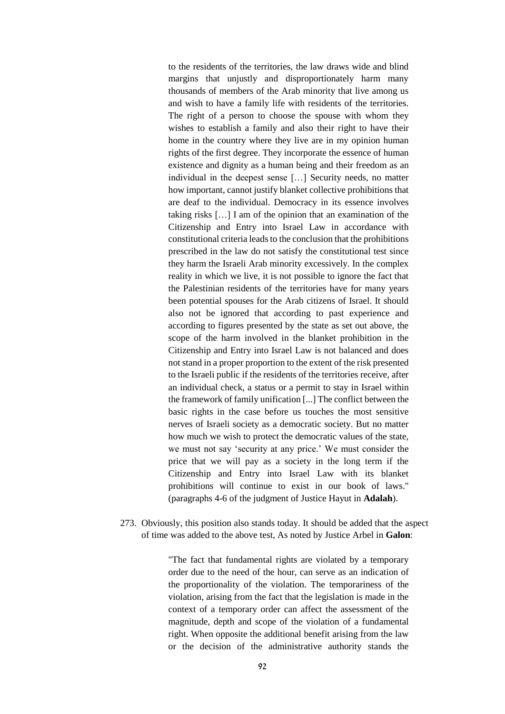to the residents of the territories, the law draws wide and blind margins that unjustly and disproportionately harm many thousands of members of the Arab minority that live among us and wish to have a family life with residents of the territories. The right of a person to choose the spouse with whom they wishes to establish a family and also their right to have their home in the country where they live are in my opinion human rights of the first degree. They incorporate the essence of human existence and dignity as a human being and their freedom as an individual in the deepest sense […] Security needs, no matter how important, cannot justify blanket collective prohibitions that are deaf to the individual. Democracy in its essence involves taking risks […] I am of the opinion that an examination of the Citizenship and Entry into Israel Law in accordance with constitutional criteria leads to the conclusion that the prohibitions prescribed in the law do not satisfy the constitutional test since they harm the Israeli Arab minority excessively. In the complex reality in which we live, it is not possible to ignore the fact that the Palestinian residents of the territories have for many years been potential spouses for the Arab citizens of Israel. It should also not be ignored that according to past experience and according to figures presented by the state as set out above, the scope of the harm involved in the blanket prohibition in the Citizenship and Entry into Israel Law is not balanced and does not stand in a proper proportion to the extent of the risk presented to the Israeli public if the residents of the territories receive, after an individual check, a status or a permit to stay in Israel within the framework of family unification [...] The conflict between the basic rights in the case before us touches the most sensitive nerves of Israeli society as a democratic society. But no matter how much we wish to protect the democratic values of the state, we must not say 'security at any price.' We must consider the price that we will pay as a society in the long term if the Citizenship and Entry into Israel Law with its blanket prohibitions will continue to exist in our book of laws." (paragraphs 4-6 of the judgment of Justice Hayut in **Adalah**).

273. Obviously, this position also stands today. It should be added that the aspect of time was added to the above test, As noted by Justice Arbel in **Galon**:

> "The fact that fundamental rights are violated by a temporary order due to the need of the hour, can serve as an indication of the proportionality of the violation. The temporariness of the violation, arising from the fact that the legislation is made in the context of a temporary order can affect the assessment of the magnitude, depth and scope of the violation of a fundamental right. When opposite the additional benefit arising from the law or the decision of the administrative authority stands the